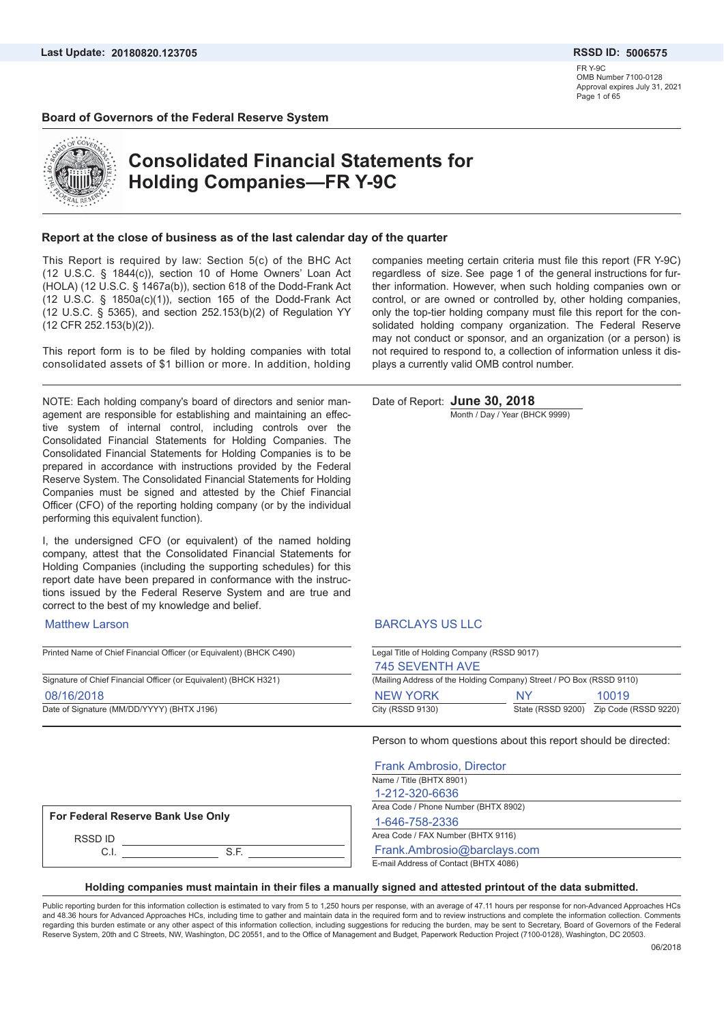FR Y-9C OMB Number 7100-0128 Approval expires July 31, 2021 Page 1 of 65

#### **Board of Governors of the Federal Reserve System**



# **Consolidated Financial Statements for Holding Companies—FR Y-9C**

#### **Report at the close of business as of the last calendar day of the quarter**

This Report is required by law: Section 5(c) of the BHC Act (12 U.S.C. § 1844(c)), section 10 of Home Owners' Loan Act (HOLA) (12 U.S.C. § 1467a(b)), section 618 of the Dodd-Frank Act (12 U.S.C. § 1850a(c)(1)), section 165 of the Dodd-Frank Act (12 U.S.C. § 5365), and section 252.153(b)(2) of Regulation YY (12 CFR 252.153(b)(2)).

This report form is to be filed by holding companies with total consolidated assets of \$1 billion or more. In addition, holding

NOTE: Each holding company's board of directors and senior management are responsible for establishing and maintaining an effective system of internal control, including controls over the Consolidated Financial Statements for Holding Companies. The Consolidated Financial Statements for Holding Companies is to be prepared in accordance with instructions provided by the Federal Reserve System. The Consolidated Financial Statements for Holding Companies must be signed and attested by the Chief Financial Officer (CFO) of the reporting holding company (or by the individual performing this equivalent function).

I, the undersigned CFO (or equivalent) of the named holding company, attest that the Consolidated Financial Statements for Holding Companies (including the supporting schedules) for this report date have been prepared in conformance with the instructions issued by the Federal Reserve System and are true and correct to the best of my knowledge and belief.

#### Matthew Larson

Printed Name of Chief Financial Officer (or Equivalent) (BHCK C490) Signature of Chief Financial Officer (or Equivalent) (BHCK H321) Date of Signature (MM/DD/YYYY) (BHTX J196) 08/16/2018

companies meeting certain criteria must file this report (FR Y-9C) regardless of size. See page 1 of the general instructions for further information. However, when such holding companies own or control, or are owned or controlled by, other holding companies, only the top-tier holding company must file this report for the consolidated holding company organization. The Federal Reserve may not conduct or sponsor, and an organization (or a person) is not required to respond to, a collection of information unless it displays a currently valid OMB control number.

Date of Report: **June 30, 2018**

Month / Day / Year (BHCK 9999)

#### BARCLAYS US LLC

| Legal Title of Holding Company (RSSD 9017)                           |    |                                        |  |  |  |
|----------------------------------------------------------------------|----|----------------------------------------|--|--|--|
| 745 SEVENTH AVE                                                      |    |                                        |  |  |  |
| (Mailing Address of the Holding Company) Street / PO Box (RSSD 9110) |    |                                        |  |  |  |
| <b>NEW YORK</b>                                                      | NY | 10019                                  |  |  |  |
| City (RSSD 9130)                                                     |    | State (RSSD 9200) Zip Code (RSSD 9220) |  |  |  |

Person to whom questions about this report should be directed:

| <b>Frank Ambrosio, Director</b>       |
|---------------------------------------|
| Name / Title (BHTX 8901)              |
| 1-212-320-6636                        |
| Area Code / Phone Number (BHTX 8902)  |
| 1-646-758-2336                        |
| Area Code / FAX Number (BHTX 9116)    |
| Frank.Ambrosio@barclays.com           |
| E-mail Address of Contact (BHTX 4086) |

#### **For Federal Reserve Bank Use Only**

RSSD ID C.I. S.F.

**Holding companies must maintain in their files a manually signed and attested printout of the data submitted.**

Public reporting burden for this information collection is estimated to vary from 5 to 1,250 hours per response, with an average of 47.11 hours per response for non-Advanced Approaches HCs and 48.36 hours for Advanced Approaches HCs, including time to gather and maintain data in the required form and to review instructions and complete the information collection. Comments regarding this burden estimate or any other aspect of this information collection, including suggestions for reducing the burden, may be sent to Secretary, Board of Governors of the Federal Reserve System, 20th and C Streets, NW, Washington, DC 20551, and to the Office of Management and Budget, Paperwork Reduction Project (7100-0128), Washington, DC 20503.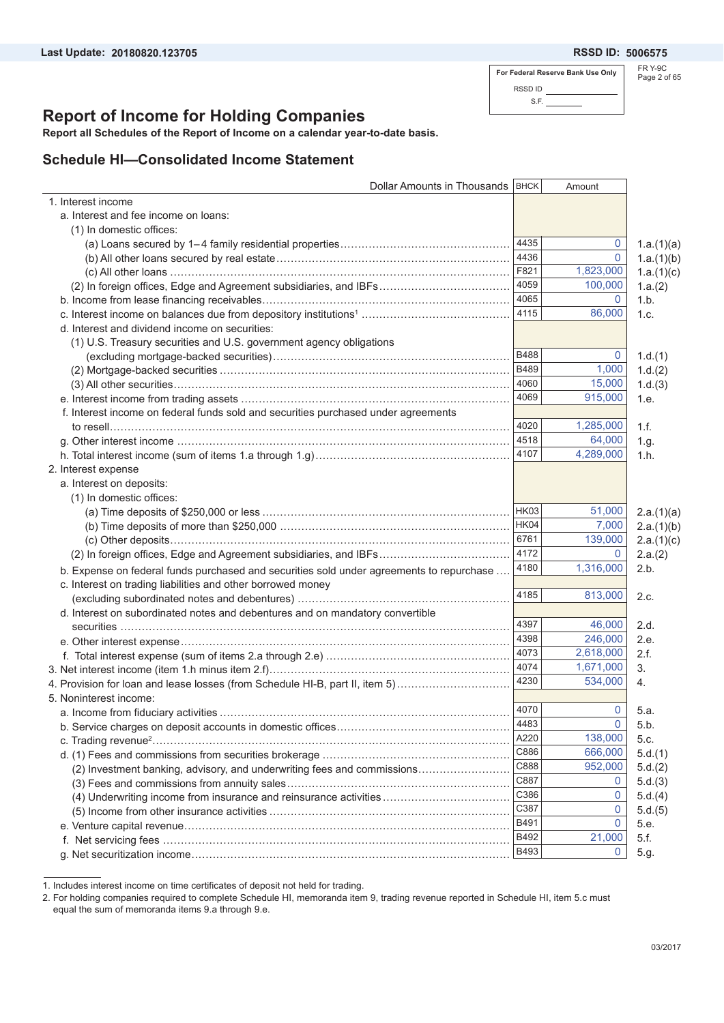$\overline{a}$ 

**For Federal Reserve Bank Use Only** RSSD ID S.F.

FR Y-9C Page 2 of 65

# **Report of Income for Holding Companies**

**Report all Schedules of the Report of Income on a calendar year-to-date basis.**

### **Schedule HI—Consolidated Income Statement**

| Dollar Amounts in Thousands   BHCK                                                       |              | Amount       |            |
|------------------------------------------------------------------------------------------|--------------|--------------|------------|
| 1. Interest income                                                                       |              |              |            |
| a. Interest and fee income on loans:                                                     |              |              |            |
| (1) In domestic offices:                                                                 |              |              |            |
|                                                                                          | 4435         | 0            | 1.a.(1)(a) |
|                                                                                          | 4436         | $\mathbf{0}$ | 1.a.(1)(b) |
|                                                                                          | F821         | 1,823,000    | 1.a.(1)(c) |
| (2) In foreign offices, Edge and Agreement subsidiaries, and IBFs                        | 4059         | 100,000      | 1.a.(2)    |
|                                                                                          | 4065         | 0            | 1.b.       |
|                                                                                          | 4115         | 86,000       | 1.c.       |
| d. Interest and dividend income on securities:                                           |              |              |            |
| (1) U.S. Treasury securities and U.S. government agency obligations                      |              |              |            |
|                                                                                          | <b>B488</b>  | 0            | 1.d.(1)    |
|                                                                                          | B489         | 1,000        | 1.d.(2)    |
|                                                                                          | 4060         | 15,000       | 1.d.(3)    |
|                                                                                          | 4069         | 915,000      | 1.e.       |
| f. Interest income on federal funds sold and securities purchased under agreements       |              |              |            |
|                                                                                          | 4020         | 1,285,000    | 1.f.       |
|                                                                                          | 4518         | 64,000       | 1.g.       |
|                                                                                          | 4107         | 4,289,000    | 1.h.       |
| 2. Interest expense                                                                      |              |              |            |
| a. Interest on deposits:                                                                 |              |              |            |
| (1) In domestic offices:                                                                 |              |              |            |
|                                                                                          | HK03         | 51,000       | 2.a.(1)(a) |
|                                                                                          | HK04         | 7,000        | 2.a.(1)(b) |
|                                                                                          | 6761         | 139,000      | 2.a.(1)(c) |
| (2) In foreign offices, Edge and Agreement subsidiaries, and IBFs                        | 4172         | 0            | 2.a.(2)    |
|                                                                                          | 4180         | 1,316,000    | 2.b.       |
| b. Expense on federal funds purchased and securities sold under agreements to repurchase |              |              |            |
| c. Interest on trading liabilities and other borrowed money                              | 4185         | 813,000      | 2.c.       |
|                                                                                          |              |              |            |
| d. Interest on subordinated notes and debentures and on mandatory convertible            | 4397         | 46,000       | 2.d.       |
|                                                                                          | 4398         | 246,000      | 2.e.       |
|                                                                                          | 4073         | 2,618,000    | 2.f.       |
|                                                                                          | 4074         | 1,671,000    | 3.         |
|                                                                                          | 4230         | 534.000      |            |
| 4. Provision for loan and lease losses (from Schedule HI-B, part II, item 5)             |              |              | 4.         |
| 5. Noninterest income:                                                                   | 4070         |              |            |
|                                                                                          | 4483         | 0<br>0       | 5.a.       |
|                                                                                          |              |              | 5.b.       |
|                                                                                          | A220<br>C886 | 138,000      | 5.c.       |
|                                                                                          |              | 666,000      | 5.d.(1)    |
| (2) Investment banking, advisory, and underwriting fees and commissions                  | C888         | 952,000      | 5.d.(2)    |
|                                                                                          | C887         | 0            | 5.d.(3)    |
| (4) Underwriting income from insurance and reinsurance activities                        | C386         | 0            | 5.d.(4)    |
|                                                                                          | C387         | 0            | 5.d.(5)    |
|                                                                                          | B491         | 0            | 5.e.       |
|                                                                                          | B492         | 21,000       | 5.f.       |
|                                                                                          | B493         | 0            | 5.g.       |

<sup>1.</sup> Includes interest income on time certificates of deposit not held for trading.

<sup>2.</sup> For holding companies required to complete Schedule HI, memoranda item 9, trading revenue reported in Schedule HI, item 5.c must equal the sum of memoranda items 9.a through 9.e.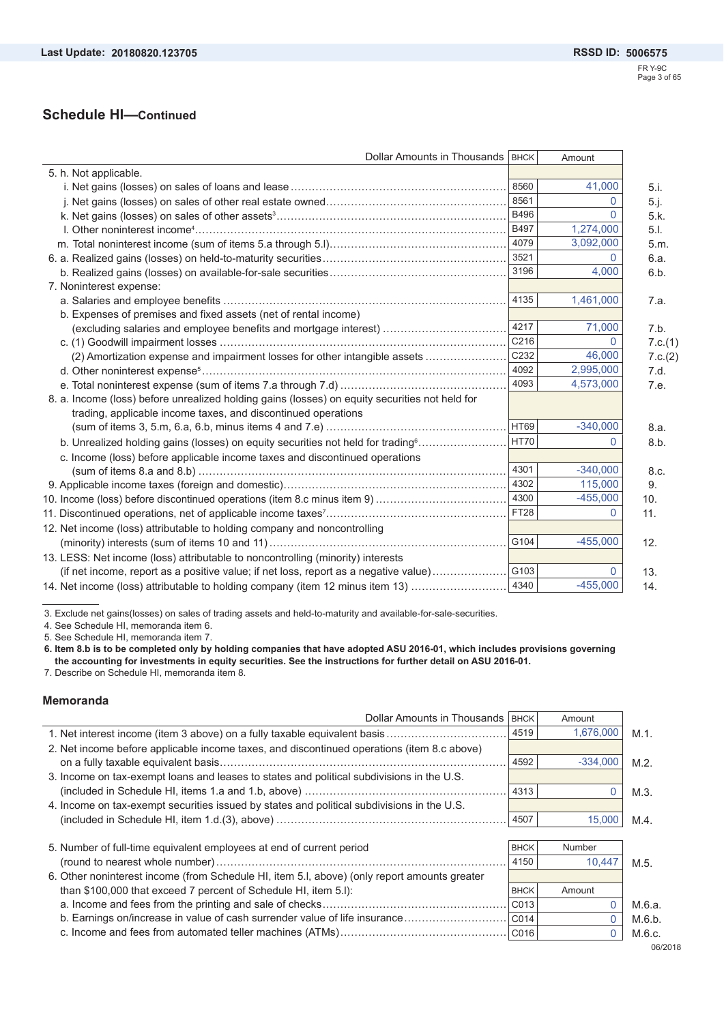L.

| Dollar Amounts in Thousands   BHCK                                                             |                  | Amount     |         |
|------------------------------------------------------------------------------------------------|------------------|------------|---------|
| 5. h. Not applicable.                                                                          |                  |            |         |
|                                                                                                | 8560             | 41,000     | 5.i.    |
|                                                                                                | 8561             | 0          | 5.j.    |
|                                                                                                | <b>B496</b>      | 0          | 5.k.    |
|                                                                                                | <b>B497</b>      | 1,274,000  | 5.1.    |
|                                                                                                | 4079             | 3,092,000  | 5.m.    |
|                                                                                                | 3521             | 0          | 6.a.    |
|                                                                                                | 3196             | 4.000      | 6.b.    |
| 7. Noninterest expense:                                                                        |                  |            |         |
|                                                                                                | 4135             | 1,461,000  | 7.a.    |
| b. Expenses of premises and fixed assets (net of rental income)                                |                  |            |         |
| (excluding salaries and employee benefits and mortgage interest)                               | 4217             | 71,000     | 7.b.    |
|                                                                                                | C216             | 0          | 7.c.(1) |
| (2) Amortization expense and impairment losses for other intangible assets                     | C <sub>232</sub> | 46,000     | 7.c.(2) |
|                                                                                                | 4092             | 2,995,000  | 7.d.    |
|                                                                                                | 4093             | 4,573,000  | 7.e.    |
| 8. a. Income (loss) before unrealized holding gains (losses) on equity securities not held for |                  |            |         |
| trading, applicable income taxes, and discontinued operations                                  |                  |            |         |
|                                                                                                | <b>HT69</b>      | $-340,000$ | 8.a.    |
| b. Unrealized holding gains (losses) on equity securities not held for trading <sup>6</sup>    | HT70             |            | 8.b.    |
| c. Income (loss) before applicable income taxes and discontinued operations                    |                  |            |         |
|                                                                                                | 4301             | $-340,000$ | 8.c.    |
|                                                                                                | 4302             | 115,000    | 9.      |
|                                                                                                | 4300             | $-455,000$ | 10.     |
|                                                                                                | <b>FT28</b>      | 0          | 11.     |
| 12. Net income (loss) attributable to holding company and noncontrolling                       |                  |            |         |
|                                                                                                | G104             | $-455,000$ | 12.     |
| 13. LESS: Net income (loss) attributable to noncontrolling (minority) interests                |                  |            |         |
| (if net income, report as a positive value; if net loss, report as a negative value)           | G103             |            | 13.     |
| 14. Net income (loss) attributable to holding company (item 12 minus item 13)                  | 4340             | $-455,000$ | 14.     |

3. Exclude net gains(losses) on sales of trading assets and held-to-maturity and available-for-sale-securities.

4. See Schedule HI, memoranda item 6.

5. See Schedule HI, memoranda item 7.

**6. Item 8.b is to be completed only by holding companies that have adopted ASU 2016-01, which includes provisions governing the accounting for investments in equity securities. See the instructions for further detail on ASU 2016-01.** 

7. Describe on Schedule HI, memoranda item 8.

### **Memoranda**

 $\overline{a}$ 

| Dollar Amounts in Thousands                                                                  | <b>BHCK</b> | Amount        |         |
|----------------------------------------------------------------------------------------------|-------------|---------------|---------|
|                                                                                              | 4519        | 1,676,000     | $M.1$ . |
| 2. Net income before applicable income taxes, and discontinued operations (item 8.c above)   |             |               |         |
|                                                                                              | 4592        | $-334.000$    | $M.2$ . |
| 3. Income on tax-exempt loans and leases to states and political subdivisions in the U.S.    |             |               |         |
|                                                                                              | 4313        | 0             | M.3.    |
| 4. Income on tax-exempt securities issued by states and political subdivisions in the U.S.   |             |               |         |
|                                                                                              | 4507        | 15,000        | M.4     |
|                                                                                              |             |               |         |
| 5. Number of full-time equivalent employees at end of current period                         | <b>BHCK</b> | <b>Number</b> |         |
|                                                                                              | 4150        | 10.447        | $M.5$ . |
| 6. Other noninterest income (from Schedule HI, item 5.I, above) (only report amounts greater |             |               |         |
| than \$100,000 that exceed 7 percent of Schedule HI, item 5.I):                              | <b>BHCK</b> | Amount        |         |
|                                                                                              | CO13        | $\Omega$      | M.6.a.  |
| b. Earnings on/increase in value of cash surrender value of life insurance                   | CO14        | $\Omega$      | M.6.b.  |
|                                                                                              | CO16        | 0             | M.6.c.  |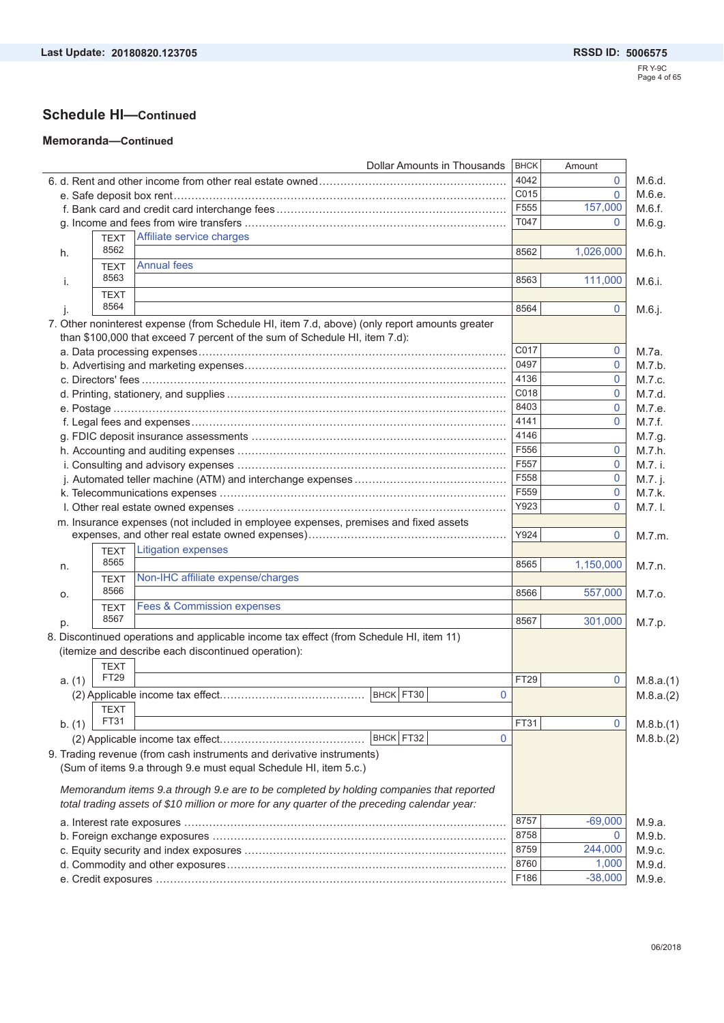### **Schedule HI—Continued**

#### **Memoranda—Continued**

|        |             | <b>Dollar Amounts in Thousands</b>                                                            | <b>BHCK</b> | Amount         |           |
|--------|-------------|-----------------------------------------------------------------------------------------------|-------------|----------------|-----------|
|        |             |                                                                                               | 4042        | 0              | M.6.d.    |
|        |             |                                                                                               | C015        | $\Omega$       | M.6.e.    |
|        |             |                                                                                               | F555        | 157,000        | M.6.f.    |
|        |             |                                                                                               | T047        | $\overline{0}$ | M.6.g.    |
|        | <b>TEXT</b> | Affiliate service charges                                                                     |             |                |           |
| h.     | 8562        |                                                                                               | 8562        | 1,026,000      | M.6.h.    |
|        | <b>TEXT</b> | <b>Annual fees</b>                                                                            |             |                |           |
| i.     | 8563        |                                                                                               | 8563        | 111,000        | M.6.i.    |
|        | <b>TEXT</b> |                                                                                               |             |                |           |
| I.     | 8564        |                                                                                               | 8564        | 0              | M.6.j.    |
|        |             | 7. Other noninterest expense (from Schedule HI, item 7.d, above) (only report amounts greater |             |                |           |
|        |             | than \$100,000 that exceed 7 percent of the sum of Schedule HI, item 7.d):                    |             |                |           |
|        |             |                                                                                               | C017        | 0              | M.7a.     |
|        |             |                                                                                               | 0497        | 0              | M.7.b.    |
|        |             |                                                                                               | 4136        | 0              | M.7.c.    |
|        |             |                                                                                               | C018        | 0              | M.7.d.    |
|        |             |                                                                                               | 8403        | $\mathbf{0}$   | M.7.e.    |
|        |             |                                                                                               | 4141        | 0              | M.7.f.    |
|        |             |                                                                                               | 4146        |                | M.7.g.    |
|        |             |                                                                                               | F556        | $\mathbf{0}$   | M.7.h.    |
|        |             |                                                                                               | F557        | 0              | M.7. i.   |
|        |             |                                                                                               | F558        | 0              |           |
|        |             |                                                                                               | F559        |                | M.7. j.   |
|        |             |                                                                                               | Y923        | 0              | M.7.k.    |
|        |             |                                                                                               |             | 0              | $M.7.1$ . |
|        |             | m. Insurance expenses (not included in employee expenses, premises and fixed assets           |             |                |           |
|        |             |                                                                                               | Y924        | 0              | M.7.m.    |
|        | <b>TEXT</b> | Litigation expenses                                                                           |             |                |           |
| n.     | 8565        |                                                                                               | 8565        | 1,150,000      | M.7.n.    |
|        | <b>TEXT</b> | Non-IHC affiliate expense/charges                                                             |             |                |           |
| о.     | 8566        |                                                                                               | 8566        | 557,000        | M.7.0.    |
|        | <b>TEXT</b> | <b>Fees &amp; Commission expenses</b>                                                         |             |                |           |
| p.     | 8567        |                                                                                               | 8567        | 301,000        | M.7.p.    |
|        |             | 8. Discontinued operations and applicable income tax effect (from Schedule HI, item 11)       |             |                |           |
|        |             | (itemize and describe each discontinued operation):                                           |             |                |           |
|        | <b>TEXT</b> |                                                                                               |             |                |           |
| a. (1) | FT29        |                                                                                               | FT29        | 0              | M.8.a.(1) |
|        |             | BHCK FT30<br>0                                                                                |             |                | M.8.a.(2) |
|        | <b>TEXT</b> |                                                                                               |             |                |           |
| b. (1) | FT31        |                                                                                               | FT31        | 0              | M.8.b.(1) |
|        |             | BHCK FT32<br>$\mathbf{0}$                                                                     |             |                | M.8.b.(2) |
|        |             |                                                                                               |             |                |           |
|        |             | 9. Trading revenue (from cash instruments and derivative instruments)                         |             |                |           |
|        |             | (Sum of items 9.a through 9.e must equal Schedule HI, item 5.c.)                              |             |                |           |
|        |             | Memorandum items 9.a through 9.e are to be completed by holding companies that reported       |             |                |           |
|        |             | total trading assets of \$10 million or more for any quarter of the preceding calendar year:  |             |                |           |
|        |             |                                                                                               |             |                |           |
|        |             |                                                                                               | 8757        | $-69,000$      | M.9.a.    |
|        |             |                                                                                               | 8758        | $\overline{0}$ | M.9.b.    |
|        |             |                                                                                               | 8759        | 244,000        | M.9.c.    |
|        |             |                                                                                               | 8760        | 1,000          | M.9.d.    |
|        |             |                                                                                               | F186        | $-38,000$      | M.9.e.    |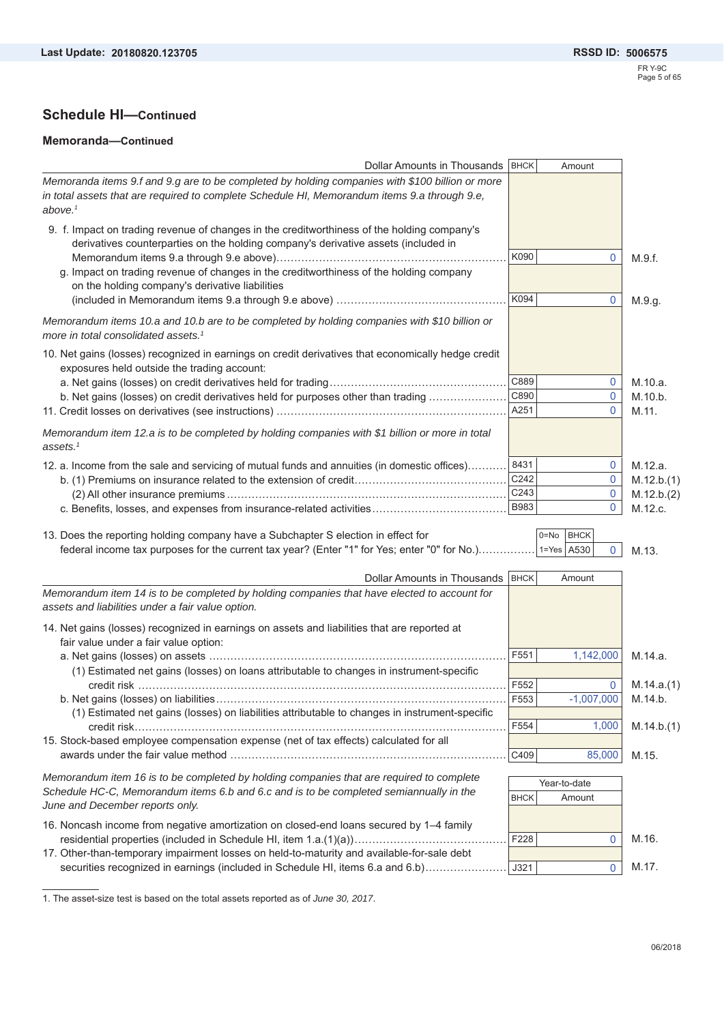#### **Memoranda—Continued**

| Dollar Amounts in Thousands   BHCK                                                                                                                                           |             | Amount                  |            |
|------------------------------------------------------------------------------------------------------------------------------------------------------------------------------|-------------|-------------------------|------------|
| Memoranda items 9.f and 9.g are to be completed by holding companies with \$100 billion or more                                                                              |             |                         |            |
| in total assets that are required to complete Schedule HI, Memorandum items 9.a through 9.e,<br>above. $1$                                                                   |             |                         |            |
| 9. f. Impact on trading revenue of changes in the creditworthiness of the holding company's                                                                                  |             |                         |            |
| derivatives counterparties on the holding company's derivative assets (included in                                                                                           |             |                         |            |
|                                                                                                                                                                              | K090        | 0                       | M.9.f.     |
| g. Impact on trading revenue of changes in the creditworthiness of the holding company<br>on the holding company's derivative liabilities                                    |             |                         |            |
|                                                                                                                                                                              | K094        | 0                       | M.9.g.     |
| Memorandum items 10.a and 10.b are to be completed by holding companies with \$10 billion or<br>more in total consolidated assets. <sup>1</sup>                              |             |                         |            |
| 10. Net gains (losses) recognized in earnings on credit derivatives that economically hedge credit<br>exposures held outside the trading account:                            |             |                         |            |
|                                                                                                                                                                              | C889        | 0                       | M.10.a.    |
| b. Net gains (losses) on credit derivatives held for purposes other than trading                                                                                             | C890        | $\mathbf 0$             | M.10.b.    |
|                                                                                                                                                                              | A251        | $\Omega$                | M.11.      |
| Memorandum item 12.a is to be completed by holding companies with \$1 billion or more in total<br>assets. $1$                                                                |             |                         |            |
| 12. a. Income from the sale and servicing of mutual funds and annuities (in domestic offices)                                                                                | 8431        | 0                       | M.12.a.    |
|                                                                                                                                                                              | C242        | 0                       | M.12.b.(1) |
|                                                                                                                                                                              | C243        | 0                       | M.12.b.(2) |
| c. Benefits, losses, and expenses from insurance-related activities                                                                                                          | <b>B983</b> | $\mathbf{0}$            | M.12.c.    |
|                                                                                                                                                                              |             |                         |            |
| 13. Does the reporting holding company have a Subchapter S election in effect for                                                                                            |             | <b>BHCK</b><br>$0 = No$ |            |
| federal income tax purposes for the current tax year? (Enter "1" for Yes; enter "0" for No.) 1=Yes A530                                                                      |             | $\overline{0}$          | M.13.      |
| Dollar Amounts in Thousands   BHCK                                                                                                                                           |             | Amount                  |            |
| Memorandum item 14 is to be completed by holding companies that have elected to account for                                                                                  |             |                         |            |
| assets and liabilities under a fair value option.                                                                                                                            |             |                         |            |
| 14. Net gains (losses) recognized in earnings on assets and liabilities that are reported at                                                                                 |             |                         |            |
| fair value under a fair value option:                                                                                                                                        |             |                         |            |
|                                                                                                                                                                              | F551        |                         |            |
|                                                                                                                                                                              |             | 1,142,000               | M.14.a.    |
| (1) Estimated net gains (losses) on loans attributable to changes in instrument-specific                                                                                     |             |                         |            |
|                                                                                                                                                                              | F552        | $\mathbf 0$             |            |
|                                                                                                                                                                              | F553        | $-1,007,000$            | M.14.b.    |
| (1) Estimated net gains (losses) on liabilities attributable to changes in instrument-specific                                                                               |             |                         |            |
|                                                                                                                                                                              | F554        | 1,000                   | M.14.b.(1) |
| 15. Stock-based employee compensation expense (net of tax effects) calculated for all                                                                                        |             |                         | M.14.a.(1) |
|                                                                                                                                                                              | C409        | 85,000                  | M.15.      |
| Memorandum item 16 is to be completed by holding companies that are required to complete                                                                                     |             |                         |            |
| Schedule HC-C, Memorandum items 6.b and 6.c and is to be completed semiannually in the                                                                                       | <b>BHCK</b> | Year-to-date<br>Amount  |            |
| June and December reports only.                                                                                                                                              |             |                         |            |
| 16. Noncash income from negative amortization on closed-end loans secured by 1-4 family                                                                                      |             |                         |            |
|                                                                                                                                                                              | F228        | 0                       | M.16.      |
| 17. Other-than-temporary impairment losses on held-to-maturity and available-for-sale debt<br>securities recognized in earnings (included in Schedule HI, items 6.a and 6.b) | J321        | 0                       | M.17.      |

1. The asset-size test is based on the total assets reported as of *June 30, 2017*.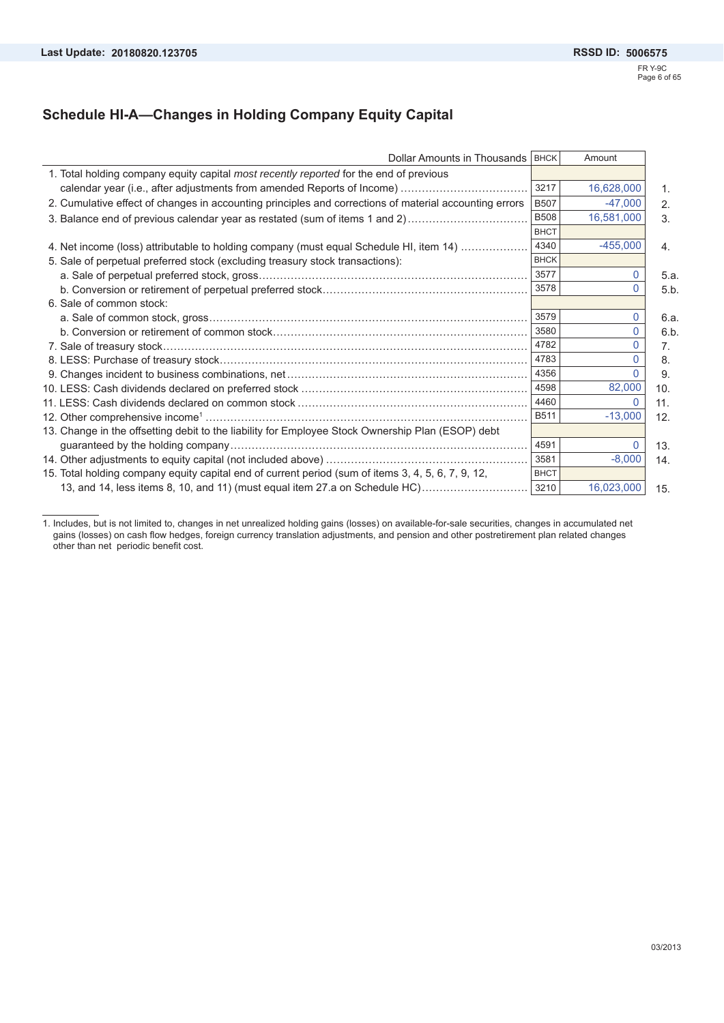### **Schedule HI-A—Changes in Holding Company Equity Capital**

| Dollar Amounts in Thousands   BHCK                                                                     |             | Amount     |      |
|--------------------------------------------------------------------------------------------------------|-------------|------------|------|
| 1. Total holding company equity capital most recently reported for the end of previous                 |             |            |      |
|                                                                                                        | 3217        | 16,628,000 | 1.   |
| 2. Cumulative effect of changes in accounting principles and corrections of material accounting errors | <b>B507</b> | $-47,000$  | 2.   |
| 3. Balance end of previous calendar year as restated (sum of items 1 and 2)                            | <b>B508</b> | 16,581,000 | 3.   |
|                                                                                                        | <b>BHCT</b> |            |      |
| 4. Net income (loss) attributable to holding company (must equal Schedule HI, item 14)                 | 4340        | $-455,000$ | 4.   |
| 5. Sale of perpetual preferred stock (excluding treasury stock transactions):                          | <b>BHCK</b> |            |      |
|                                                                                                        | 3577        |            | 5.a. |
|                                                                                                        | 3578        |            | 5.b  |
| 6. Sale of common stock:                                                                               |             |            |      |
|                                                                                                        | 3579        |            | 6.a. |
|                                                                                                        | 3580        |            | 6.b  |
|                                                                                                        | 4782        |            | 7.   |
|                                                                                                        | 4783        |            | 8.   |
|                                                                                                        | 4356        |            | 9.   |
|                                                                                                        | 4598        | 82,000     | 10.  |
|                                                                                                        | 4460        |            | 11.  |
|                                                                                                        | <b>B511</b> | $-13,000$  | 12.  |
| 13. Change in the offsetting debit to the liability for Employee Stock Ownership Plan (ESOP) debt      |             |            |      |
|                                                                                                        | 4591        |            | 13.  |
|                                                                                                        | 3581        | $-8,000$   | 14.  |
| 15. Total holding company equity capital end of current period (sum of items 3, 4, 5, 6, 7, 9, 12,     | <b>BHCT</b> |            |      |
| 13, and 14, less items 8, 10, and 11) (must equal item 27.a on Schedule HC)                            | 3210        | 16,023,000 | 15.  |

1. Includes, but is not limited to, changes in net unrealized holding gains (losses) on available-for-sale securities, changes in accumulated net gains (losses) on cash flow hedges, foreign currency translation adjustments, and pension and other postretirement plan related changes other than net periodic benefit cost.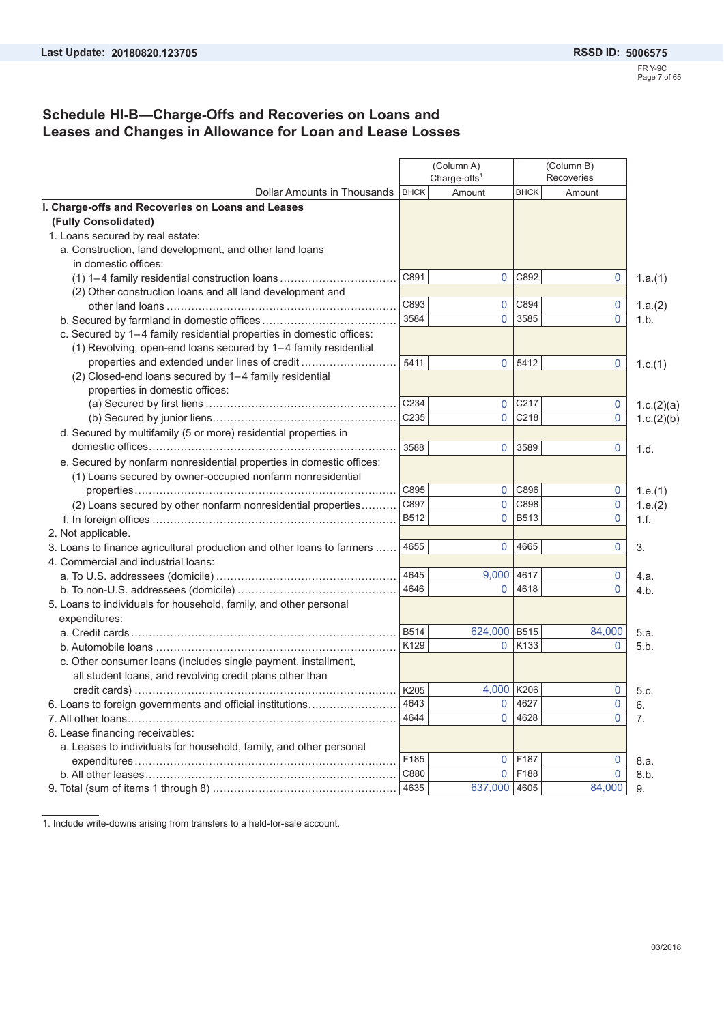### **Schedule HI-B—Charge-Offs and Recoveries on Loans and Leases and Changes in Allowance for Loan and Lease Losses**

|                                                                        |             | (Column A)<br>Charge-offs <sup>1</sup> |                  | (Column B)<br>Recoveries |            |
|------------------------------------------------------------------------|-------------|----------------------------------------|------------------|--------------------------|------------|
| Dollar Amounts in Thousands   BHCK                                     |             | Amount                                 | <b>BHCK</b>      | Amount                   |            |
| I. Charge-offs and Recoveries on Loans and Leases                      |             |                                        |                  |                          |            |
| (Fully Consolidated)                                                   |             |                                        |                  |                          |            |
| 1. Loans secured by real estate:                                       |             |                                        |                  |                          |            |
| a. Construction, land development, and other land loans                |             |                                        |                  |                          |            |
| in domestic offices:                                                   |             |                                        |                  |                          |            |
| $(1)$ 1-4 family residential construction loans                        | C891        | $\overline{0}$                         | C892             | $\mathbf{0}$             | 1.a.(1)    |
| (2) Other construction loans and all land development and              |             |                                        |                  |                          |            |
|                                                                        | C893        | $\overline{0}$                         | C894             | $\mathbf{0}$             | 1.a.(2)    |
|                                                                        | 3584        | $\Omega$                               | 3585             | $\mathbf{0}$             | 1.b.       |
| c. Secured by 1-4 family residential properties in domestic offices:   |             |                                        |                  |                          |            |
| (1) Revolving, open-end loans secured by 1-4 family residential        |             |                                        |                  |                          |            |
| properties and extended under lines of credit                          | 5411        | $\overline{0}$                         | 5412             | 0                        | 1.c.(1)    |
| (2) Closed-end loans secured by 1-4 family residential                 |             |                                        |                  |                          |            |
| properties in domestic offices:                                        |             |                                        |                  |                          |            |
|                                                                        | C234        | $\overline{0}$                         | C217             | $\mathbf 0$              | 1.c.(2)(a) |
|                                                                        | C235        | $\overline{0}$                         | C218             | $\mathbf{0}$             | 1.c.(2)(b) |
| d. Secured by multifamily (5 or more) residential properties in        |             |                                        |                  |                          |            |
|                                                                        | 3588        | $\overline{0}$                         | 3589             | $\mathbf{0}$             | 1.d.       |
| e. Secured by nonfarm nonresidential properties in domestic offices:   |             |                                        |                  |                          |            |
| (1) Loans secured by owner-occupied nonfarm nonresidential             |             |                                        |                  |                          |            |
|                                                                        | C895        | 0                                      | C896             | $\mathbf 0$              | 1.e.(1)    |
| (2) Loans secured by other nonfarm nonresidential properties           | C897        | $\overline{0}$                         | C898             | $\mathbf{0}$             | 1.e.(2)    |
|                                                                        | B512        | $\overline{0}$                         | <b>B513</b>      | $\mathbf{0}$             | 1.f.       |
| 2. Not applicable.                                                     |             |                                        |                  |                          |            |
| 3. Loans to finance agricultural production and other loans to farmers | 4655        | 0                                      | 4665             | $\mathbf{0}$             | 3.         |
| 4. Commercial and industrial loans:                                    |             |                                        |                  |                          |            |
|                                                                        | 4645        | 9,000                                  | 4617             | $\mathbf 0$              | 4.a.       |
|                                                                        | 4646        | $\overline{0}$                         | 4618             | $\Omega$                 | 4.b.       |
| 5. Loans to individuals for household, family, and other personal      |             |                                        |                  |                          |            |
| expenditures:                                                          |             |                                        |                  |                          |            |
|                                                                        | <b>B514</b> | 624,000 B515                           |                  | 84,000                   | 5.a.       |
|                                                                        | K129        | $\overline{0}$                         | K <sub>133</sub> | $\Omega$                 | 5.b.       |
| c. Other consumer loans (includes single payment, installment,         |             |                                        |                  |                          |            |
| all student loans, and revolving credit plans other than               |             |                                        |                  |                          |            |
|                                                                        |             | 4,000                                  | K206             | $\mathbf{0}$             | 5.c.       |
| 6. Loans to foreign governments and official institutions              | 4643        | 0                                      | 4627             | $\mathbf{0}$             | 6.         |
|                                                                        | 4644        | $\overline{0}$                         | 4628             | 0                        | 7.         |
| 8. Lease financing receivables:                                        |             |                                        |                  |                          |            |
| a. Leases to individuals for household, family, and other personal     |             |                                        |                  |                          |            |
|                                                                        | F185        | $\overline{0}$                         | F187             | $\mathbf{0}$             | 8.a.       |
|                                                                        | C880        | 0                                      | F188             | $\mathbf{0}$             | 8.b.       |
|                                                                        | 4635        | 637,000 4605                           |                  | 84,000                   | 9.         |

1. Include write-downs arising from transfers to a held-for-sale account.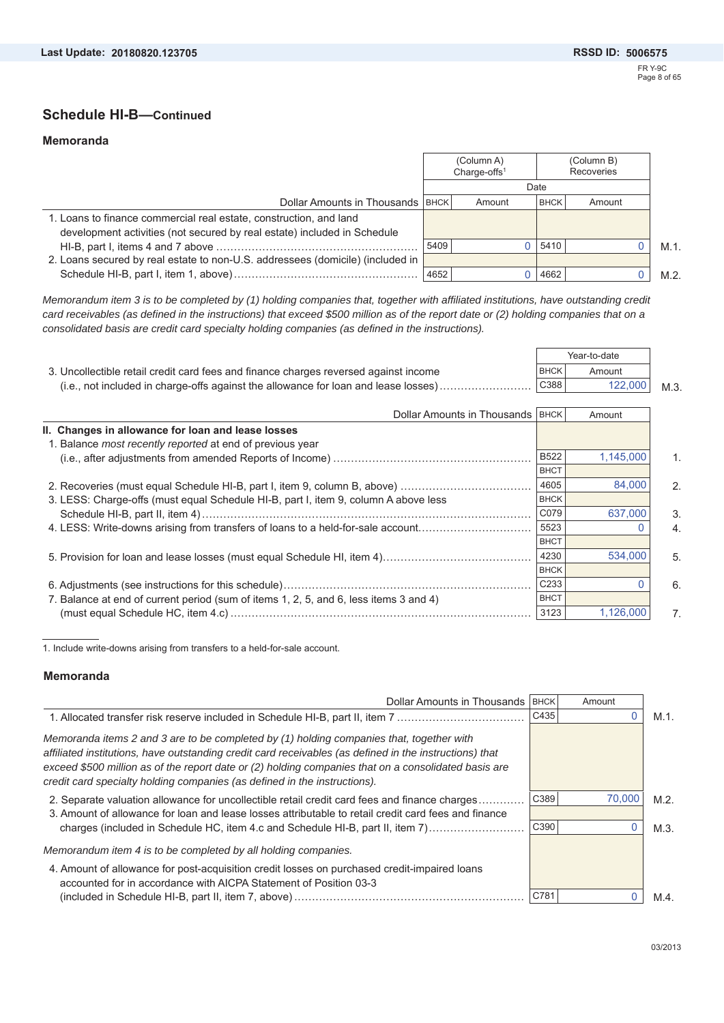### **Schedule HI-B—Continued**

#### **Memoranda**

|                                                                                |      | (Column A)<br>Charge-offs $1$ |             | (Column B)<br>Recoveries |     |
|--------------------------------------------------------------------------------|------|-------------------------------|-------------|--------------------------|-----|
|                                                                                | Date |                               |             |                          |     |
| Dollar Amounts in Thousands   BHCK                                             |      | Amount                        | <b>BHCK</b> | Amount                   |     |
| 1. Loans to finance commercial real estate, construction, and land             |      |                               |             |                          |     |
| development activities (not secured by real estate) included in Schedule       |      |                               |             |                          |     |
|                                                                                | 5409 |                               | 0 5410      |                          | M.1 |
| 2. Loans secured by real estate to non-U.S. addressees (domicile) (included in |      |                               |             |                          |     |
|                                                                                | 4652 |                               | 4662        |                          | M.2 |

*Memorandum item 3 is to be completed by (1) holding companies that, together with affiliated institutions, have outstanding credit card receivables (as defined in the instructions) that exceed \$500 million as of the report date or (2) holding companies that on a consolidated basis are credit card specialty holding companies (as defined in the instructions).*

|                                                                                      |             | Year-to-date |      |
|--------------------------------------------------------------------------------------|-------------|--------------|------|
| 3. Uncollectible retail credit card fees and finance charges reversed against income | <b>BHCK</b> | Amount       |      |
|                                                                                      | C388        | 122,000      | M.3. |

| Dollar Amounts in Thousands   BHCK                                                    |                  | Amount    |                |
|---------------------------------------------------------------------------------------|------------------|-----------|----------------|
| II. Changes in allowance for loan and lease losses                                    |                  |           |                |
| 1. Balance <i>most recently reported</i> at end of previous year                      |                  |           |                |
|                                                                                       | <b>B522</b>      | 1.145.000 | $1_{-}$        |
|                                                                                       | <b>BHCT</b>      |           |                |
| 2. Recoveries (must equal Schedule HI-B, part I, item 9, column B, above)             | 4605             | 84,000    | 2.             |
| 3. LESS: Charge-offs (must equal Schedule HI-B, part I, item 9, column A above less   | <b>BHCK</b>      |           |                |
|                                                                                       | C079             | 637,000   | 3.             |
| 4. LESS: Write-downs arising from transfers of loans to a held-for-sale account       | 5523             |           | 4.             |
|                                                                                       | <b>BHCT</b>      |           |                |
|                                                                                       | 4230             | 534.000   | 5.             |
|                                                                                       | <b>BHCK</b>      |           |                |
|                                                                                       | C <sub>233</sub> |           | 6.             |
| 7. Balance at end of current period (sum of items 1, 2, 5, and 6, less items 3 and 4) | <b>BHCT</b>      |           |                |
|                                                                                       | 3123             | 1,126,000 | 7 <sup>1</sup> |

1. Include write-downs arising from transfers to a held-for-sale account.

#### **Memoranda**

| Dollar Amounts in Thousands                                                                                                                                                                                                                                                                                                                                                              | <b>BHCK</b> | Amount |         |
|------------------------------------------------------------------------------------------------------------------------------------------------------------------------------------------------------------------------------------------------------------------------------------------------------------------------------------------------------------------------------------------|-------------|--------|---------|
| 1. Allocated transfer risk reserve included in Schedule HI-B, part II, item 7                                                                                                                                                                                                                                                                                                            | C435        |        | M.1.    |
| Memoranda items 2 and 3 are to be completed by (1) holding companies that, together with<br>affiliated institutions, have outstanding credit card receivables (as defined in the instructions) that<br>exceed \$500 million as of the report date or (2) holding companies that on a consolidated basis are<br>credit card specialty holding companies (as defined in the instructions). |             |        |         |
| 2. Separate valuation allowance for uncollectible retail credit card fees and finance charges                                                                                                                                                                                                                                                                                            | C389        | 70,000 | $M.2$ . |
| 3. Amount of allowance for loan and lease losses attributable to retail credit card fees and finance<br>charges (included in Schedule HC, item 4.c and Schedule HI-B, part II, item 7)                                                                                                                                                                                                   | C390        |        | M.3.    |
| Memorandum item 4 is to be completed by all holding companies.                                                                                                                                                                                                                                                                                                                           |             |        |         |
| 4. Amount of allowance for post-acquisition credit losses on purchased credit-impaired loans<br>accounted for in accordance with AICPA Statement of Position 03-3                                                                                                                                                                                                                        |             |        |         |
|                                                                                                                                                                                                                                                                                                                                                                                          | C781        |        | $M.4$ . |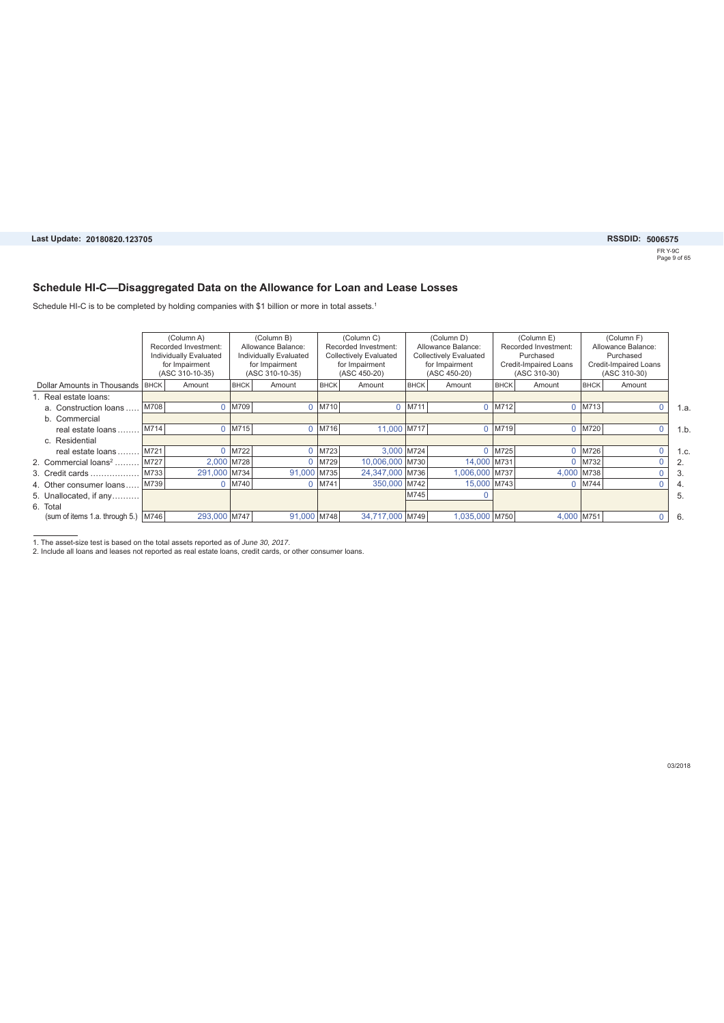#### **Schedule HI-C—Disaggregated Data on the Allowance for Loan and Lease Losses**

Schedule HI-C is to be completed by holding companies with \$1 billion or more in total assets.<sup>1</sup>

|                                  | (Column A)<br>Recorded Investment:<br>Individually Evaluated<br>for Impairment<br>(ASC 310-10-35) |              |             | (Column B)<br>Allowance Balance:<br>Individually Evaluated<br>for Impairment<br>(ASC 310-10-35) |             | (Column C)<br>Recorded Investment:<br>Collectively Evaluated<br>for Impairment<br>(ASC 450-20) |             | (Column D)<br>(Column E)<br>Allowance Balance:<br><b>Collectively Evaluated</b><br>Purchased<br>for Impairment<br>(ASC 450-20) |        | Recorded Investment:<br>Credit-Impaired Loans<br>(ASC 310-30) |             |        |      | (Column F)<br>Allowance Balance:<br>Purchased<br>Credit-Impaired Loans<br>(ASC 310-30) |  |
|----------------------------------|---------------------------------------------------------------------------------------------------|--------------|-------------|-------------------------------------------------------------------------------------------------|-------------|------------------------------------------------------------------------------------------------|-------------|--------------------------------------------------------------------------------------------------------------------------------|--------|---------------------------------------------------------------|-------------|--------|------|----------------------------------------------------------------------------------------|--|
| Dollar Amounts in Thousands BHCK |                                                                                                   | Amount       | <b>BHCK</b> | Amount                                                                                          | <b>BHCK</b> | Amount                                                                                         | <b>BHCK</b> | Amount                                                                                                                         | BHCK   | Amount                                                        | <b>BHCK</b> | Amount |      |                                                                                        |  |
| 1. Real estate loans:            |                                                                                                   |              |             |                                                                                                 |             |                                                                                                |             |                                                                                                                                |        |                                                               |             |        |      |                                                                                        |  |
| a. Construction loans            | M708                                                                                              |              | M709        |                                                                                                 | $0$   M710  | $\Omega$                                                                                       | M711        | $\Omega$                                                                                                                       | M712   | $\Omega$                                                      | M713        | 0      | 1.a  |                                                                                        |  |
| b. Commercial                    |                                                                                                   |              |             |                                                                                                 |             |                                                                                                |             |                                                                                                                                |        |                                                               |             |        |      |                                                                                        |  |
| real estate loans.               | M714                                                                                              |              | M715        |                                                                                                 | $0$ M716    | 11,000 M717                                                                                    |             |                                                                                                                                | 0 M719 | 0                                                             | M720        | 0      | 1.b  |                                                                                        |  |
| c. Residential                   |                                                                                                   |              |             |                                                                                                 |             |                                                                                                |             |                                                                                                                                |        |                                                               |             |        |      |                                                                                        |  |
| real estate loans                | M721                                                                                              |              | M722        |                                                                                                 | $0$ M723    | 3,000 M724                                                                                     |             | $\Omega$                                                                                                                       | M725   | $\Omega$                                                      | M726        |        | 1.c. |                                                                                        |  |
| 2. Commercial loans <sup>2</sup> | M727                                                                                              | 2.000 M728   |             |                                                                                                 | M729        | 10.006.000 M730                                                                                |             | 14,000 M731                                                                                                                    |        | O                                                             | M732        |        | 2.   |                                                                                        |  |
| 3. Credit cards                  | M733                                                                                              | 291,000 M734 |             | 91,000 M735                                                                                     |             | 24,347,000 M736                                                                                |             | 1,006,000 M737                                                                                                                 |        | 4,000 M738                                                    |             |        | 3    |                                                                                        |  |
| 4. Other consumer loans          | M739                                                                                              |              | M740        |                                                                                                 | $0$ M741    | 350,000 M742                                                                                   |             | 15,000 M743                                                                                                                    |        | $\Omega$                                                      | M744        |        | 4.   |                                                                                        |  |
| 5. Unallocated, if any           |                                                                                                   |              |             |                                                                                                 |             |                                                                                                | M745        |                                                                                                                                |        |                                                               |             |        | 5.   |                                                                                        |  |
| 6. Total                         |                                                                                                   |              |             |                                                                                                 |             |                                                                                                |             |                                                                                                                                |        |                                                               |             |        |      |                                                                                        |  |
| (sum of items 1.a. through 5.)   | M746                                                                                              | 293,000 M747 |             | 91,000 M748                                                                                     |             | 34.717.000 M749                                                                                |             | 1.035.000 M750                                                                                                                 |        | 4.000 M751                                                    |             | 0      | -6.  |                                                                                        |  |

1. The asset-size test is based on the total assets reported as of *June 30, 2017*. 2. Include all loans and leases not reported as real estate loans, credit cards, or other consumer loans.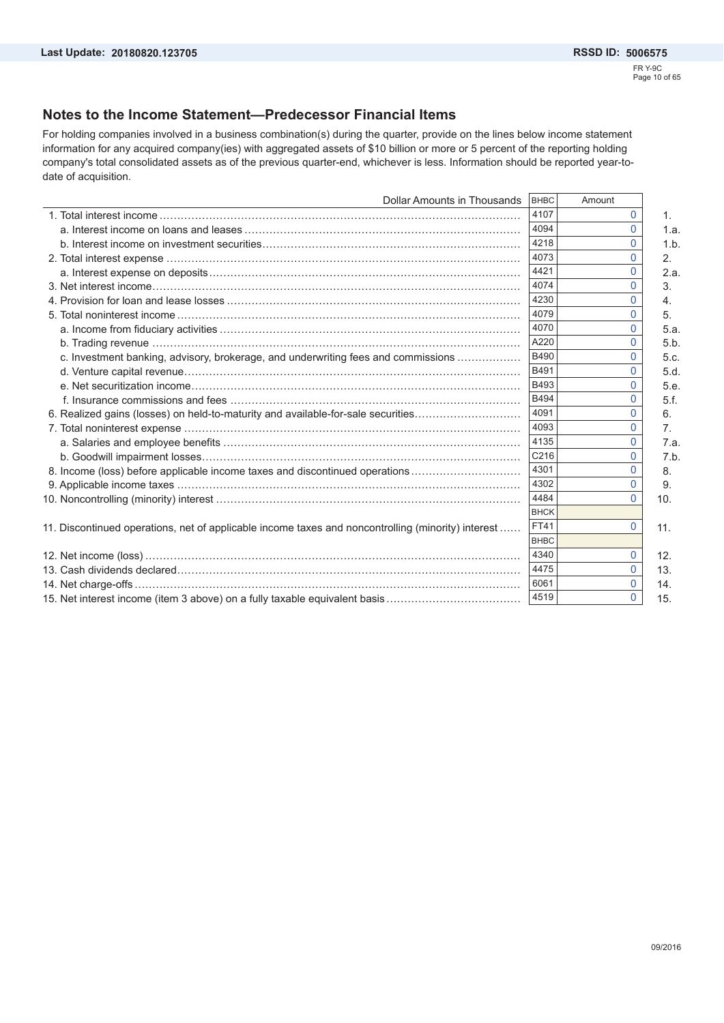### **Notes to the Income Statement—Predecessor Financial Items**

For holding companies involved in a business combination(s) during the quarter, provide on the lines below income statement information for any acquired company(ies) with aggregated assets of \$10 billion or more or 5 percent of the reporting holding company's total consolidated assets as of the previous quarter-end, whichever is less. Information should be reported year-todate of acquisition.

| Dollar Amounts in Thousands                                                                        | <b>BHBC</b> | Amount       |      |
|----------------------------------------------------------------------------------------------------|-------------|--------------|------|
|                                                                                                    | 4107        | $\Omega$     | 1.   |
|                                                                                                    | 4094        | $\Omega$     | 1.a. |
|                                                                                                    | 4218        | $\Omega$     | 1.b. |
|                                                                                                    | 4073        | 0            | 2.   |
|                                                                                                    | 4421        | $\Omega$     | 2.a. |
|                                                                                                    | 4074        | $\Omega$     | 3.   |
|                                                                                                    | 4230        | $\Omega$     | 4.   |
|                                                                                                    | 4079        | $\Omega$     | 5.   |
|                                                                                                    | 4070        | $\Omega$     | 5.a. |
|                                                                                                    | A220        | <sup>0</sup> | 5.b. |
| c. Investment banking, advisory, brokerage, and underwriting fees and commissions                  | <b>B490</b> |              | 5.c. |
|                                                                                                    | B491        | $\Omega$     | 5.d. |
|                                                                                                    | B493        | $\Omega$     | 5.e. |
|                                                                                                    | B494        | $\Omega$     | 5.f. |
| 6. Realized gains (losses) on held-to-maturity and available-for-sale securities                   | 4091        | $\Omega$     | 6.   |
|                                                                                                    | 4093        | $\Omega$     | 7.   |
|                                                                                                    | 4135        | $\Omega$     | 7.a. |
|                                                                                                    | C216        | $\Omega$     | 7.b. |
| 8. Income (loss) before applicable income taxes and discontinued operations                        | 4301        | $\Omega$     | 8.   |
|                                                                                                    | 4302        | $\mathbf{0}$ | 9.   |
|                                                                                                    | 4484        | $\Omega$     | 10.  |
|                                                                                                    | <b>BHCK</b> |              |      |
| 11. Discontinued operations, net of applicable income taxes and noncontrolling (minority) interest | <b>FT41</b> | $\mathbf{0}$ | 11.  |
|                                                                                                    | <b>BHBC</b> |              |      |
|                                                                                                    | 4340        | $\mathbf{0}$ | 12.  |
|                                                                                                    | 4475        | 0            | 13.  |
|                                                                                                    | 6061        | $\mathbf{0}$ | 14.  |
|                                                                                                    | 4519        | $\Omega$     | 15.  |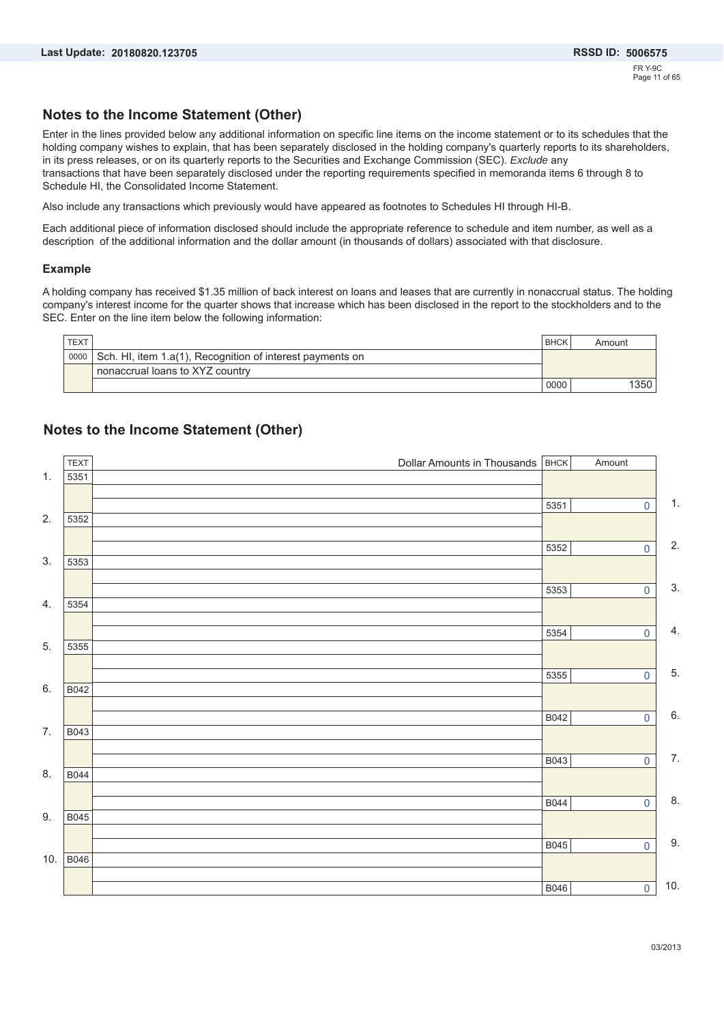### **Notes to the Income Statement (Other)**

Enter in the lines provided below any additional information on specific line items on the income statement or to its schedules that the holding company wishes to explain, that has been separately disclosed in the holding company's quarterly reports to its shareholders, in its press releases, or on its quarterly reports to the Securities and Exchange Commission (SEC). *Exclude* any transactions that have been separately disclosed under the reporting requirements specified in memoranda items 6 through 8 to Schedule HI, the Consolidated Income Statement.

Also include any transactions which previously would have appeared as footnotes to Schedules HI through HI-B.

Each additional piece of information disclosed should include the appropriate reference to schedule and item number, as well as a description of the additional information and the dollar amount (in thousands of dollars) associated with that disclosure.

#### **Example**

A holding company has received \$1.35 million of back interest on loans and leases that are currently in nonaccrual status. The holding company's interest income for the quarter shows that increase which has been disclosed in the report to the stockholders and to the SEC. Enter on the line item below the following information:

| TEXT |                                                           | <b>BHCK</b> | Amount |
|------|-----------------------------------------------------------|-------------|--------|
| 0000 | Sch. HI, item 1.a(1), Recognition of interest payments on |             |        |
|      | nonaccrual loans to XYZ country                           |             |        |
|      |                                                           | 0000        | 350    |

### **Notes to the Income Statement (Other)**

|     | <b>TEXT</b> | Dollar Amounts in Thousands <b>BHCK</b> |             | Amount                  |     |
|-----|-------------|-----------------------------------------|-------------|-------------------------|-----|
| 1.  | 5351        |                                         |             |                         |     |
|     |             |                                         | 5351        | $\mathbf 0$             | 1.  |
| 2.  | 5352        |                                         |             |                         |     |
|     |             |                                         |             |                         |     |
|     |             |                                         | 5352        | $\overline{0}$          | 2.  |
| 3.  | 5353        |                                         |             |                         |     |
|     |             |                                         | 5353        | $\overline{0}$          | 3.  |
| 4.  | 5354        |                                         |             |                         |     |
|     |             |                                         |             |                         |     |
|     |             |                                         | 5354        | $\mathbf 0$             | 4.  |
| 5.  | 5355        |                                         |             |                         |     |
|     |             |                                         | 5355        | $\overline{\mathbf{0}}$ | 5.  |
| 6.  | B042        |                                         |             |                         |     |
|     |             |                                         |             |                         |     |
|     |             |                                         | B042        | $\mathbf 0$             | 6.  |
| 7.  | B043        |                                         |             |                         |     |
|     |             |                                         | B043        | $\overline{0}$          | 7.  |
| 8.  | B044        |                                         |             |                         |     |
|     |             |                                         |             |                         |     |
|     |             |                                         | <b>B044</b> | $\overline{0}$          | 8.  |
| 9.  | <b>B045</b> |                                         |             |                         |     |
|     |             |                                         | <b>B045</b> | $\mathbf 0$             | 9.  |
| 10. | <b>B046</b> |                                         |             |                         |     |
|     |             |                                         |             |                         |     |
|     |             |                                         | B046        | $\overline{\textbf{0}}$ | 10. |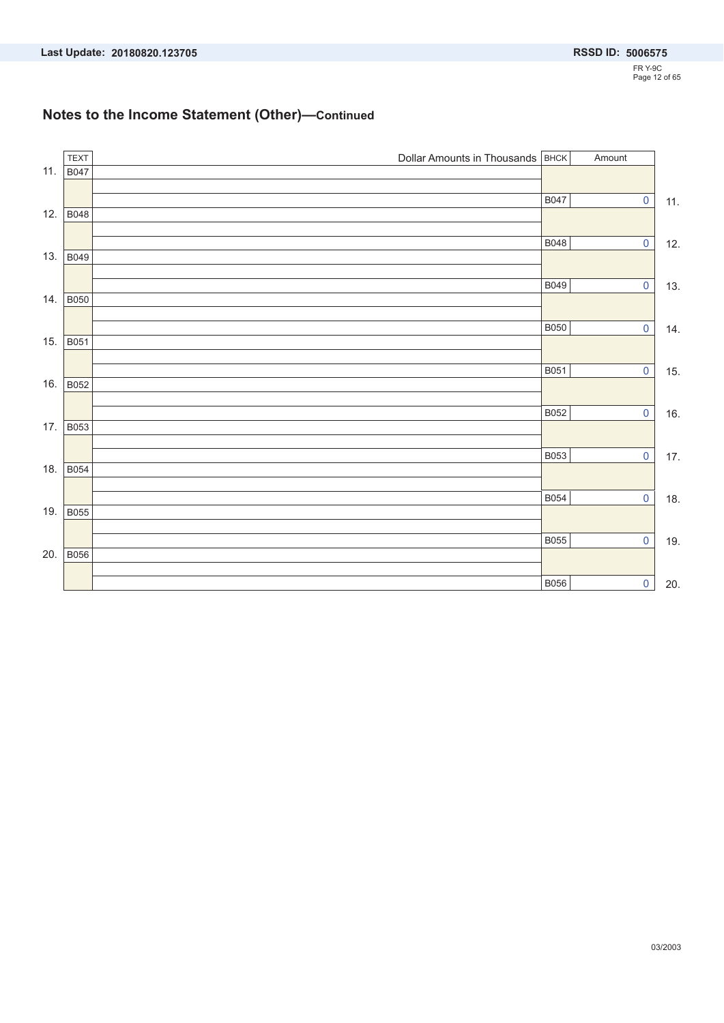### **Notes to the Income Statement (Other)—Continued**

|     | <b>TEXT</b> | Dollar Amounts in Thousands <b>BHCK</b> |             | Amount                  |       |
|-----|-------------|-----------------------------------------|-------------|-------------------------|-------|
| 11. | <b>B047</b> |                                         |             |                         |       |
|     |             |                                         | <b>B047</b> | $\overline{\mathbf{0}}$ |       |
| 12. | B048        |                                         |             |                         | 11.   |
|     |             |                                         |             |                         |       |
|     |             |                                         | <b>B048</b> | $\overline{0}$          | 12.   |
| 13. | <b>B049</b> |                                         |             |                         |       |
|     |             |                                         | B049        | $\pmb{0}$               | 13.   |
| 14. | <b>B050</b> |                                         |             |                         |       |
|     |             |                                         |             |                         |       |
| 15. | <b>B051</b> |                                         | <b>B050</b> | $\overline{\mathbf{0}}$ | 14.   |
|     |             |                                         |             |                         |       |
|     |             |                                         | <b>B051</b> | $\pmb{0}$               | 15.   |
| 16. | <b>B052</b> |                                         |             |                         |       |
|     |             |                                         | B052        | $\pmb{0}$               | 16.   |
| 17. | <b>B053</b> |                                         |             |                         |       |
|     |             |                                         |             |                         |       |
| 18. | <b>B054</b> |                                         | B053        | $\pmb{0}$               | $17.$ |
|     |             |                                         |             |                         |       |
|     |             |                                         | <b>B054</b> | $\pmb{0}$               | 18.   |
| 19. | <b>B055</b> |                                         |             |                         |       |
|     |             |                                         | <b>B055</b> | $\pmb{0}$               | 19.   |
| 20. | <b>B056</b> |                                         |             |                         |       |
|     |             |                                         |             |                         |       |
|     |             |                                         | <b>B056</b> | $\pmb{0}$               | 20.   |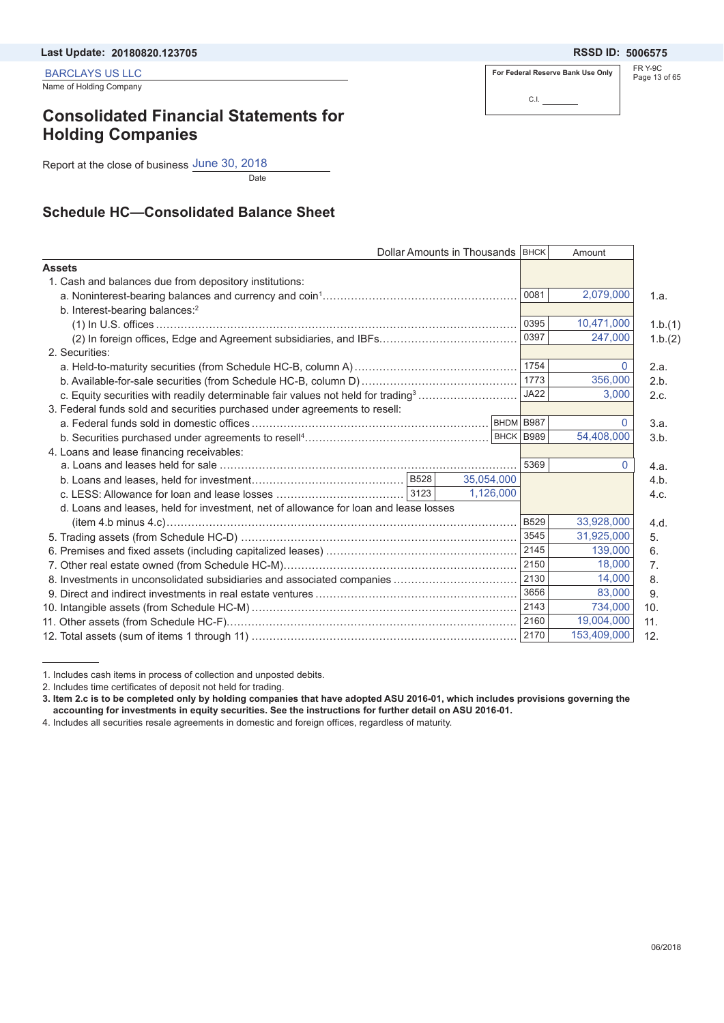BARCLAYS US LLC

Name of Holding Company

# **Consolidated Financial Statements for Holding Companies**

Report at the close of business June 30, 2018

**Date** 

### **Schedule HC—Consolidated Balance Sheet**

|                                                                                              |      | Dollar Amounts in Thousands   BHCK |             | Amount       |         |
|----------------------------------------------------------------------------------------------|------|------------------------------------|-------------|--------------|---------|
| <b>Assets</b>                                                                                |      |                                    |             |              |         |
| 1. Cash and balances due from depository institutions:                                       |      |                                    |             |              |         |
|                                                                                              |      |                                    | 0081        | 2,079,000    | 1.a.    |
| b. Interest-bearing balances: <sup>2</sup>                                                   |      |                                    |             |              |         |
|                                                                                              |      |                                    | 0395        | 10,471,000   | 1.b.(1) |
|                                                                                              |      |                                    | 0397        | 247,000      | 1.b.(2) |
| 2. Securities:                                                                               |      |                                    |             |              |         |
|                                                                                              |      |                                    | 1754        | $\mathbf{0}$ | 2.a.    |
|                                                                                              | 1773 | 356,000                            | 2.b.        |              |         |
| c. Equity securities with readily determinable fair values not held for trading <sup>3</sup> |      | <b>JA22</b>                        | 3,000       | 2.c.         |         |
| 3. Federal funds sold and securities purchased under agreements to resell:                   |      |                                    |             |              |         |
|                                                                                              |      | BHDM B987                          |             | $\Omega$     | 3.a.    |
|                                                                                              |      | BHCK B989                          |             | 54,408,000   | 3.b.    |
| 4. Loans and lease financing receivables:                                                    |      |                                    |             |              |         |
|                                                                                              |      |                                    | 5369        | $\Omega$     | 4.a.    |
|                                                                                              |      | 35,054,000                         |             |              | 4.b.    |
|                                                                                              |      | 1.126.000                          |             |              | 4.c.    |
| d. Loans and leases, held for investment, net of allowance for loan and lease losses         |      |                                    |             |              |         |
|                                                                                              |      |                                    | <b>B529</b> | 33,928,000   | 4.d.    |
|                                                                                              |      |                                    | 3545        | 31,925,000   | 5.      |
|                                                                                              |      |                                    | 2145        | 139,000      | 6.      |
|                                                                                              |      |                                    | 2150        | 18,000       | 7.      |
| 8. Investments in unconsolidated subsidiaries and associated companies                       |      |                                    | 2130        | 14.000       | 8.      |
|                                                                                              |      |                                    | 3656        | 83,000       | 9.      |
|                                                                                              |      |                                    | 2143        | 734,000      | 10.     |
|                                                                                              |      |                                    | 2160        | 19,004,000   | 11.     |
|                                                                                              |      |                                    | 2170        | 153,409,000  | 12.     |
|                                                                                              |      |                                    |             |              |         |

<sup>1.</sup> Includes cash items in process of collection and unposted debits.

2. Includes time certificates of deposit not held for trading.

**3. Item 2.c is to be completed only by holding companies that have adopted ASU 2016-01, which includes provisions governing the accounting for investments in equity securities. See the instructions for further detail on ASU 2016-01.** 

4. Includes all securities resale agreements in domestic and foreign offices, regardless of maturity.

**For Federal Reserve Bank Use Only**

C.I.

FR Y-9C Page 13 of 65 **20180820.123705 5006575**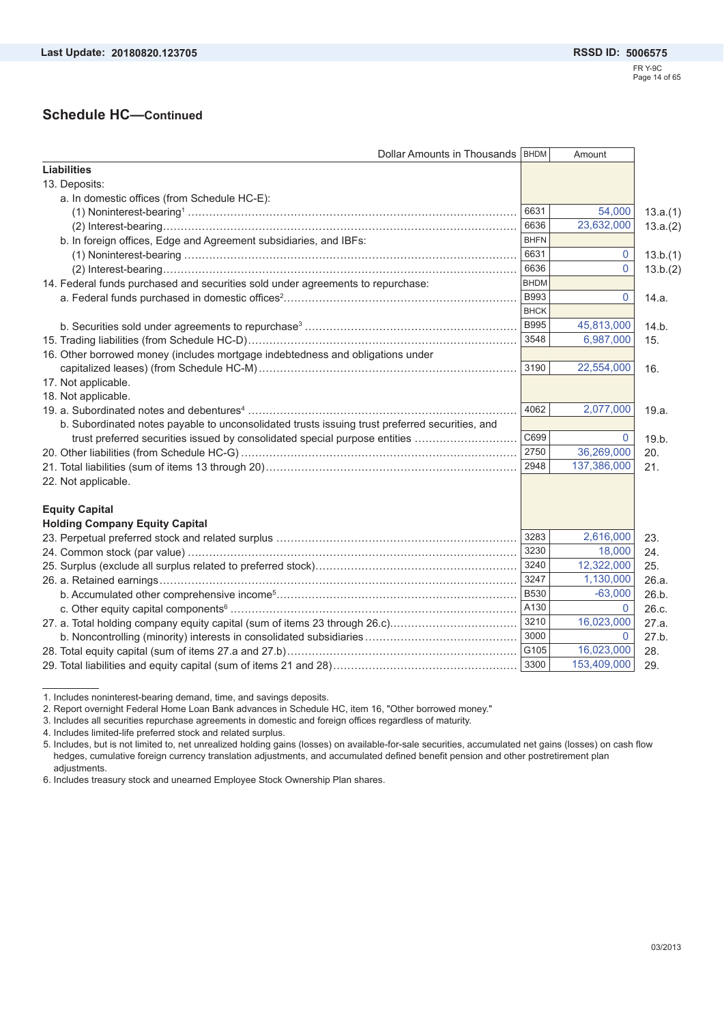### **Schedule HC—Continued**

| Dollar Amounts in Thousands   BHDM                                                             |             | Amount      |          |
|------------------------------------------------------------------------------------------------|-------------|-------------|----------|
| <b>Liabilities</b>                                                                             |             |             |          |
| 13. Deposits:                                                                                  |             |             |          |
| a. In domestic offices (from Schedule HC-E):                                                   |             |             |          |
|                                                                                                | 6631        | 54,000      | 13.a.(1) |
|                                                                                                | 6636        | 23,632,000  | 13.a.(2) |
| b. In foreign offices, Edge and Agreement subsidiaries, and IBFs:                              | <b>BHFN</b> |             |          |
|                                                                                                | 6631        | 0           | 13.b.(1) |
|                                                                                                | 6636        | 0           | 13.b.(2) |
| 14. Federal funds purchased and securities sold under agreements to repurchase:                | <b>BHDM</b> |             |          |
|                                                                                                | <b>B993</b> | 0           | 14.a.    |
|                                                                                                | <b>BHCK</b> |             |          |
|                                                                                                | <b>B995</b> | 45,813,000  | 14.b.    |
|                                                                                                | 3548        | 6,987,000   | 15.      |
| 16. Other borrowed money (includes mortgage indebtedness and obligations under                 |             |             |          |
|                                                                                                | 3190        | 22,554,000  | 16.      |
| 17. Not applicable.                                                                            |             |             |          |
| 18. Not applicable.                                                                            |             |             |          |
|                                                                                                | 4062        | 2,077,000   | 19.a.    |
| b. Subordinated notes payable to unconsolidated trusts issuing trust preferred securities, and |             |             |          |
| trust preferred securities issued by consolidated special purpose entities                     | C699        | 0           | 19.b.    |
|                                                                                                | 2750        | 36,269,000  | 20.      |
|                                                                                                | 2948        | 137,386,000 | 21.      |
| 22. Not applicable.                                                                            |             |             |          |
| <b>Equity Capital</b>                                                                          |             |             |          |
| <b>Holding Company Equity Capital</b>                                                          | 3283        |             |          |
|                                                                                                |             | 2,616,000   | 23.      |
|                                                                                                | 3230        | 18,000      | 24.      |
|                                                                                                | 3240        | 12,322,000  | 25.      |
|                                                                                                | 3247        | 1,130,000   | 26.a.    |
|                                                                                                | <b>B530</b> | $-63,000$   | 26.b.    |
|                                                                                                | A130        | $\Omega$    | 26.c.    |
|                                                                                                | 3210        | 16,023,000  | 27.a.    |
|                                                                                                | 3000        | $\Omega$    | 27.b.    |
|                                                                                                | G105        | 16,023,000  | 28.      |
|                                                                                                | 3300        | 153,409,000 | 29.      |

<sup>1.</sup> Includes noninterest-bearing demand, time, and savings deposits.

5. Includes, but is not limited to, net unrealized holding gains (losses) on available-for-sale securities, accumulated net gains (losses) on cash flow hedges, cumulative foreign currency translation adjustments, and accumulated defined benefit pension and other postretirement plan adjustments.

<sup>2.</sup> Report overnight Federal Home Loan Bank advances in Schedule HC, item 16, "Other borrowed money."

<sup>3.</sup> Includes all securities repurchase agreements in domestic and foreign offices regardless of maturity.

<sup>4.</sup> Includes limited-life preferred stock and related surplus.

<sup>6.</sup> Includes treasury stock and unearned Employee Stock Ownership Plan shares.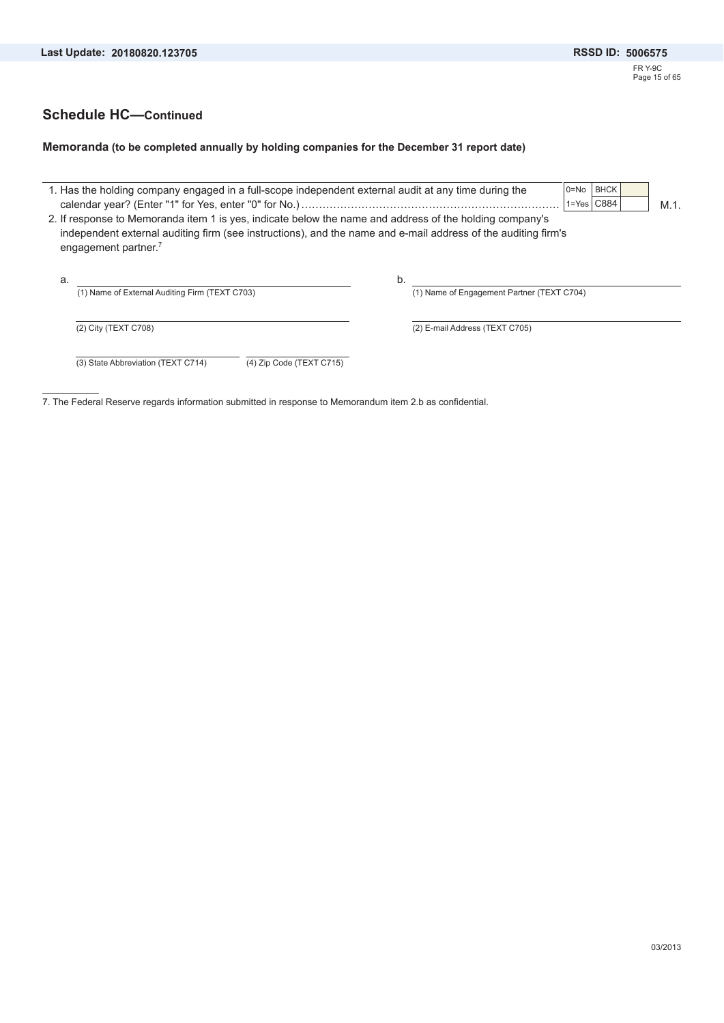### **Schedule HC—Continued**

#### **Memoranda (to be completed annually by holding companies for the December 31 report date)**

|    | 1. Has the holding company engaged in a full-scope independent external audit at any time during the                                                                                                                                                         |    | $0 = No$                                   | <b>BHCK</b><br>$1 = Yes$ $C884$ | $M.1$ . |  |
|----|--------------------------------------------------------------------------------------------------------------------------------------------------------------------------------------------------------------------------------------------------------------|----|--------------------------------------------|---------------------------------|---------|--|
|    | 2. If response to Memoranda item 1 is yes, indicate below the name and address of the holding company's<br>independent external auditing firm (see instructions), and the name and e-mail address of the auditing firm's<br>engagement partner. <sup>7</sup> |    |                                            |                                 |         |  |
| a. | (1) Name of External Auditing Firm (TEXT C703)                                                                                                                                                                                                               | b. | (1) Name of Engagement Partner (TEXT C704) |                                 |         |  |
|    | (2) City (TEXT C708)                                                                                                                                                                                                                                         |    | (2) E-mail Address (TEXT C705)             |                                 |         |  |
|    | (3) State Abbreviation (TEXT C714)<br>(4) Zip Code (TEXT C715)                                                                                                                                                                                               |    |                                            |                                 |         |  |

7. The Federal Reserve regards information submitted in response to Memorandum item 2.b as confidential.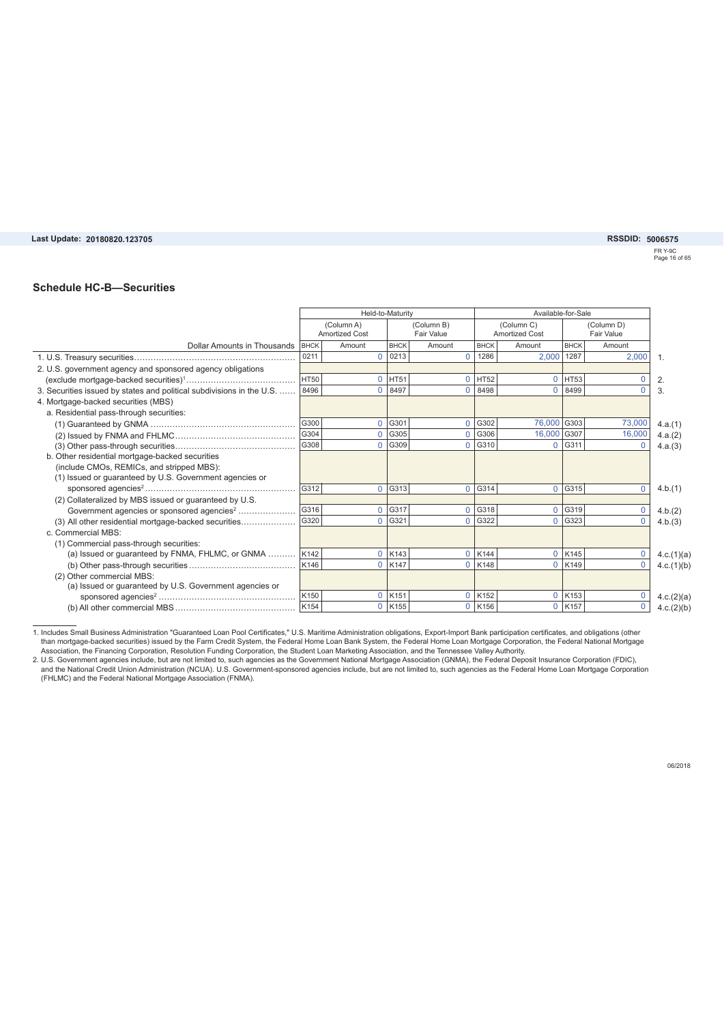#### Last Update: 20180820.123705

#### **20180820.123705 5006575**

FR Y-9C Page 16 of 65

#### **Schedule HC-B—Securities**

|                                                                       |                  | Held-to-Maturity                    |             |                          | Available-for-Sale |                                     |             |             |              |
|-----------------------------------------------------------------------|------------------|-------------------------------------|-------------|--------------------------|--------------------|-------------------------------------|-------------|-------------|--------------|
|                                                                       |                  | (Column A)<br><b>Amortized Cost</b> |             | (Column B)<br>Fair Value |                    | (Column C)<br><b>Amortized Cost</b> |             |             |              |
| Dollar Amounts in Thousands   BHCK                                    |                  | Amount                              | <b>BHCK</b> | Amount                   | <b>BHCK</b>        | Amount                              | <b>BHCK</b> | Amount      |              |
|                                                                       | 0211             | $\Omega$                            | 0213        | $\Omega$                 | 1286               | 2.000                               | 1287        | 2,000       | $\mathbf{1}$ |
| 2. U.S. government agency and sponsored agency obligations            |                  |                                     |             |                          |                    |                                     |             |             |              |
|                                                                       | HT50             | $\Omega$                            | HT51        | $\Omega$                 | HT52               | $\Omega$                            | <b>HT53</b> | $\Omega$    | 2.           |
| 3. Securities issued by states and political subdivisions in the U.S. | 8496             | 0                                   | 8497        | $\Omega$                 | 8498               | $\Omega$                            | 8499        | $\Omega$    | 3.           |
| 4. Mortgage-backed securities (MBS)                                   |                  |                                     |             |                          |                    |                                     |             |             |              |
| a. Residential pass-through securities:                               |                  |                                     |             |                          |                    |                                     |             |             |              |
|                                                                       | G300             | $\Omega$                            | G301        | $\Omega$                 | G302               | 76,000 G303                         |             | 73,000      | 4.a.(1)      |
|                                                                       | G304             | $\Omega$                            | G305        | $\Omega$                 | G306               | 16,000 G307                         |             | 16,000      | 4.a.(2)      |
|                                                                       | G308             | $\Omega$                            | G309        | $\Omega$                 | G310               | $\Omega$                            | G311        | $\Omega$    | 4.a.(3)      |
| b. Other residential mortgage-backed securities                       |                  |                                     |             |                          |                    |                                     |             |             |              |
| (include CMOs, REMICs, and stripped MBS):                             |                  |                                     |             |                          |                    |                                     |             |             |              |
| (1) Issued or guaranteed by U.S. Government agencies or               |                  |                                     |             |                          |                    |                                     |             |             |              |
|                                                                       | $\vert$ G312     | $\Omega$                            | G313        | $\Omega$                 | G314               | $\Omega$                            | G315        | $\mathbf 0$ | 4.b.(1)      |
| (2) Collateralized by MBS issued or guaranteed by U.S.                |                  |                                     |             |                          |                    |                                     |             |             |              |
| Government agencies or sponsored agencies <sup>2</sup>                | G316             | $\Omega$                            | G317        | $\Omega$                 | G318               | $\Omega$                            | G319        | $\mathbf 0$ | 4.b.(2)      |
| (3) All other residential mortgage-backed securities                  | G320             | $\Omega$                            | G321        | $\Omega$                 | G322               | $\Omega$                            | G323        | $\Omega$    | 4.b.(3)      |
| c. Commercial MBS:                                                    |                  |                                     |             |                          |                    |                                     |             |             |              |
| (1) Commercial pass-through securities:                               |                  |                                     |             |                          |                    |                                     |             |             |              |
| (a) Issued or guaranteed by FNMA, FHLMC, or GNMA  K142                |                  | $\Omega$                            | K143        | $\Omega$                 | K144               | $\Omega$                            | K145        | 0           | 4.c.(1)(a)   |
|                                                                       | K146             | 0                                   | K147        | $\Omega$                 | K148               | $\Omega$                            | K149        | $\mathbf 0$ | 4.c.(1)(b)   |
| (2) Other commercial MBS:                                             |                  |                                     |             |                          |                    |                                     |             |             |              |
| (a) Issued or guaranteed by U.S. Government agencies or               |                  |                                     |             |                          |                    |                                     |             |             |              |
|                                                                       | K <sub>150</sub> | $\Omega$                            | K151        | $\Omega$                 | K <sub>152</sub>   | $\mathbf 0$                         | K153        | $\mathbf 0$ | 4.c.(2)(a)   |
|                                                                       | K154             | 0                                   | K155        | $\Omega$                 | K156               | $\Omega$                            | K157        | $\mathbf 0$ | 4.c.(2)(b)   |

1. Includes Small Business Administration "Guaranteed Loan Pool Certificates," U.S. Maritime Administration obligations, Export-Import Bank participation certificates, and obligations (other<br>than mortgage-backed securities

Association, the Financing Corporation, Resolution Funding Corporation, the Student Loan Marketing Association, and the Tennessee Valley Authority.<br>2. U.S. Government agencies include, but are not limited to, such agencies (FHLMC) and the Federal National Mortgage Association (FNMA).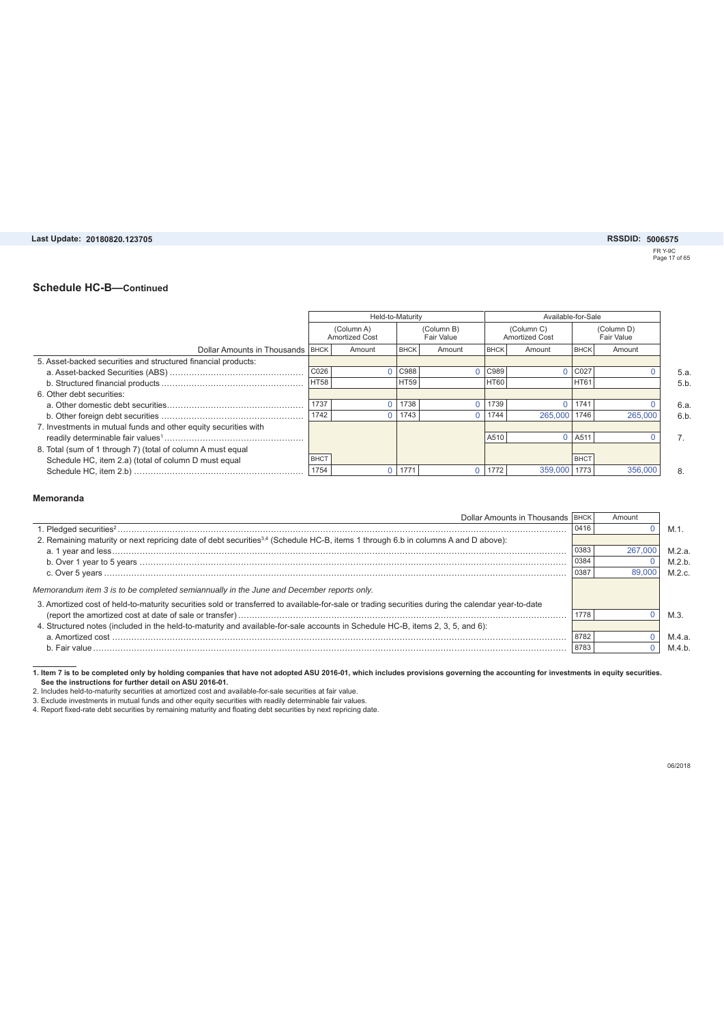#### **20180820.123705 5006575**

FR Y-9C Page 17 of 65

#### **Schedule HC-B—Continued**

|                                                                 |             | Held-to-Maturity                    |             |                          |             | Available-for-Sale                  |                          |         |  |  |
|-----------------------------------------------------------------|-------------|-------------------------------------|-------------|--------------------------|-------------|-------------------------------------|--------------------------|---------|--|--|
|                                                                 |             | (Column A)<br><b>Amortized Cost</b> |             | (Column B)<br>Fair Value |             | (Column C)<br><b>Amortized Cost</b> | (Column D)<br>Fair Value |         |  |  |
| Dollar Amounts in Thousands BHCK                                |             | Amount                              | <b>BHCK</b> | Amount                   | <b>BHCK</b> | Amount                              | <b>BHCK</b>              | Amount  |  |  |
| 5. Asset-backed securities and structured financial products:   |             |                                     |             |                          |             |                                     |                          |         |  |  |
|                                                                 | C026        |                                     | C988        |                          | C989        |                                     | C027                     |         |  |  |
|                                                                 | <b>HT58</b> |                                     | <b>HT59</b> |                          | <b>HT60</b> |                                     | <b>HT61</b>              |         |  |  |
| 6. Other debt securities:                                       |             |                                     |             |                          |             |                                     |                          |         |  |  |
|                                                                 | 1737        |                                     | 1738        |                          | 1739        |                                     | 1741                     |         |  |  |
|                                                                 | 1742        |                                     | 1743        |                          | 1744        | 265,000                             | 1746                     | 265,000 |  |  |
| 7. Investments in mutual funds and other equity securities with |             |                                     |             |                          |             |                                     |                          |         |  |  |
|                                                                 |             |                                     |             |                          | A510        | 0                                   | LA511                    |         |  |  |
| 8. Total (sum of 1 through 7) (total of column A must equal     |             |                                     |             |                          |             |                                     |                          |         |  |  |
| Schedule HC, item 2.a) (total of column D must equal            | <b>BHCT</b> |                                     |             |                          |             |                                     | <b>BHCT</b>              |         |  |  |
|                                                                 | 1754        |                                     | 1771        |                          | 1772        | 359,000                             | 1773                     | 356,000 |  |  |

#### **Memoranda**

| Dollar Amounts in Thousands   BHCK                                                                                                                |      | Amount  |           |
|---------------------------------------------------------------------------------------------------------------------------------------------------|------|---------|-----------|
|                                                                                                                                                   | 0416 |         | M.1.      |
| 2. Remaining maturity or next repricing date of debt securities <sup>3,4</sup> (Schedule HC-B, items 1 through 6.b in columns A and D above):     |      |         |           |
|                                                                                                                                                   | 0383 | 267,000 | M.2.a.    |
|                                                                                                                                                   | 0384 |         | M.2.b.    |
|                                                                                                                                                   | 0387 | 89,000  | $M$ 2 $c$ |
| Memorandum item 3 is to be completed semiannually in the June and December reports only.                                                          |      |         |           |
| 3. Amortized cost of held-to-maturity securities sold or transferred to available-for-sale or trading securities during the calendar year-to-date |      |         |           |
|                                                                                                                                                   | 1778 |         | M.3.      |
| 4. Structured notes (included in the held-to-maturity and available-for-sale accounts in Schedule HC-B, items 2, 3, 5, and 6):                    |      |         |           |
|                                                                                                                                                   | 8782 |         | M.4.a.    |
|                                                                                                                                                   | 8783 |         | M.4.b.    |

1. Item 7 is to be completed only by holding companies that have not adopted ASU 2016-01, which includes provisions governing the accounting for investments in equity securities.<br>2. Includes held-to-maturity securities at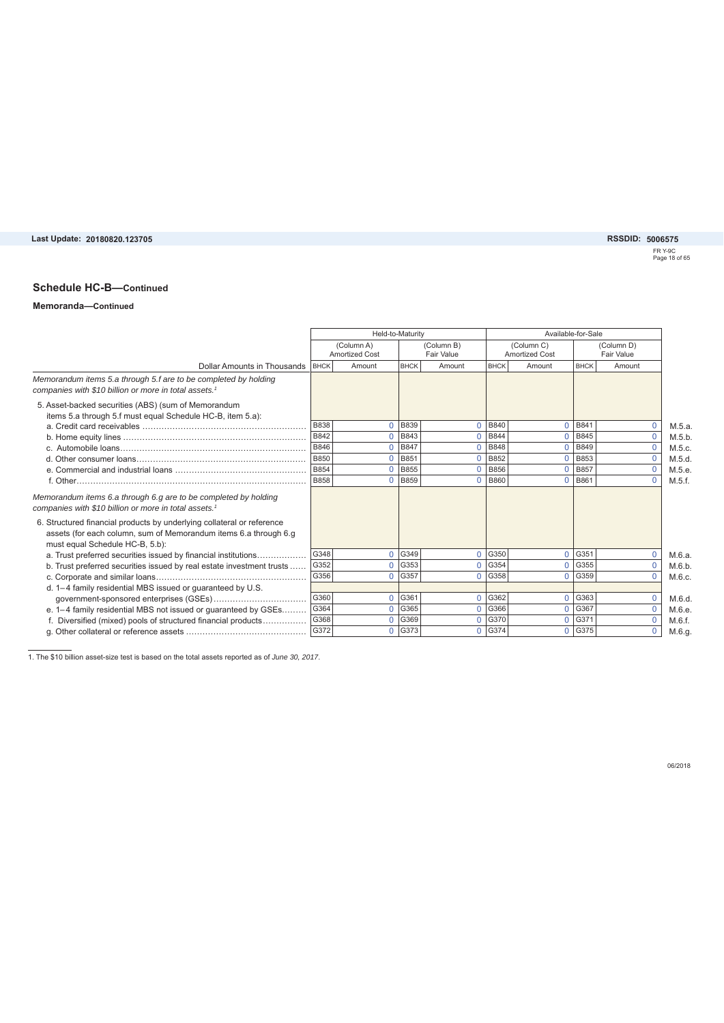# **20180820.123705 5006575**

FR Y-9C Page 18 of 65

### **Schedule HC-B—Continued**

#### **Memoranda—Continued**

|                                                                                                                                                                               |             | Held-to-Maturity                    |                      |                          |             |                                     | Available-for-Sale |                                 |        |  |
|-------------------------------------------------------------------------------------------------------------------------------------------------------------------------------|-------------|-------------------------------------|----------------------|--------------------------|-------------|-------------------------------------|--------------------|---------------------------------|--------|--|
|                                                                                                                                                                               |             | (Column A)<br><b>Amortized Cost</b> |                      | (Column B)<br>Fair Value |             | (Column C)<br><b>Amortized Cost</b> |                    | (Column D)<br><b>Fair Value</b> |        |  |
| Dollar Amounts in Thousands                                                                                                                                                   | <b>BHCK</b> | Amount                              | <b>BHCK</b>          | Amount                   | <b>BHCK</b> | Amount                              | <b>BHCK</b>        | Amount                          |        |  |
| Memorandum items 5.a through 5.f are to be completed by holding<br>companies with \$10 billion or more in total assets. <sup>1</sup>                                          |             |                                     |                      |                          |             |                                     |                    |                                 |        |  |
| 5. Asset-backed securities (ABS) (sum of Memorandum<br>items 5.a through 5.f must equal Schedule HC-B, item 5.a):                                                             |             |                                     |                      |                          |             |                                     |                    |                                 |        |  |
|                                                                                                                                                                               | <b>B838</b> | $\Omega$                            | <b>B839</b>          | $\Omega$                 | <b>B840</b> | $\Omega$                            | <b>B841</b>        | $\mathbf 0$                     | M.5.a. |  |
|                                                                                                                                                                               | <b>B842</b> | $\Omega$                            | <b>B843</b>          | $\Omega$                 | <b>B844</b> | $\Omega$                            | <b>B845</b>        | $\overline{0}$                  | M.5.b. |  |
|                                                                                                                                                                               | B846        | $\Omega$                            | <b>B847</b>          | $\Omega$                 | <b>B848</b> | $\Omega$                            | <b>B849</b>        | $\Omega$                        | M.5.c. |  |
|                                                                                                                                                                               | <b>B850</b> | $\Omega$                            | B851                 | $\Omega$                 | B852        | $\Omega$                            | B853               | $\mathbf 0$                     | M.5.d. |  |
|                                                                                                                                                                               | <b>B854</b> | $\overline{0}$                      | <b>B855</b>          | $\Omega$                 | <b>B856</b> | $\Omega$                            | <b>B857</b>        | $\mathbf{0}$                    | M.5.e. |  |
|                                                                                                                                                                               | <b>B858</b> | $\Omega$                            | <b>B859</b>          | $\Omega$                 | <b>B860</b> | $\Omega$                            | <b>B861</b>        | $\Omega$                        | M.5.f. |  |
| Memorandum items 6.a through 6.g are to be completed by holding<br>companies with \$10 billion or more in total assets. <sup>1</sup>                                          |             |                                     |                      |                          |             |                                     |                    |                                 |        |  |
| 6. Structured financial products by underlying collateral or reference<br>assets (for each column, sum of Memorandum items 6.a through 6.g<br>must equal Schedule HC-B, 5.b): |             |                                     |                      |                          |             |                                     |                    |                                 |        |  |
| a. Trust preferred securities issued by financial institutions                                                                                                                | G348        |                                     | $0$ G <sub>349</sub> | $\Omega$                 | G350        | $\Omega$                            | G351               | $\mathbf 0$                     | M.6.a. |  |
| b. Trust preferred securities issued by real estate investment trusts                                                                                                         | G352        | $\Omega$                            | G353                 | $\Omega$                 | G354        | $\Omega$                            | G355               | $\mathbf 0$                     | M.6.b. |  |
|                                                                                                                                                                               | G356        | $\Omega$                            | G357                 | $\Omega$                 | G358        | $\Omega$                            | G359               | $\mathbf 0$                     | M.6.c. |  |
| d. 1-4 family residential MBS issued or guaranteed by U.S.                                                                                                                    |             |                                     |                      |                          |             |                                     |                    |                                 |        |  |
|                                                                                                                                                                               | G360        | $\Omega$                            | G361                 | $\Omega$                 | G362        | $\Omega$                            | G363               | $\mathbf 0$                     | M.6.d. |  |
| e. 1-4 family residential MBS not issued or guaranteed by GSEs                                                                                                                | G364        | $\Omega$                            | G365                 | $\Omega$                 | G366        | $\Omega$                            | G367               | $\mathbf 0$                     | M.6.e. |  |
| f. Diversified (mixed) pools of structured financial products                                                                                                                 | G368        | $\Omega$                            | G369                 | $\Omega$                 | G370        | $\Omega$                            | G371               | $\mathbf{0}$                    | M.6.f. |  |
|                                                                                                                                                                               | G372        | $\Omega$                            | G373                 | $\Omega$                 | G374        | $\Omega$                            | G375               | $\Omega$                        | M.6.g. |  |

1. The \$10 billion asset-size test is based on the total assets reported as of *June 30, 2017*.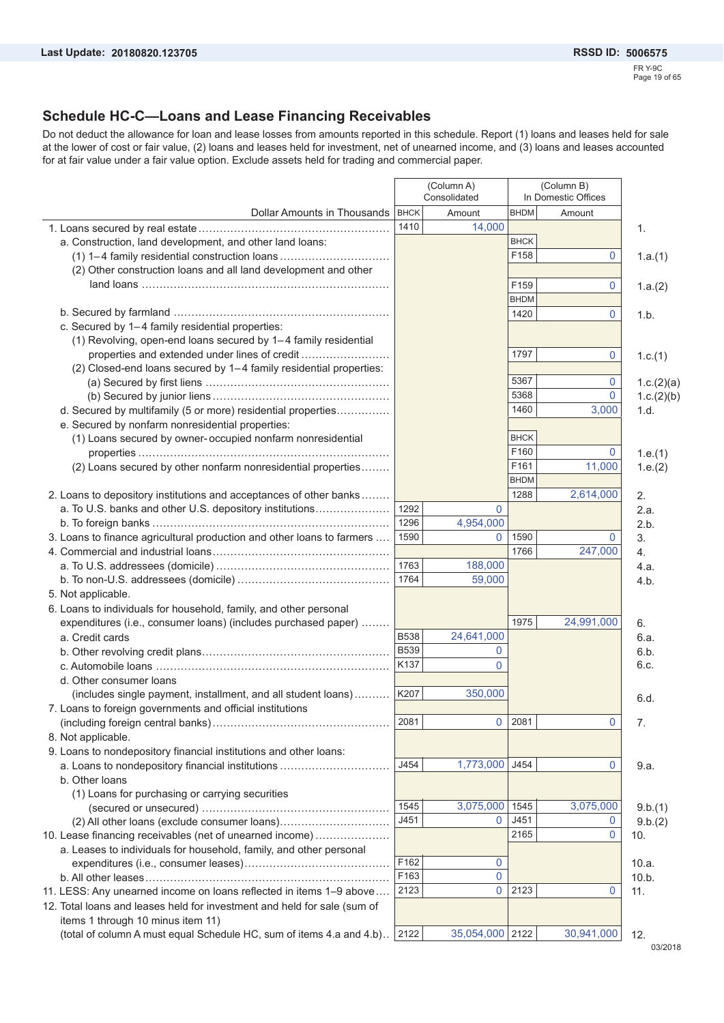### **Schedule HC-C—Loans and Lease Financing Receivables**

Do not deduct the allowance for loan and lease losses from amounts reported in this schedule. Report (1) loans and leases held for sale at the lower of cost or fair value, (2) loans and leases held for investment, net of unearned income, and (3) loans and leases accounted for at fair value under a fair value option. Exclude assets held for trading and commercial paper.

|                                                                          | (Column A)<br>Consolidated |                 |             | (Column B)<br>In Domestic Offices |            |
|--------------------------------------------------------------------------|----------------------------|-----------------|-------------|-----------------------------------|------------|
| Dollar Amounts in Thousands                                              | <b>BHCK</b>                | Amount          | <b>BHDM</b> | Amount                            |            |
|                                                                          | 1410                       | 14,000          |             |                                   | 1.         |
| a. Construction, land development, and other land loans:                 |                            |                 | <b>BHCK</b> |                                   |            |
| (1) 1-4 family residential construction loans                            |                            |                 | F158        | 0                                 | 1.a.(1)    |
| (2) Other construction loans and all land development and other          |                            |                 |             |                                   |            |
|                                                                          |                            |                 | F159        | 0                                 | 1.a.(2)    |
|                                                                          |                            |                 | <b>BHDM</b> |                                   |            |
|                                                                          |                            |                 | 1420        | 0                                 | 1.b.       |
| c. Secured by 1-4 family residential properties:                         |                            |                 |             |                                   |            |
| (1) Revolving, open-end loans secured by 1-4 family residential          |                            |                 |             |                                   |            |
| properties and extended under lines of credit                            |                            |                 | 1797        | 0                                 | 1.c.(1)    |
| (2) Closed-end loans secured by 1-4 family residential properties:       |                            |                 |             |                                   |            |
|                                                                          |                            |                 | 5367        | 0                                 | 1.c.(2)(a) |
|                                                                          |                            |                 | 5368        | 0                                 | 1.c.(2)(b) |
| d. Secured by multifamily (5 or more) residential properties             |                            |                 | 1460        | 3,000                             | 1.d.       |
| e. Secured by nonfarm nonresidential properties:                         |                            |                 |             |                                   |            |
| (1) Loans secured by owner-occupied nonfarm nonresidential               |                            |                 | <b>BHCK</b> |                                   |            |
|                                                                          |                            |                 | F160        | 0                                 | 1.e.(1)    |
| (2) Loans secured by other nonfarm nonresidential properties             |                            |                 | F161        | 11,000                            | 1.e.(2)    |
|                                                                          |                            |                 | <b>BHDM</b> |                                   |            |
| 2. Loans to depository institutions and acceptances of other banks       |                            |                 | 1288        | 2,614,000                         | 2.         |
| a. To U.S. banks and other U.S. depository institutions                  | 1292                       | $\mathbf{0}$    |             |                                   | 2.a.       |
|                                                                          | 1296                       | 4,954,000       |             |                                   | 2.b.       |
| 3. Loans to finance agricultural production and other loans to farmers   | 1590                       | $\mathbf 0$     | 1590        | $\Omega$                          | 3.         |
|                                                                          |                            |                 | 1766        | 247,000                           | 4.         |
|                                                                          | 1763                       | 188,000         |             |                                   | 4.a.       |
|                                                                          | 1764                       | 59,000          |             |                                   | 4.b.       |
| 5. Not applicable.                                                       |                            |                 |             |                                   |            |
| 6. Loans to individuals for household, family, and other personal        |                            |                 |             |                                   |            |
| expenditures (i.e., consumer loans) (includes purchased paper)           |                            |                 | 1975        | 24,991,000                        | 6.         |
| a. Credit cards                                                          | <b>B538</b>                | 24,641,000      |             |                                   | 6.a.       |
|                                                                          | <b>B539</b>                | 0               |             |                                   | 6.b.       |
|                                                                          | K137                       | 0               |             |                                   | 6.c.       |
| d. Other consumer loans                                                  |                            |                 |             |                                   |            |
| (includes single payment, installment, and all student loans)            | K207                       | 350,000         |             |                                   | 6.d.       |
| 7. Loans to foreign governments and official institutions                |                            |                 |             |                                   |            |
|                                                                          | 2081                       |                 | 0   2081    | 0                                 | 7.         |
| 8. Not applicable.                                                       |                            |                 |             |                                   |            |
| 9. Loans to nondepository financial institutions and other loans:        |                            |                 |             |                                   |            |
| a. Loans to nondepository financial institutions                         | J454                       | 1,773,000 J454  |             | 0                                 | 9.a.       |
| b. Other loans                                                           |                            |                 |             |                                   |            |
| (1) Loans for purchasing or carrying securities                          |                            |                 |             |                                   |            |
|                                                                          | 1545                       | 3,075,000       | 1545        | 3,075,000                         | 9.b.(1)    |
|                                                                          | J451                       | $\mathbf{0}$    | J451        | $\mathbf 0$                       | 9.b.(2)    |
| 10. Lease financing receivables (net of unearned income)                 |                            |                 | 2165        | $\mathbf 0$                       | 10.        |
| a. Leases to individuals for household, family, and other personal       |                            |                 |             |                                   |            |
|                                                                          | F162                       | 0               |             |                                   | 10.a.      |
|                                                                          | F163                       | $\pmb{0}$       |             |                                   | 10.b.      |
| 11. LESS: Any unearned income on loans reflected in items 1-9 above      | 2123                       | $\mathbf{0}$    | 2123        | 0                                 | 11.        |
| 12. Total loans and leases held for investment and held for sale (sum of |                            |                 |             |                                   |            |
| items 1 through 10 minus item 11)                                        |                            |                 |             |                                   |            |
| (total of column A must equal Schedule HC, sum of items 4.a and 4.b)     | 2122                       | 35,054,000 2122 |             | 30,941,000                        | 12.        |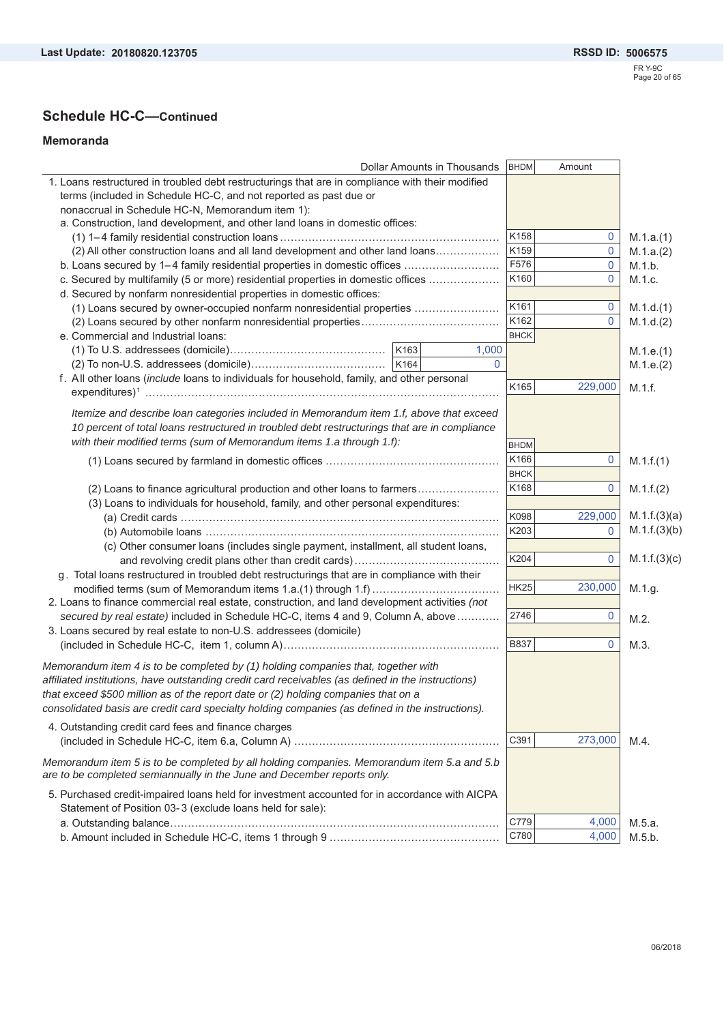## **Schedule HC-C—Continued**

#### **Memoranda**

| Dollar Amounts in Thousands                                                                                                                                           | <b>BHDM</b> | Amount       |              |
|-----------------------------------------------------------------------------------------------------------------------------------------------------------------------|-------------|--------------|--------------|
| 1. Loans restructured in troubled debt restructurings that are in compliance with their modified                                                                      |             |              |              |
| terms (included in Schedule HC-C, and not reported as past due or                                                                                                     |             |              |              |
| nonaccrual in Schedule HC-N, Memorandum item 1):                                                                                                                      |             |              |              |
| a. Construction, land development, and other land loans in domestic offices:                                                                                          |             |              |              |
|                                                                                                                                                                       | K158        | $\mathbf 0$  | M.1.a.(1)    |
| (2) All other construction loans and all land development and other land loans                                                                                        | K159        | $\mathbf 0$  | M.1.a.(2)    |
| b. Loans secured by 1-4 family residential properties in domestic offices                                                                                             | F576        | 0            | M.1.b.       |
| c. Secured by multifamily (5 or more) residential properties in domestic offices                                                                                      | K160        | $\mathbf{0}$ | M.1.c.       |
| d. Secured by nonfarm nonresidential properties in domestic offices:                                                                                                  |             |              |              |
| (1) Loans secured by owner-occupied nonfarm nonresidential properties                                                                                                 | K161        | $\mathbf 0$  | M.1.d.(1)    |
|                                                                                                                                                                       | K162        | 0            | M.1.d.(2)    |
| e. Commercial and Industrial loans:                                                                                                                                   | <b>BHCK</b> |              |              |
|                                                                                                                                                                       |             |              |              |
| K163<br>1,000                                                                                                                                                         |             |              | M.1.e.(1)    |
| $\mathbf{0}$                                                                                                                                                          |             |              | M.1.e.(2)    |
| f. All other loans (include loans to individuals for household, family, and other personal                                                                            | K165        | 229,000      | M.1.f.       |
|                                                                                                                                                                       |             |              |              |
| Itemize and describe Ioan categories included in Memorandum item 1.f, above that exceed                                                                               |             |              |              |
| 10 percent of total loans restructured in troubled debt restructurings that are in compliance                                                                         |             |              |              |
| with their modified terms (sum of Memorandum items 1.a through 1.f):                                                                                                  |             |              |              |
|                                                                                                                                                                       | <b>BHDM</b> |              |              |
|                                                                                                                                                                       | K166        | $\mathbf 0$  | M.1.f.(1)    |
|                                                                                                                                                                       | <b>BHCK</b> |              |              |
| (2) Loans to finance agricultural production and other loans to farmers                                                                                               | K168        | 0            | M.1.f.(2)    |
| (3) Loans to individuals for household, family, and other personal expenditures:                                                                                      |             |              |              |
|                                                                                                                                                                       | K098        | 229,000      | M.1.f.(3)(a) |
|                                                                                                                                                                       | K203        | $\mathbf 0$  | M.1.f.(3)(b) |
| (c) Other consumer loans (includes single payment, installment, all student loans,                                                                                    |             |              |              |
|                                                                                                                                                                       | K204        | $\mathbf 0$  | M.1.f.(3)(c) |
| g. Total loans restructured in troubled debt restructurings that are in compliance with their                                                                         |             |              |              |
|                                                                                                                                                                       | <b>HK25</b> | 230,000      | M.1.g.       |
| 2. Loans to finance commercial real estate, construction, and land development activities (not                                                                        |             |              |              |
| secured by real estate) included in Schedule HC-C, items 4 and 9, Column A, above                                                                                     | 2746        | 0            | M.2.         |
| 3. Loans secured by real estate to non-U.S. addressees (domicile)                                                                                                     |             |              |              |
|                                                                                                                                                                       | <b>B837</b> | 0            | M.3.         |
|                                                                                                                                                                       |             |              |              |
| Memorandum item 4 is to be completed by (1) holding companies that, together with                                                                                     |             |              |              |
| affiliated institutions, have outstanding credit card receivables (as defined in the instructions)                                                                    |             |              |              |
| that exceed \$500 million as of the report date or (2) holding companies that on a                                                                                    |             |              |              |
| consolidated basis are credit card specialty holding companies (as defined in the instructions).                                                                      |             |              |              |
| 4. Outstanding credit card fees and finance charges                                                                                                                   |             |              |              |
|                                                                                                                                                                       | C391        | 273,000      | M.4.         |
|                                                                                                                                                                       |             |              |              |
| Memorandum item 5 is to be completed by all holding companies. Memorandum item 5.a and 5.b<br>are to be completed semiannually in the June and December reports only. |             |              |              |
| 5. Purchased credit-impaired loans held for investment accounted for in accordance with AICPA                                                                         |             |              |              |
|                                                                                                                                                                       |             |              |              |
| Statement of Position 03-3 (exclude loans held for sale):                                                                                                             |             |              |              |
|                                                                                                                                                                       | C779        | 4,000        | M.5.a.       |
|                                                                                                                                                                       | C780        | 4,000        | M.5.b.       |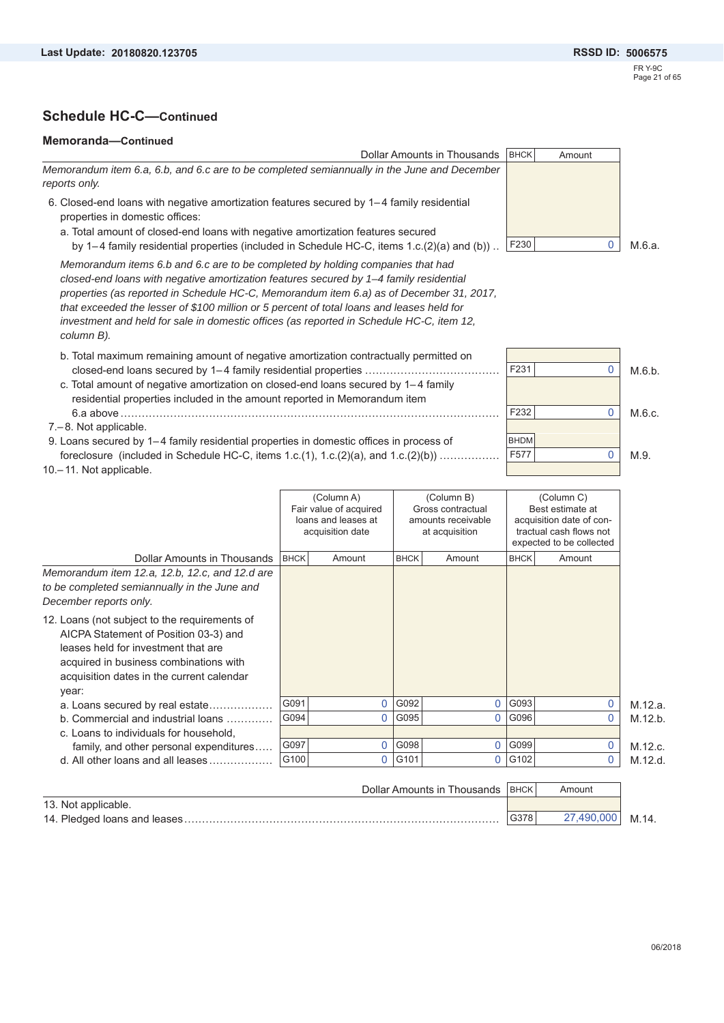#### **Memoranda—Continued**



| December reports only.                                                                                                                                                                                                        |      |      |      |   |         |
|-------------------------------------------------------------------------------------------------------------------------------------------------------------------------------------------------------------------------------|------|------|------|---|---------|
| 12. Loans (not subject to the requirements of<br>AICPA Statement of Position 03-3) and<br>leases held for investment that are<br>acquired in business combinations with<br>acquisition dates in the current calendar<br>year: |      |      |      |   |         |
| a. Loans secured by real estate                                                                                                                                                                                               | G091 | G092 | G093 |   | M.12.a. |
| b. Commercial and industrial loans                                                                                                                                                                                            | G094 | G095 | G096 |   | M.12.b. |
| c. Loans to individuals for household,                                                                                                                                                                                        |      |      |      |   |         |
| family, and other personal expenditures                                                                                                                                                                                       | G097 | G098 | G099 |   | M.12.c. |
| d. All other loans and all leases                                                                                                                                                                                             | G100 | G101 | G102 | 0 | M.12.d. |

|                              | Dollar Amounts in Thousands   BHCK |      | Amount     |       |
|------------------------------|------------------------------------|------|------------|-------|
| 13. Not applicable.          |                                    |      |            |       |
| 14. Pledged loans and leases |                                    | G378 | 27.490.000 | M.14. |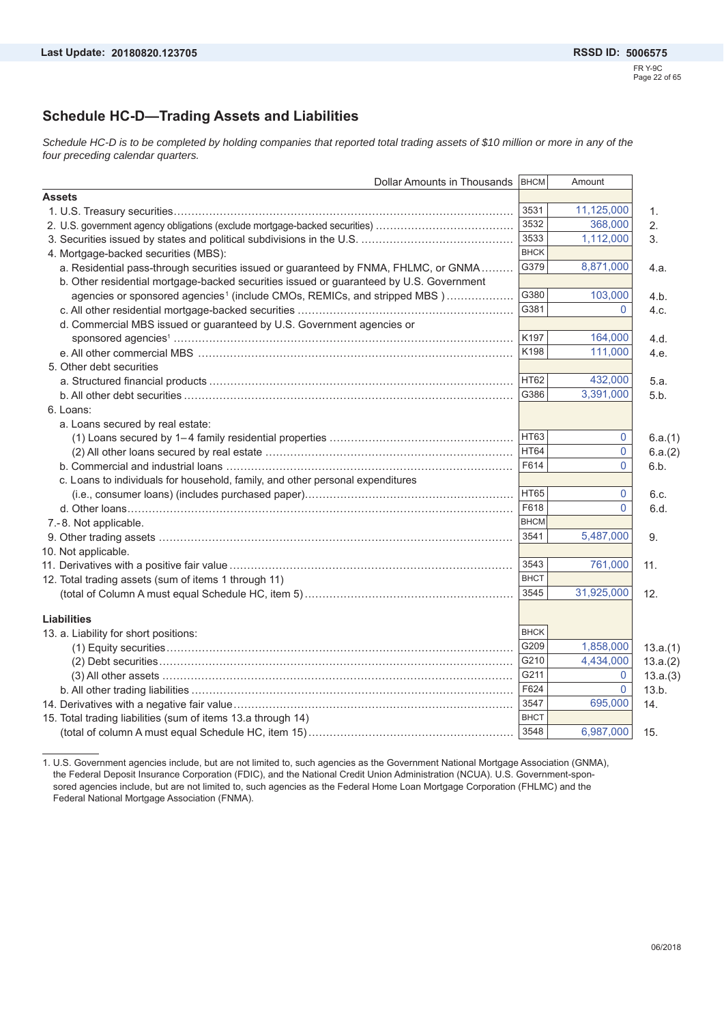### **Schedule HC-D—Trading Assets and Liabilities**

*Schedule HC-D is to be completed by holding companies that reported total trading assets of \$10 million or more in any of the four preceding calendar quarters.*

|                                                                                         | Dollar Amounts in Thousands | BHCM        | Amount       |                |
|-----------------------------------------------------------------------------------------|-----------------------------|-------------|--------------|----------------|
| <b>Assets</b>                                                                           |                             |             |              |                |
|                                                                                         |                             | 3531        | 11,125,000   | $\mathbf{1}$ . |
| 2. U.S. government agency obligations (exclude mortgage-backed securities)              |                             | 3532        | 368,000      | 2.             |
|                                                                                         |                             | 3533        | 1,112,000    | 3.             |
| 4. Mortgage-backed securities (MBS):                                                    |                             | <b>BHCK</b> |              |                |
| a. Residential pass-through securities issued or guaranteed by FNMA, FHLMC, or GNMA     |                             | G379        | 8,871,000    | 4.a.           |
| b. Other residential mortgage-backed securities issued or guaranteed by U.S. Government |                             |             |              |                |
| agencies or sponsored agencies <sup>1</sup> (include CMOs, REMICs, and stripped MBS)    |                             | G380        | 103,000      | 4.b.           |
|                                                                                         |                             | G381        | $\mathbf{0}$ | 4.c.           |
| d. Commercial MBS issued or guaranteed by U.S. Government agencies or                   |                             |             |              |                |
|                                                                                         |                             | K197        | 164,000      | 4.d.           |
|                                                                                         |                             | K198        | 111,000      | 4.e.           |
| 5. Other debt securities                                                                |                             |             |              |                |
|                                                                                         |                             | <b>HT62</b> | 432,000      | 5.a.           |
|                                                                                         |                             | G386        | 3,391,000    | 5.b.           |
| 6. Loans:                                                                               |                             |             |              |                |
| a. Loans secured by real estate:                                                        |                             |             |              |                |
|                                                                                         |                             | HT63        | 0            | 6.a.(1)        |
|                                                                                         |                             | HT64        | 0            | 6.a.(2)        |
|                                                                                         |                             | F614        | $\mathbf 0$  | 6.b.           |
| c. Loans to individuals for household, family, and other personal expenditures          |                             |             |              |                |
|                                                                                         |                             | <b>HT65</b> | 0            | 6.c.           |
|                                                                                         |                             | F618        | $\mathbf{0}$ | 6.d.           |
| 7.-8. Not applicable.                                                                   |                             | <b>BHCM</b> |              |                |
|                                                                                         |                             | 3541        | 5,487,000    | 9.             |
| 10. Not applicable.                                                                     |                             |             |              |                |
|                                                                                         |                             | 3543        | 761,000      | 11.            |
| 12. Total trading assets (sum of items 1 through 11)                                    |                             | <b>BHCT</b> |              |                |
|                                                                                         |                             | 3545        | 31,925,000   | 12.            |
|                                                                                         |                             |             |              |                |
| <b>Liabilities</b>                                                                      |                             |             |              |                |
| 13. a. Liability for short positions:                                                   |                             | <b>BHCK</b> |              |                |
|                                                                                         |                             | G209        | 1,858,000    | 13.a.(1)       |
|                                                                                         |                             | G210        | 4,434,000    | 13.a.(2)       |
| (3) All other assets ………………………………………………………………………………………                                  |                             | G211        | $\mathbf{0}$ | 13.a.(3)       |
|                                                                                         |                             | F624        | $\mathbf{0}$ | 13.b.          |
|                                                                                         |                             | 3547        | 695,000      | 14.            |
| 15. Total trading liabilities (sum of items 13.a through 14)                            |                             | <b>BHCT</b> |              |                |
|                                                                                         |                             | 3548        | 6,987,000    | 15.            |

1. U.S. Government agencies include, but are not limited to, such agencies as the Government National Mortgage Association (GNMA), the Federal Deposit Insurance Corporation (FDIC), and the National Credit Union Administration (NCUA). U.S. Government-sponsored agencies include, but are not limited to, such agencies as the Federal Home Loan Mortgage Corporation (FHLMC) and the Federal National Mortgage Association (FNMA).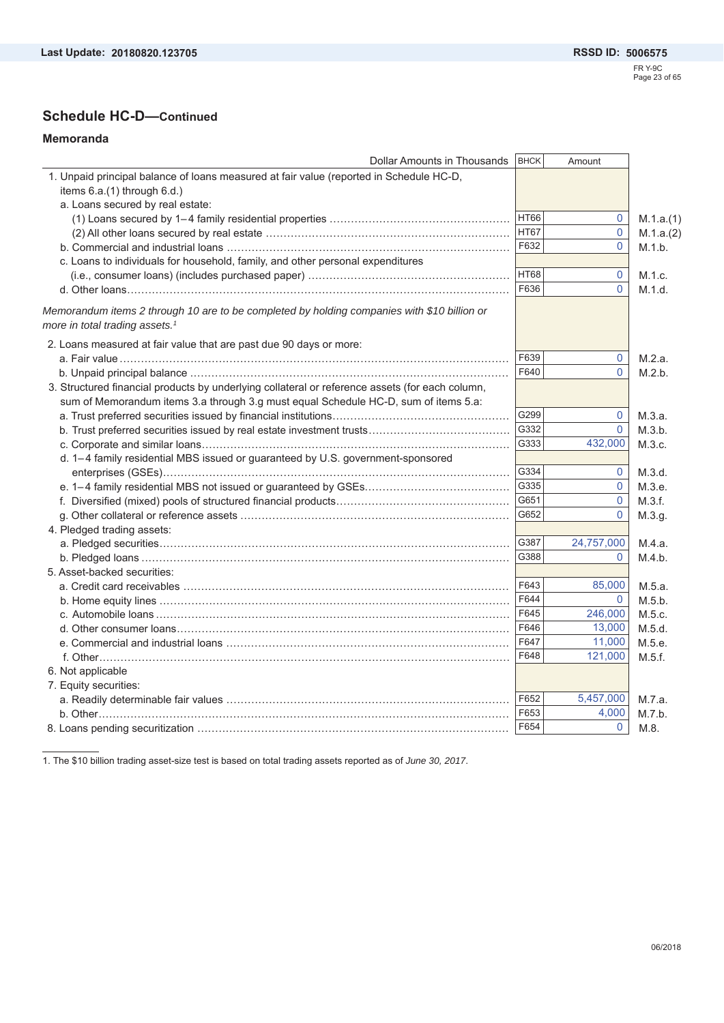### **Schedule HC-D—Continued**

#### **Memoranda**

| Dollar Amounts in Thousands                                                                                                               | <b>BHCK</b> | Amount         |           |
|-------------------------------------------------------------------------------------------------------------------------------------------|-------------|----------------|-----------|
| 1. Unpaid principal balance of loans measured at fair value (reported in Schedule HC-D,                                                   |             |                |           |
| items 6.a.(1) through 6.d.)                                                                                                               |             |                |           |
| a. Loans secured by real estate:                                                                                                          |             |                |           |
|                                                                                                                                           | <b>HT66</b> | 0              | M.1.a.(1) |
|                                                                                                                                           | <b>HT67</b> | 0              | M.1.a.(2) |
|                                                                                                                                           | F632        | $\overline{0}$ | M.1.b.    |
| c. Loans to individuals for household, family, and other personal expenditures                                                            |             |                |           |
|                                                                                                                                           | <b>HT68</b> | 0              | M.1.c.    |
|                                                                                                                                           | F636        | $\Omega$       | M.1.d.    |
| Memorandum items 2 through 10 are to be completed by holding companies with \$10 billion or<br>more in total trading assets. <sup>1</sup> |             |                |           |
| 2. Loans measured at fair value that are past due 90 days or more:                                                                        |             |                |           |
|                                                                                                                                           | F639        | 0              | M.2.a.    |
|                                                                                                                                           | F640        | 0              | M.2.b.    |
| 3. Structured financial products by underlying collateral or reference assets (for each column,                                           |             |                |           |
| sum of Memorandum items 3.a through 3.g must equal Schedule HC-D, sum of items 5.a:                                                       |             |                |           |
|                                                                                                                                           | G299        | 0              | M.3.a.    |
|                                                                                                                                           | G332        | $\Omega$       | M.3.b.    |
|                                                                                                                                           | G333        | 432,000        | M.3.c.    |
| d. 1-4 family residential MBS issued or guaranteed by U.S. government-sponsored                                                           |             |                |           |
|                                                                                                                                           | G334        | 0              | M.3.d.    |
|                                                                                                                                           | G335        | $\mathbf 0$    | M.3.e.    |
|                                                                                                                                           | G651        | $\Omega$       | M.3.f.    |
|                                                                                                                                           | G652        | $\Omega$       | M.3.g.    |
| 4. Pledged trading assets:                                                                                                                |             |                |           |
|                                                                                                                                           | G387        | 24,757,000     | M.4.a.    |
|                                                                                                                                           | G388        | 0              | M.4.b.    |
| 5. Asset-backed securities:                                                                                                               |             |                |           |
|                                                                                                                                           | F643        | 85,000         | M.5.a.    |
|                                                                                                                                           | F644        | $\mathbf{0}$   | M.5.b.    |
|                                                                                                                                           | F645        | 246,000        | M.5.c.    |
|                                                                                                                                           | F646        | 13,000         | M.5.d.    |
|                                                                                                                                           | F647        | 11,000         | M.5.e.    |
|                                                                                                                                           | F648        | 121,000        | M.5.f.    |
| 6. Not applicable                                                                                                                         |             |                |           |
| 7. Equity securities:                                                                                                                     |             |                |           |
|                                                                                                                                           | F652        | 5,457,000      | M.7.a.    |
|                                                                                                                                           | F653        | 4,000          | M.7.b.    |
|                                                                                                                                           | F654        | $\mathbf{0}$   | M.8.      |
|                                                                                                                                           |             |                |           |

1. The \$10 billion trading asset-size test is based on total trading assets reported as of *June 30, 2017*.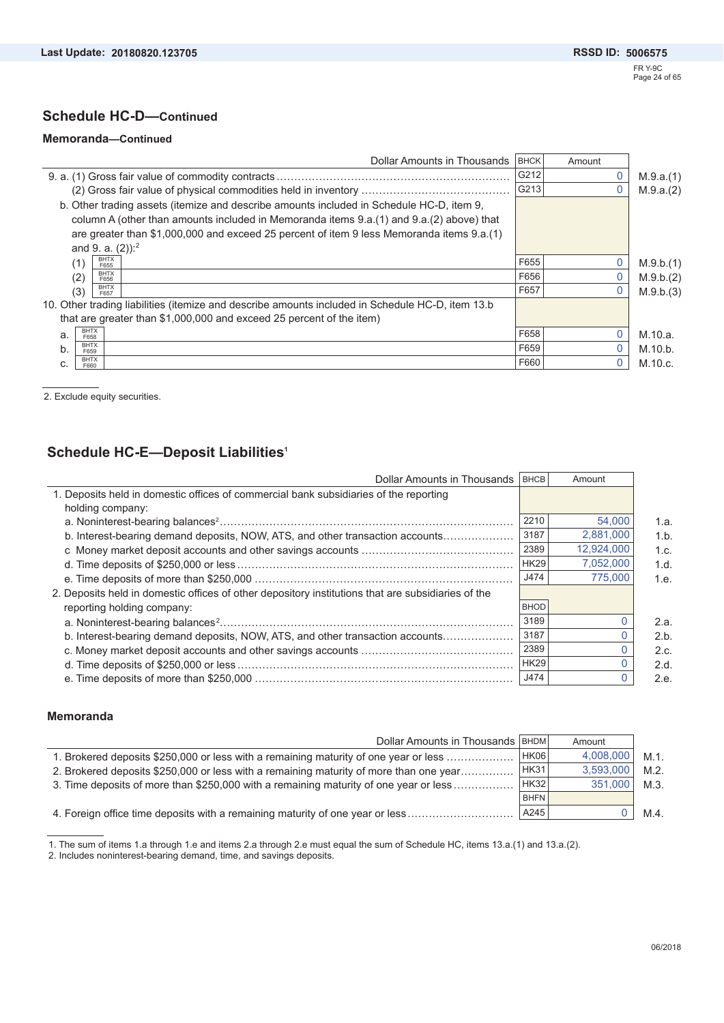### **Schedule HC-D—Continued**

#### **Memoranda—Continued**

|                                                                                                  | Dollar Amounts in Thousands | <b>BHCK</b> | Amount |           |
|--------------------------------------------------------------------------------------------------|-----------------------------|-------------|--------|-----------|
|                                                                                                  |                             | G212        |        | M.9.a.(1) |
|                                                                                                  |                             | G213        |        | M.9.a.(2) |
| b. Other trading assets (itemize and describe amounts included in Schedule HC-D, item 9,         |                             |             |        |           |
| column A (other than amounts included in Memoranda items 9.a.(1) and 9.a.(2) above) that         |                             |             |        |           |
| are greater than \$1,000,000 and exceed 25 percent of item 9 less Memoranda items 9.a.(1)        |                             |             |        |           |
| and 9. a. $(2)$ : <sup>2</sup>                                                                   |                             |             |        |           |
| <b>BHTX</b><br>(1)<br>F655                                                                       |                             | F655        |        | M.9.b.(1) |
| <b>BHTX</b><br>(2)<br>F656                                                                       |                             | F656        |        | M.9.b.(2) |
| <b>BHTX</b><br>(3)<br>F657                                                                       |                             | F657        |        | M.9.b.(3) |
| 10. Other trading liabilities (itemize and describe amounts included in Schedule HC-D, item 13.b |                             |             |        |           |
| that are greater than \$1,000,000 and exceed 25 percent of the item)                             |                             |             |        |           |
| <b>BHTX</b><br>a.<br>F658                                                                        |                             | F658        |        | M.10.a.   |
| <b>BHTX</b><br>b.<br>F659                                                                        |                             | F659        |        | M.10.b.   |
| <b>BHTX</b><br>c.<br>F660                                                                        |                             | F660        |        | M.10.c.   |
|                                                                                                  |                             |             |        |           |

2. Exclude equity securities.

### **Schedule HC-E—Deposit Liabilities1**

| Dollar Amounts in Thousands                                                                        | <b>BHCB</b> | Amount     |      |
|----------------------------------------------------------------------------------------------------|-------------|------------|------|
| 1. Deposits held in domestic offices of commercial bank subsidiaries of the reporting              |             |            |      |
| holding company:                                                                                   |             |            |      |
|                                                                                                    | 2210        | 54,000     | 1.a. |
| b. Interest-bearing demand deposits, NOW, ATS, and other transaction accounts                      | 3187        | 2,881,000  | 1.b. |
|                                                                                                    | 2389        | 12,924,000 | 1.c. |
|                                                                                                    | <b>HK29</b> | 7,052,000  | 1.d. |
|                                                                                                    | J474        | 775,000    | 1.e. |
| 2. Deposits held in domestic offices of other depository institutions that are subsidiaries of the |             |            |      |
| reporting holding company:                                                                         | <b>BHOD</b> |            |      |
|                                                                                                    | 3189        |            | 2.a. |
| b. Interest-bearing demand deposits, NOW, ATS, and other transaction accounts                      | 3187        |            | 2.b. |
|                                                                                                    | 2389        |            | 2.c. |
|                                                                                                    | <b>HK29</b> |            | 2.d. |
|                                                                                                    | J474        |            | 2.e. |

#### **Memoranda**

| Dollar Amounts in Thousands   BHDM                                                     |      | Amount    |         |
|----------------------------------------------------------------------------------------|------|-----------|---------|
| 1. Brokered deposits \$250,000 or less with a remaining maturity of one year or less   | HK06 | 4.008.000 | $M.1$ . |
| 2. Brokered deposits \$250,000 or less with a remaining maturity of more than one year | HK31 | 3.593.000 | $M.2$ . |
| 3. Time deposits of more than \$250,000 with a remaining maturity of one year or less  | HK32 | 351.000   | $M.3$ . |
|                                                                                        | BHFN |           |         |
| 4. Foreign office time deposits with a remaining maturity of one year or less          | A245 |           | $M.4$ . |

1. The sum of items 1.a through 1.e and items 2.a through 2.e must equal the sum of Schedule HC, items 13.a.(1) and 13.a.(2). 2. Includes noninterest-bearing demand, time, and savings deposits.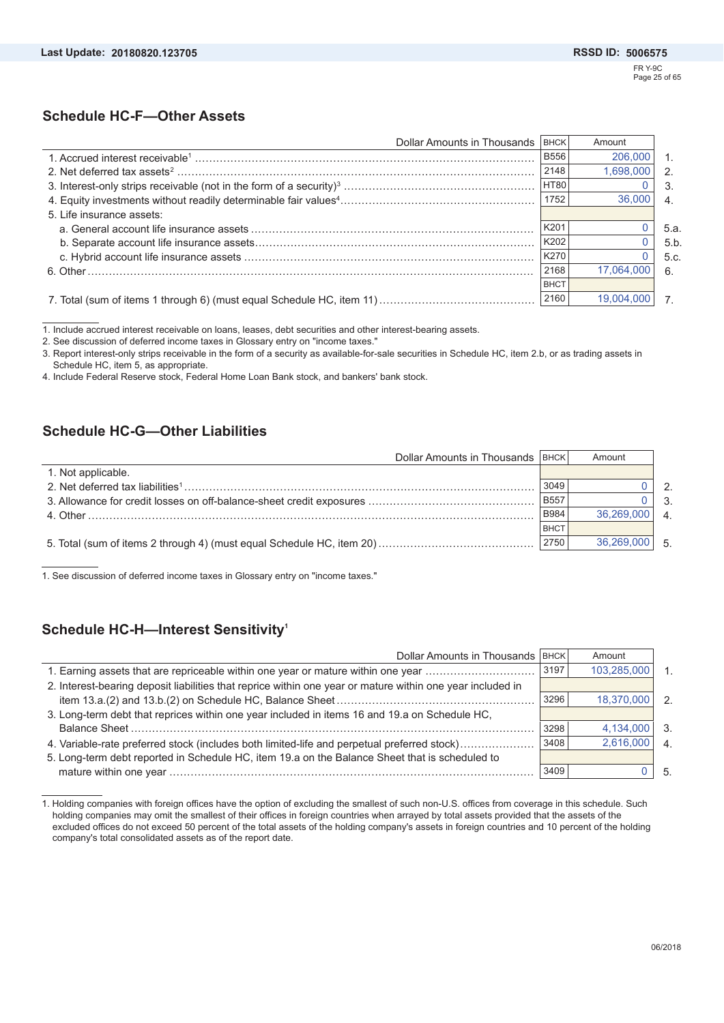### **Schedule HC-F—Other Assets**

| Dollar Amounts in Thousands | <b>BHCK</b> | Amount     |      |
|-----------------------------|-------------|------------|------|
|                             | <b>B556</b> | 206,000    |      |
|                             | 2148        | 1,698,000  |      |
|                             | <b>HT80</b> |            | 3.   |
|                             | 1752        | 36,000     |      |
| 5. Life insurance assets:   |             |            |      |
|                             | K201        |            | 5.a. |
|                             | K202        |            | 5.b  |
|                             | K270        |            | 5.c. |
|                             | 2168        | 17.064.000 | 6.   |
|                             | <b>BHCT</b> |            |      |
|                             | 2160        | 19,004,000 |      |

1. Include accrued interest receivable on loans, leases, debt securities and other interest-bearing assets.

2. See discussion of deferred income taxes in Glossary entry on "income taxes."

3. Report interest-only strips receivable in the form of a security as available-for-sale securities in Schedule HC, item 2.b, or as trading assets in Schedule HC, item 5, as appropriate.

4. Include Federal Reserve stock, Federal Home Loan Bank stock, and bankers' bank stock.

### **Schedule HC-G—Other Liabilities**

| Dollar Amounts in Thousands   BHCK |             | Amount     |                  |
|------------------------------------|-------------|------------|------------------|
| 1. Not applicable.                 |             |            |                  |
|                                    | 3049        |            | $\mathcal{P}$    |
|                                    | <b>B557</b> |            | 3 <sub>1</sub>   |
|                                    | B984        | 36.269.000 | $\overline{4}$ . |
|                                    | <b>BHCT</b> |            |                  |
|                                    | 2750        | 36,269,000 | $-5$             |

1. See discussion of deferred income taxes in Glossary entry on "income taxes."

### **Schedule HC-H—Interest Sensitivity1**

| Dollar Amounts in Thousands   BHCK                                                                         |      | Amount      |                |
|------------------------------------------------------------------------------------------------------------|------|-------------|----------------|
| 1. Earning assets that are repriceable within one year or mature within one year                           | 3197 | 103,285,000 | $\mathbf{1}$   |
| 2. Interest-bearing deposit liabilities that reprice within one year or mature within one year included in |      |             |                |
|                                                                                                            | 3296 | 18,370,000  | $\mathcal{P}$  |
| 3. Long-term debt that reprices within one year included in items 16 and 19.a on Schedule HC,              |      |             |                |
|                                                                                                            | 3298 | 4,134,000   | $\cdot$ 3.     |
| 4. Variable-rate preferred stock (includes both limited-life and perpetual preferred stock)                | 3408 | 2,616,000   | $\overline{4}$ |
| 5. Long-term debt reported in Schedule HC, item 19.a on the Balance Sheet that is scheduled to             |      |             |                |
|                                                                                                            | 3409 |             | - 5.           |

<sup>1.</sup> Holding companies with foreign offices have the option of excluding the smallest of such non-U.S. offices from coverage in this schedule. Such holding companies may omit the smallest of their offices in foreign countries when arrayed by total assets provided that the assets of the excluded offices do not exceed 50 percent of the total assets of the holding company's assets in foreign countries and 10 percent of the holding company's total consolidated assets as of the report date.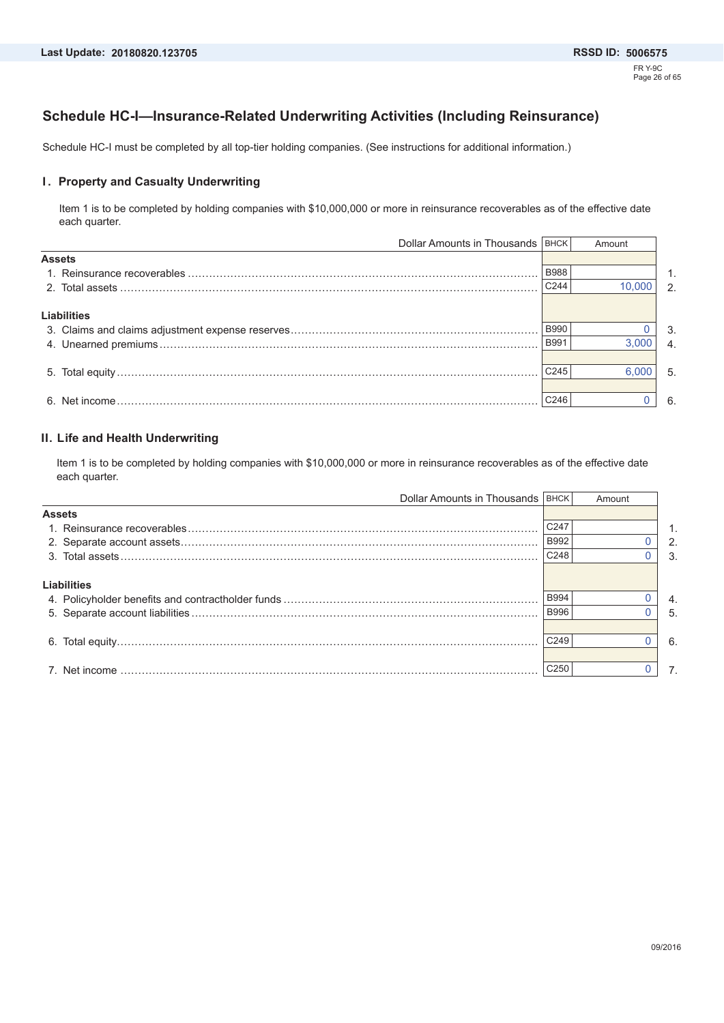### **Schedule HC-I—Insurance-Related Underwriting Activities (Including Reinsurance)**

Schedule HC-I must be completed by all top-tier holding companies. (See instructions for additional information.)

#### **I. Property and Casualty Underwriting**

Item 1 is to be completed by holding companies with \$10,000,000 or more in reinsurance recoverables as of the effective date each quarter.

|                              | Amount |                                    |
|------------------------------|--------|------------------------------------|
|                              |        |                                    |
| <b>B988</b>                  |        | 1.                                 |
|                              | 10.000 | $\mathcal{P}$                      |
|                              |        |                                    |
|                              |        |                                    |
| <b>B990</b>                  |        | 3.                                 |
| <b>B991</b>                  | 3.000  |                                    |
|                              |        |                                    |
| C <sub>245</sub>             | 6.000  | 5.                                 |
|                              |        |                                    |
| C <sub>246</sub>             |        | 6.                                 |
| <b>Assets</b><br>Liabilities | C244   | Dollar Amounts in Thousands   BHCK |

#### **II. Life and Health Underwriting**

Item 1 is to be completed by holding companies with \$10,000,000 or more in reinsurance recoverables as of the effective date each quarter.

|                    | Dollar Amounts in Thousands   BHCK |                  | Amount |    |
|--------------------|------------------------------------|------------------|--------|----|
| <b>Assets</b>      |                                    |                  |        |    |
|                    |                                    | C247             |        |    |
|                    |                                    | <b>B992</b>      |        | 2. |
|                    |                                    | C <sub>248</sub> |        | 3. |
| <b>Liabilities</b> |                                    |                  |        |    |
|                    |                                    | <b>B994</b>      |        | 4. |
|                    |                                    | <b>B996</b>      |        | 5. |
|                    |                                    |                  |        |    |
|                    |                                    | C <sub>249</sub> |        | 6. |
|                    |                                    |                  |        |    |
|                    |                                    | C <sub>250</sub> |        | 7. |
|                    |                                    |                  |        |    |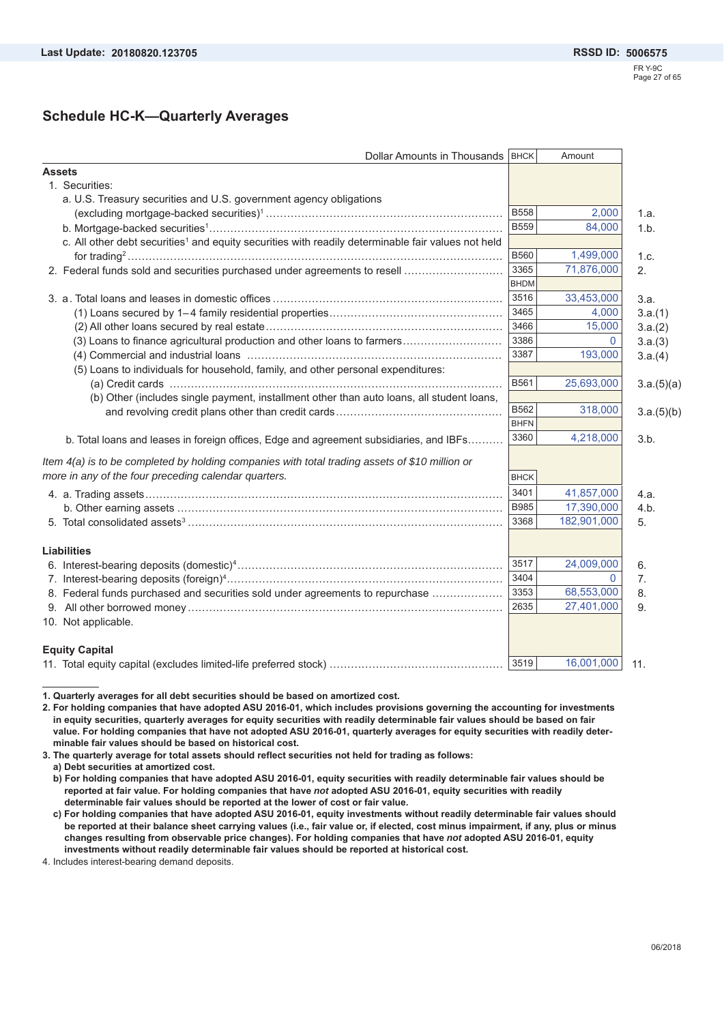### **Schedule HC-K—Quarterly Averages**

| Dollar Amounts in Thousands   BHCK                                                                             |             | Amount       |                |
|----------------------------------------------------------------------------------------------------------------|-------------|--------------|----------------|
| <b>Assets</b>                                                                                                  |             |              |                |
| 1. Securities:                                                                                                 |             |              |                |
| a. U.S. Treasury securities and U.S. government agency obligations                                             |             |              |                |
|                                                                                                                | <b>B558</b> | 2,000        | 1.a.           |
|                                                                                                                | <b>B559</b> | 84,000       | 1.b.           |
| c. All other debt securities <sup>1</sup> and equity securities with readily determinable fair values not held |             |              |                |
|                                                                                                                | <b>B560</b> | 1,499,000    | 1.c.           |
| 2. Federal funds sold and securities purchased under agreements to resell                                      | 3365        | 71,876,000   | 2.             |
|                                                                                                                | <b>BHDM</b> |              |                |
|                                                                                                                | 3516        | 33,453,000   | 3.a.           |
|                                                                                                                | 3465        | 4,000        | 3.a.(1)        |
|                                                                                                                | 3466        | 15,000       | 3.a.(2)        |
| (3) Loans to finance agricultural production and other loans to farmers                                        | 3386        | $\Omega$     | 3.a.(3)        |
|                                                                                                                | 3387        | 193,000      | 3.a.(4)        |
| (5) Loans to individuals for household, family, and other personal expenditures:                               |             |              |                |
|                                                                                                                | B561        | 25,693,000   | 3.a.(5)(a)     |
| (b) Other (includes single payment, installment other than auto loans, all student loans,                      |             |              |                |
|                                                                                                                | B562        | 318,000      | 3.a.(5)(b)     |
|                                                                                                                | <b>BHFN</b> |              |                |
| b. Total loans and leases in foreign offices, Edge and agreement subsidiaries, and IBFs                        | 3360        | 4,218,000    | 3.b.           |
| Item 4(a) is to be completed by holding companies with total trading assets of \$10 million or                 |             |              |                |
| more in any of the four preceding calendar quarters.                                                           | <b>BHCK</b> |              |                |
|                                                                                                                | 3401        | 41,857,000   | 4.a.           |
|                                                                                                                | <b>B985</b> | 17,390,000   | 4.b.           |
|                                                                                                                | 3368        | 182,901,000  | 5.             |
|                                                                                                                |             |              |                |
| <b>Liabilities</b>                                                                                             |             |              |                |
|                                                                                                                | 3517        | 24,009,000   | 6.             |
|                                                                                                                | 3404        | $\mathbf{0}$ | 7 <sub>1</sub> |
| 8. Federal funds purchased and securities sold under agreements to repurchase                                  | 3353        | 68,553,000   | 8.             |
|                                                                                                                | 2635        | 27,401,000   | 9.             |
| 10. Not applicable.                                                                                            |             |              |                |
| <b>Equity Capital</b>                                                                                          |             |              |                |
|                                                                                                                | 3519        | 16,001,000   | 11.            |

**1. Quarterly averages for all debt securities should be based on amortized cost.** 

- **2. For holding companies that have adopted ASU 2016-01, which includes provisions governing the accounting for investments in equity securities, quarterly averages for equity securities with readily determinable fair values should be based on fair value. For holding companies that have not adopted ASU 2016-01, quarterly averages for equity securities with readily determinable fair values should be based on historical cost.**
- **3. The quarterly average for total assets should reflect securities not held for trading as follows:**

**a) Debt securities at amortized cost.** 

- **b) For holding companies that have adopted ASU 2016-01, equity securities with readily determinable fair values should be reported at fair value. For holding companies that have** *not* **adopted ASU 2016-01, equity securities with readily determinable fair values should be reported at the lower of cost or fair value.**
- **c) For holding companies that have adopted ASU 2016-01, equity investments without readily determinable fair values should be reported at their balance sheet carrying values (i.e., fair value or, if elected, cost minus impairment, if any, plus or minus changes resulting from observable price changes). For holding companies that have** *not* **adopted ASU 2016-01, equity investments without readily determinable fair values should be reported at historical cost.**

4. Includes interest-bearing demand deposits.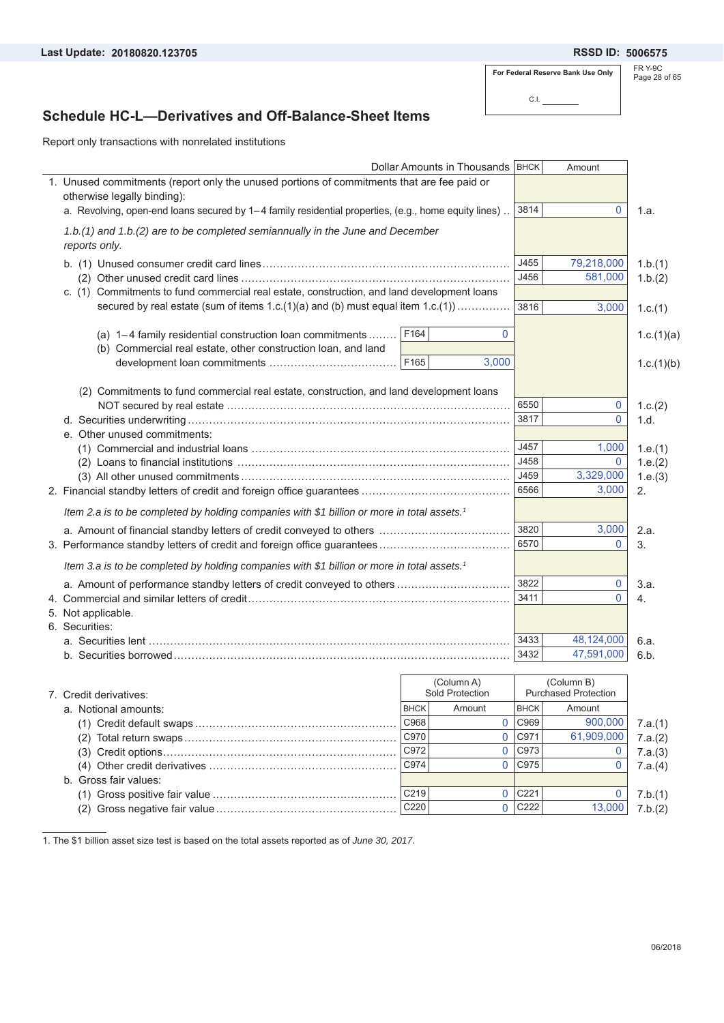**20180820.123705 5006575**

**For Federal Reserve Bank Use Only**

C.I.

FR Y-9C Page 28 of 65

## **Schedule HC-L—Derivatives and Off-Balance-Sheet Items**

Report only transactions with nonrelated institutions

|                                                                                                         |             | Dollar Amounts in Thousands   BHCK |             | Amount                                    |            |
|---------------------------------------------------------------------------------------------------------|-------------|------------------------------------|-------------|-------------------------------------------|------------|
| 1. Unused commitments (report only the unused portions of commitments that are fee paid or              |             |                                    |             |                                           |            |
| otherwise legally binding):                                                                             |             |                                    |             |                                           |            |
| a. Revolving, open-end loans secured by 1–4 family residential properties, (e.g., home equity lines).   |             |                                    | 3814        | 0                                         | 1.a.       |
| 1.b.(1) and 1.b.(2) are to be completed semiannually in the June and December<br>reports only.          |             |                                    |             |                                           |            |
|                                                                                                         |             |                                    |             |                                           |            |
|                                                                                                         |             |                                    | J455        | 79,218,000                                | 1.b.(1)    |
|                                                                                                         |             |                                    | J456        | 581,000                                   | 1.b.(2)    |
| c. (1) Commitments to fund commercial real estate, construction, and land development loans             |             |                                    |             |                                           |            |
| secured by real estate (sum of items $1.c.(1)(a)$ and (b) must equal item $1.c.(1))$                    |             |                                    | 3816        | 3,000                                     | 1.c.(1)    |
| (a) $1-4$ family residential construction loan commitments                                              | F164        | 0                                  |             |                                           | 1.c.(1)(a) |
| (b) Commercial real estate, other construction loan, and land                                           |             |                                    |             |                                           |            |
|                                                                                                         | F165        | 3,000                              |             |                                           | 1.c.(1)(b) |
|                                                                                                         |             |                                    |             |                                           |            |
| (2) Commitments to fund commercial real estate, construction, and land development loans                |             |                                    |             |                                           |            |
|                                                                                                         |             |                                    | 6550        | $\overline{0}$                            | 1.c.(2)    |
|                                                                                                         |             |                                    | 3817        | $\Omega$                                  | 1.d.       |
| e. Other unused commitments:                                                                            |             |                                    |             |                                           |            |
|                                                                                                         |             |                                    | J457        | 1,000                                     | 1.e.(1)    |
|                                                                                                         |             |                                    | J458        | $\mathbf{0}$                              | 1.e.(2)    |
|                                                                                                         |             |                                    | J459        | 3,329,000                                 | 1.e.(3)    |
|                                                                                                         |             |                                    | 6566        | 3,000                                     | 2.         |
| Item 2.a is to be completed by holding companies with \$1 billion or more in total assets. <sup>1</sup> |             |                                    |             |                                           |            |
|                                                                                                         |             |                                    | 3820        | 3,000                                     | 2.a.       |
|                                                                                                         |             |                                    | 6570        | $\mathbf 0$                               | 3.         |
| ltem 3.a is to be completed by holding companies with \$1 billion or more in total assets. <sup>1</sup> |             |                                    |             |                                           |            |
| a. Amount of performance standby letters of credit conveyed to others                                   |             |                                    | 3822        | $\mathbf 0$                               | 3.a.       |
|                                                                                                         |             |                                    | 3411        | $\Omega$                                  | 4.         |
| 5. Not applicable.                                                                                      |             |                                    |             |                                           |            |
| 6. Securities:                                                                                          |             |                                    |             |                                           |            |
|                                                                                                         |             |                                    | 3433        | 48,124,000                                | 6.a.       |
|                                                                                                         |             |                                    | 3432        | 47,591,000                                | 6.b.       |
|                                                                                                         |             |                                    |             |                                           |            |
| 7. Credit derivatives:                                                                                  |             | (Column A)<br>Sold Protection      |             | (Column B)<br><b>Purchased Protection</b> |            |
| a. Notional amounts:                                                                                    | <b>BHCK</b> | Amount                             | <b>BHCK</b> | Amount                                    |            |
|                                                                                                         | C968        | 0                                  | C969        | 900,000                                   | 7.a.(1)    |
|                                                                                                         | C970        | 0                                  | C971        | 61,909,000                                | 7.a.(2)    |
|                                                                                                         | C972        | 0                                  | C973        | $\overline{0}$                            | 7.a.(3)    |
|                                                                                                         | C974        | $\overline{0}$                     | C975        | 0                                         | 7.a.(4)    |
| b. Gross fair values:                                                                                   |             |                                    |             |                                           |            |

(1) Gross positive fair value .................................................... C219 C221 7.b.(1) (2) Gross negative fair value ................................................... C220 C222 7.b.(2)

 $\overline{0}$  C<sub>221</sub>  $\overline{0}$  C222

1. The \$1 billion asset size test is based on the total assets reported as of *June 30, 2017*.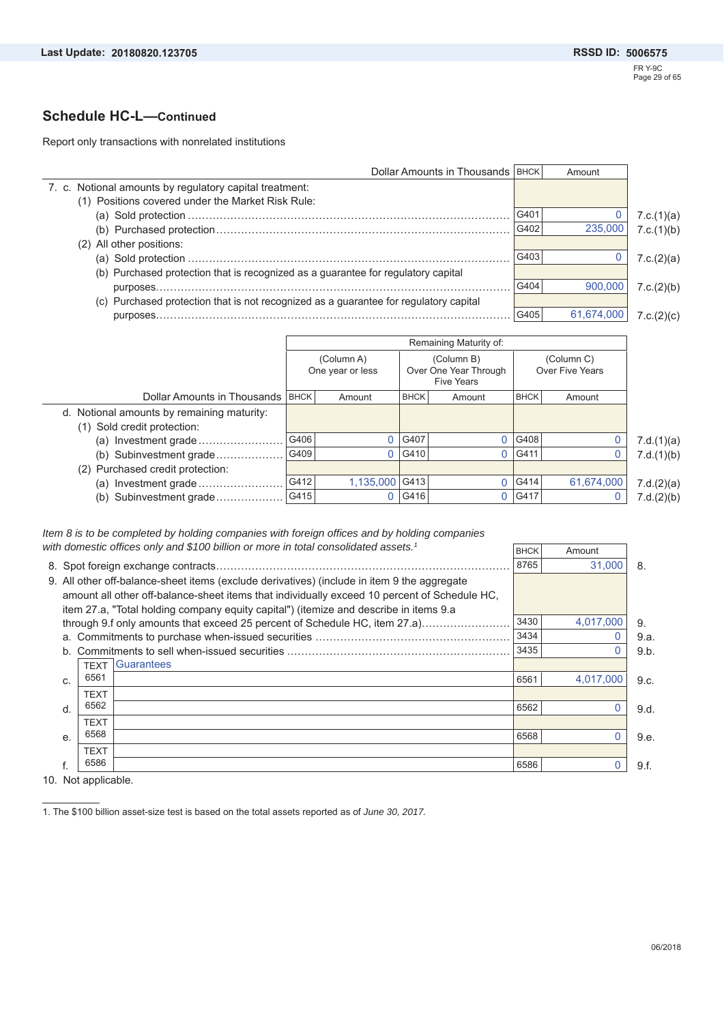### **Schedule HC-L—Continued**

Report only transactions with nonrelated institutions

| Dollar Amounts in Thousands   BHCK                                                    |      | Amount     |            |
|---------------------------------------------------------------------------------------|------|------------|------------|
| 7. c. Notional amounts by regulatory capital treatment:                               |      |            |            |
| (1) Positions covered under the Market Risk Rule:                                     |      |            |            |
|                                                                                       | G401 |            | 7.c.(1)(a) |
|                                                                                       | G402 | 235,000    | 7.c.(1)(b) |
| (2) All other positions:                                                              |      |            |            |
|                                                                                       | G403 |            | 7.c.(2)(a) |
| (b) Purchased protection that is recognized as a guarantee for regulatory capital     |      |            |            |
|                                                                                       | G404 | 900,000    | 7.c.(2)(b) |
| (c) Purchased protection that is not recognized as a guarantee for regulatory capital |      |            |            |
| purposes                                                                              | G405 | 61,674,000 | 7.c.(2)(c) |

|                                            |             |                                |             | Remaining Maturity of:                                   |             |                               |            |
|--------------------------------------------|-------------|--------------------------------|-------------|----------------------------------------------------------|-------------|-------------------------------|------------|
|                                            |             | (Column A)<br>One year or less |             | (Column B)<br>Over One Year Through<br><b>Five Years</b> |             | (Column C)<br>Over Five Years |            |
| Dollar Amounts in Thousands                | <b>BHCK</b> | Amount                         | <b>BHCK</b> | Amount                                                   | <b>BHCK</b> | Amount                        |            |
| d. Notional amounts by remaining maturity: |             |                                |             |                                                          |             |                               |            |
| (1) Sold credit protection:                |             |                                |             |                                                          |             |                               |            |
| (a) Investment grade                       | G406        |                                | G407        |                                                          | G408        |                               | 7.d.(1)(a) |
| (b) Subinvestment grade                    | G409        |                                | G410        |                                                          | 0 G411      | O                             | 7.d.(1)(b) |
| (2) Purchased credit protection:           |             |                                |             |                                                          |             |                               |            |
| Investment grade<br>(a)                    | G412        | 1,135,000 G413                 |             |                                                          | G414        | 61,674,000                    | 7.d.(2)(a) |
| Subinvestment grade<br>(b)                 | G415        |                                | G416        |                                                          | 0 G417      |                               | 7.d.(2)(b) |

*Item 8 is to be completed by holding companies with foreign offices and by holding companies with domestic offices only and \$100 billion or more in total consolidated assets.1*

| 8765<br>31.000<br>8.<br>9. All other off-balance-sheet items (exclude derivatives) (include in item 9 the aggregate<br>amount all other off-balance-sheet items that individually exceed 10 percent of Schedule HC.<br>item 27.a, "Total holding company equity capital") (itemize and describe in items 9.a<br>3430<br>4,017,000<br>through 9.f only amounts that exceed 25 percent of Schedule HC, item 27.a)<br>9.<br>3434<br>0<br>9.a.<br>3435<br>0<br>9.b.<br><b>Guarantees</b><br><b>TEXT</b><br>6561<br>4.017.000<br>6561<br>9.c.<br>C.<br><b>TEXT</b><br>6562<br>O<br>6562<br>d.<br>9.d.<br><b>TEXT</b><br>6568<br>6568<br>0<br>9.e.<br>e.<br><b>TEXT</b><br>6586<br>6586<br>f.<br>9.f. |  | with domestic offices only and $$100$ billion or more in total consolidated assets.1 | <b>BHCK</b> | Amount |  |
|-------------------------------------------------------------------------------------------------------------------------------------------------------------------------------------------------------------------------------------------------------------------------------------------------------------------------------------------------------------------------------------------------------------------------------------------------------------------------------------------------------------------------------------------------------------------------------------------------------------------------------------------------------------------------------------------------|--|--------------------------------------------------------------------------------------|-------------|--------|--|
|                                                                                                                                                                                                                                                                                                                                                                                                                                                                                                                                                                                                                                                                                                 |  |                                                                                      |             |        |  |
|                                                                                                                                                                                                                                                                                                                                                                                                                                                                                                                                                                                                                                                                                                 |  |                                                                                      |             |        |  |
|                                                                                                                                                                                                                                                                                                                                                                                                                                                                                                                                                                                                                                                                                                 |  |                                                                                      |             |        |  |
|                                                                                                                                                                                                                                                                                                                                                                                                                                                                                                                                                                                                                                                                                                 |  |                                                                                      |             |        |  |
|                                                                                                                                                                                                                                                                                                                                                                                                                                                                                                                                                                                                                                                                                                 |  |                                                                                      |             |        |  |
|                                                                                                                                                                                                                                                                                                                                                                                                                                                                                                                                                                                                                                                                                                 |  |                                                                                      |             |        |  |
|                                                                                                                                                                                                                                                                                                                                                                                                                                                                                                                                                                                                                                                                                                 |  |                                                                                      |             |        |  |
|                                                                                                                                                                                                                                                                                                                                                                                                                                                                                                                                                                                                                                                                                                 |  |                                                                                      |             |        |  |
|                                                                                                                                                                                                                                                                                                                                                                                                                                                                                                                                                                                                                                                                                                 |  |                                                                                      |             |        |  |
|                                                                                                                                                                                                                                                                                                                                                                                                                                                                                                                                                                                                                                                                                                 |  |                                                                                      |             |        |  |
|                                                                                                                                                                                                                                                                                                                                                                                                                                                                                                                                                                                                                                                                                                 |  |                                                                                      |             |        |  |
|                                                                                                                                                                                                                                                                                                                                                                                                                                                                                                                                                                                                                                                                                                 |  |                                                                                      |             |        |  |
|                                                                                                                                                                                                                                                                                                                                                                                                                                                                                                                                                                                                                                                                                                 |  |                                                                                      |             |        |  |
|                                                                                                                                                                                                                                                                                                                                                                                                                                                                                                                                                                                                                                                                                                 |  |                                                                                      |             |        |  |
|                                                                                                                                                                                                                                                                                                                                                                                                                                                                                                                                                                                                                                                                                                 |  |                                                                                      |             |        |  |

10. Not applicable.

1. The \$100 billion asset-size test is based on the total assets reported as of *June 30, 2017.*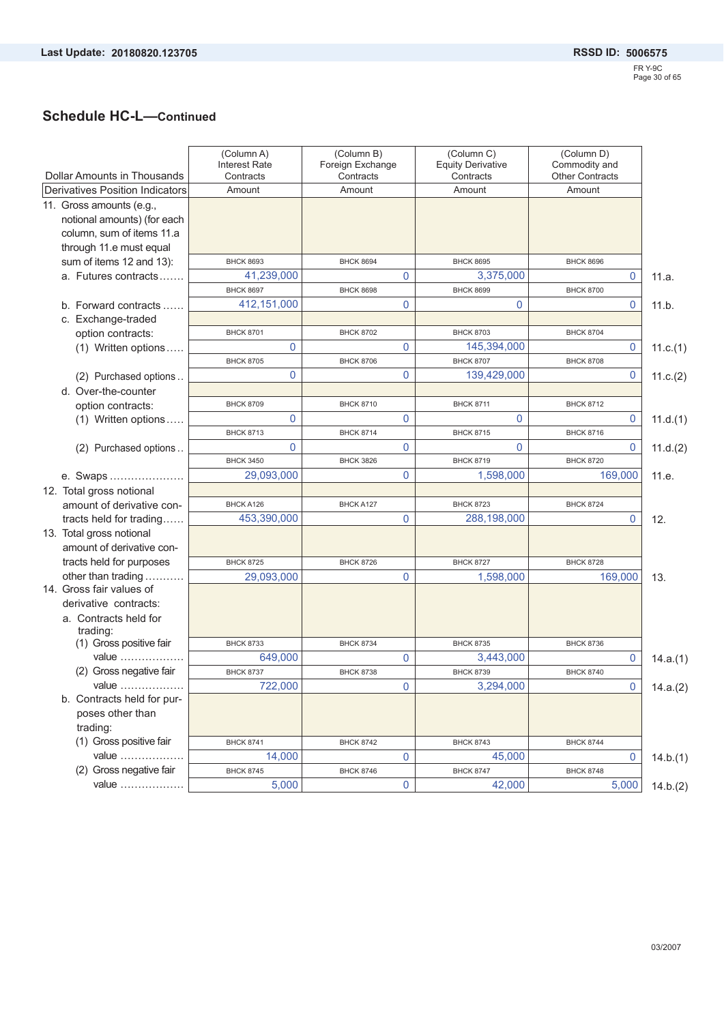# **Schedule HC-L—Continued**

| Dollar Amounts in Thousands                                                          | (Column A)<br><b>Interest Rate</b><br>Contracts | (Column B)<br>Foreign Exchange<br>Contracts | (Column C)<br><b>Equity Derivative</b><br>Contracts | (Column D)<br>Commodity and<br><b>Other Contracts</b> |          |
|--------------------------------------------------------------------------------------|-------------------------------------------------|---------------------------------------------|-----------------------------------------------------|-------------------------------------------------------|----------|
| Derivatives Position Indicators                                                      | Amount                                          | Amount                                      | Amount                                              | Amount                                                |          |
| 11. Gross amounts (e.g.,<br>notional amounts) (for each<br>column, sum of items 11.a |                                                 |                                             |                                                     |                                                       |          |
| through 11.e must equal                                                              |                                                 |                                             |                                                     |                                                       |          |
| sum of items 12 and 13):                                                             | <b>BHCK 8693</b>                                | <b>BHCK 8694</b>                            | <b>BHCK 8695</b>                                    | <b>BHCK 8696</b>                                      |          |
| a. Futures contracts                                                                 | 41,239,000                                      | 0                                           | 3,375,000                                           | 0                                                     | 11.a.    |
|                                                                                      | <b>BHCK 8697</b>                                | <b>BHCK 8698</b>                            | <b>BHCK 8699</b>                                    | <b>BHCK 8700</b>                                      |          |
| b. Forward contracts                                                                 | 412,151,000                                     | 0                                           | $\mathbf 0$                                         | 0                                                     | 11.b.    |
| c. Exchange-traded                                                                   | <b>BHCK 8701</b>                                | <b>BHCK 8702</b>                            | <b>BHCK 8703</b>                                    | <b>BHCK 8704</b>                                      |          |
| option contracts:                                                                    | 0                                               | 0                                           | 145,394,000                                         | 0                                                     |          |
| (1) Written options                                                                  | <b>BHCK 8705</b>                                | <b>BHCK 8706</b>                            | <b>BHCK 8707</b>                                    | <b>BHCK 8708</b>                                      | 11.c.(1) |
| (2) Purchased options                                                                | 0                                               | 0                                           | 139,429,000                                         | 0                                                     | 11.c.(2) |
| d. Over-the-counter                                                                  |                                                 |                                             |                                                     |                                                       |          |
| option contracts:                                                                    | <b>BHCK 8709</b>                                | <b>BHCK 8710</b>                            | <b>BHCK 8711</b>                                    | <b>BHCK 8712</b>                                      |          |
| (1) Written options                                                                  | 0                                               | 0                                           | $\mathbf 0$                                         | 0                                                     | 11.d.(1) |
|                                                                                      | <b>BHCK 8713</b>                                | <b>BHCK 8714</b>                            | <b>BHCK 8715</b>                                    | <b>BHCK 8716</b>                                      |          |
| (2) Purchased options                                                                | 0                                               | 0                                           | $\mathbf 0$                                         | 0                                                     | 11.d.(2) |
|                                                                                      | <b>BHCK 3450</b>                                | <b>BHCK 3826</b>                            | <b>BHCK 8719</b>                                    | <b>BHCK 8720</b>                                      |          |
| e. Swaps                                                                             | 29,093,000                                      | 0                                           | 1,598,000                                           | 169,000                                               | 11.e.    |
| 12. Total gross notional                                                             |                                                 |                                             |                                                     |                                                       |          |
| amount of derivative con-                                                            | BHCK A126                                       | BHCK A127                                   | <b>BHCK 8723</b>                                    | <b>BHCK 8724</b>                                      |          |
| tracts held for trading                                                              | 453,390,000                                     | 0                                           | 288,198,000                                         | $\mathbf{0}$                                          | 12.      |
| 13. Total gross notional                                                             |                                                 |                                             |                                                     |                                                       |          |
| amount of derivative con-                                                            |                                                 |                                             |                                                     |                                                       |          |
| tracts held for purposes                                                             | <b>BHCK 8725</b>                                | <b>BHCK 8726</b>                            | <b>BHCK 8727</b>                                    | <b>BHCK 8728</b>                                      |          |
| other than trading                                                                   | 29,093,000                                      | 0                                           | 1,598,000                                           | 169,000                                               | 13.      |
| 14. Gross fair values of                                                             |                                                 |                                             |                                                     |                                                       |          |
| derivative contracts:                                                                |                                                 |                                             |                                                     |                                                       |          |
| a. Contracts held for<br>trading:                                                    |                                                 |                                             |                                                     |                                                       |          |
| (1) Gross positive fair                                                              | <b>BHCK 8733</b>                                | <b>BHCK 8734</b>                            | <b>BHCK 8735</b>                                    | <b>BHCK 8736</b>                                      |          |
| value                                                                                | 649,000                                         | 0                                           | 3,443,000                                           | 0                                                     | 14.a.(1) |
| (2) Gross negative fair                                                              | <b>BHCK 8737</b>                                | <b>BHCK 8738</b>                            | <b>BHCK 8739</b>                                    | <b>BHCK 8740</b>                                      |          |
| value                                                                                | 722,000                                         | 0                                           | 3,294,000                                           | $\pmb{0}$                                             | 14.a.(2) |
| b. Contracts held for pur-<br>poses other than                                       |                                                 |                                             |                                                     |                                                       |          |
| trading:                                                                             |                                                 |                                             |                                                     |                                                       |          |
| (1) Gross positive fair                                                              | <b>BHCK 8741</b>                                | <b>BHCK 8742</b>                            | <b>BHCK 8743</b>                                    | <b>BHCK 8744</b>                                      |          |
| value                                                                                | 14,000                                          | 0                                           | 45,000                                              | 0                                                     | 14.b.(1) |
| (2) Gross negative fair                                                              | <b>BHCK 8745</b>                                | <b>BHCK 8746</b>                            | <b>BHCK 8747</b>                                    | <b>BHCK 8748</b>                                      |          |
| value                                                                                | 5,000                                           | 0                                           | 42,000                                              | 5,000                                                 | 14.b.(2) |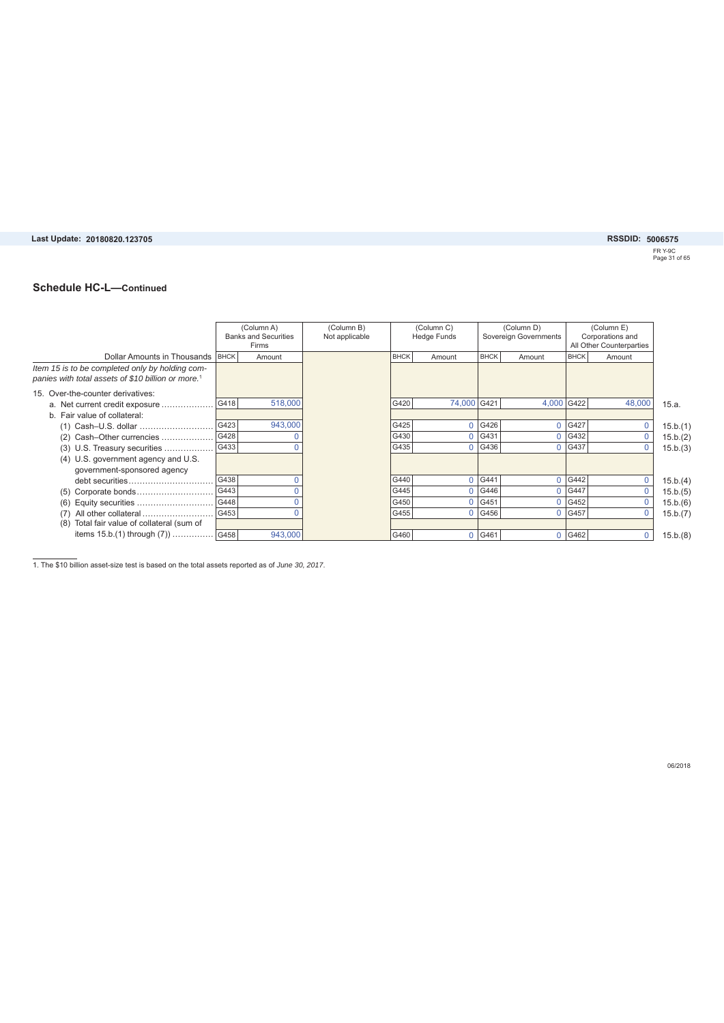#### Last Update: 20180820.123705

**20180820.123705 5006575**

FR Y-9C Page 31 of 65

#### **Schedule HC-L—Continued**

|                                                                                                                   |      | (Column A)<br><b>Banks and Securities</b><br>Firms | (Column B)<br>Not applicable |             | (Column C)<br><b>Hedge Funds</b> |             | (Column D)<br>Sovereign Governments |             | (Column E)<br>Corporations and<br>All Other Counterparties |          |
|-------------------------------------------------------------------------------------------------------------------|------|----------------------------------------------------|------------------------------|-------------|----------------------------------|-------------|-------------------------------------|-------------|------------------------------------------------------------|----------|
| Dollar Amounts in Thousands   BHCK                                                                                |      | Amount                                             |                              | <b>BHCK</b> | Amount                           | <b>BHCK</b> | Amount                              | <b>BHCK</b> | Amount                                                     |          |
| Item 15 is to be completed only by holding com-<br>panies with total assets of \$10 billion or more. <sup>1</sup> |      |                                                    |                              |             |                                  |             |                                     |             |                                                            |          |
| 15. Over-the-counter derivatives:                                                                                 |      |                                                    |                              |             |                                  |             |                                     |             |                                                            |          |
| a. Net current credit exposure                                                                                    | G418 | 518,000                                            |                              | G420        | 74,000 G421                      |             | 4,000                               | G422        | 48,000                                                     | 15.a.    |
| b. Fair value of collateral:                                                                                      |      |                                                    |                              |             |                                  |             |                                     |             |                                                            |          |
| (1) Cash-U.S. dollar                                                                                              | G423 | 943,000                                            |                              | G425        |                                  | 0 G426      |                                     | 0 G427      | 0                                                          | 15.b.(1) |
| Cash-Other currencies<br>(2)                                                                                      | G428 |                                                    |                              | G430        |                                  | 0 G431      | $\Omega$                            | G432        | $\mathbf{0}$                                               | 15.b.(2) |
| (3) U.S. Treasury securities                                                                                      | G433 |                                                    |                              | G435        |                                  | 0 G436      | 0                                   | G437        | 0                                                          | 15.b.(3) |
| (4) U.S. government agency and U.S.                                                                               |      |                                                    |                              |             |                                  |             |                                     |             |                                                            |          |
| government-sponsored agency                                                                                       |      |                                                    |                              |             |                                  |             |                                     |             |                                                            |          |
| debt securities                                                                                                   | G438 |                                                    |                              | G440        | $\Omega$                         | G441        | 0                                   | G442        | 0                                                          | 15.b.(4) |
| Corporate bonds<br>(5)                                                                                            | G443 |                                                    |                              | G445        | $\Omega$                         | G446        | 0                                   | G447        |                                                            | 15.b.(5) |
| Equity securities<br>(6)                                                                                          | G448 |                                                    |                              | G450        |                                  | 0 G451      | 0                                   | G452        |                                                            | 15.b.(6) |
| All other collateral                                                                                              | G453 |                                                    |                              | G455        |                                  | $0$ G456    | 0                                   | G457        |                                                            | 15.b.(7) |
| Total fair value of collateral (sum of<br>(8)                                                                     |      |                                                    |                              |             |                                  |             |                                     |             |                                                            |          |
| items 15.b.(1) through (7))  G458                                                                                 |      | 943,000                                            |                              | G460        |                                  | 0 G461      |                                     | 0 G462      | 0                                                          | 15.b.(8) |

1. The \$10 billion asset-size test is based on the total assets reported as of *June 30, 2017*.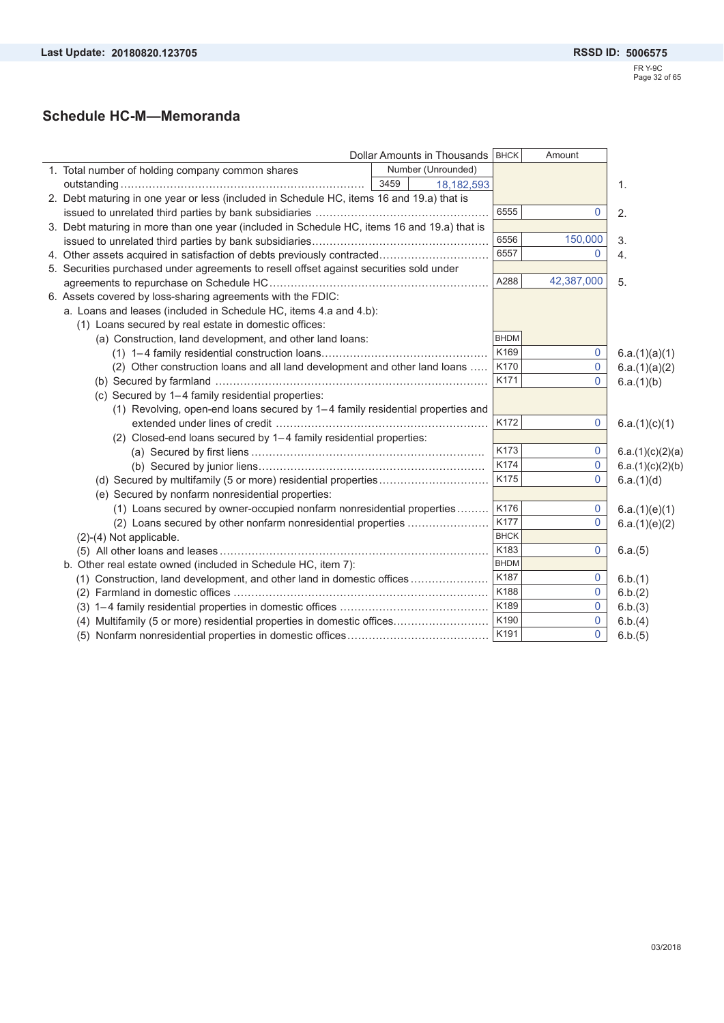## **Schedule HC-M—Memoranda**

|                                                                                             | Dollar Amounts in Thousands   BHCK |             | Amount         |                  |
|---------------------------------------------------------------------------------------------|------------------------------------|-------------|----------------|------------------|
| 1. Total number of holding company common shares                                            | Number (Unrounded)                 |             |                |                  |
|                                                                                             | 3459<br>18, 182, 593               |             |                | 1.               |
| 2. Debt maturing in one year or less (included in Schedule HC, items 16 and 19.a) that is   |                                    |             |                |                  |
|                                                                                             |                                    | 6555        | $\overline{0}$ | 2.               |
| 3. Debt maturing in more than one year (included in Schedule HC, items 16 and 19.a) that is |                                    |             |                |                  |
|                                                                                             |                                    | 6556        | 150,000        | 3.               |
| 4. Other assets acquired in satisfaction of debts previously contracted                     |                                    | 6557        | $\mathbf{0}$   | 4.               |
| 5. Securities purchased under agreements to resell offset against securities sold under     |                                    |             |                |                  |
|                                                                                             |                                    | A288        | 42,387,000     | 5.               |
| 6. Assets covered by loss-sharing agreements with the FDIC:                                 |                                    |             |                |                  |
| a. Loans and leases (included in Schedule HC, items 4.a and 4.b):                           |                                    |             |                |                  |
| (1) Loans secured by real estate in domestic offices:                                       |                                    |             |                |                  |
| (a) Construction, land development, and other land loans:                                   |                                    | <b>BHDM</b> |                |                  |
|                                                                                             |                                    | K169        | 0              | 6.a.(1)(a)(1)    |
| (2) Other construction loans and all land development and other land loans                  |                                    | K170        | 0              | 6.a.(1)(a)(2)    |
|                                                                                             |                                    | K171        | $\mathbf{0}$   | 6.a.(1)(b)       |
| (c) Secured by 1-4 family residential properties:                                           |                                    |             |                |                  |
| (1) Revolving, open-end loans secured by 1-4 family residential properties and              |                                    |             |                |                  |
|                                                                                             |                                    | K172        | 0              | 6.a.(1)(c)(1)    |
| (2) Closed-end loans secured by 1-4 family residential properties:                          |                                    |             |                |                  |
|                                                                                             |                                    | K173        | 0              | 6.a.(1)(c)(2)(a) |
|                                                                                             |                                    | K174        | 0              | 6.a.(1)(c)(2)(b) |
|                                                                                             |                                    | K175        | $\mathbf{0}$   | 6.a.(1)(d)       |
| (e) Secured by nonfarm nonresidential properties:                                           |                                    |             |                |                  |
| (1) Loans secured by owner-occupied nonfarm nonresidential properties                       |                                    | K176        | 0              | 6.a.(1)(e)(1)    |
| (2) Loans secured by other nonfarm nonresidential properties                                |                                    | K177        | $\mathbf 0$    | 6.a.(1)(e)(2)    |
| $(2)-(4)$ Not applicable.                                                                   |                                    | <b>BHCK</b> |                |                  |
|                                                                                             |                                    | K183        | 0              | 6.a.(5)          |
| b. Other real estate owned (included in Schedule HC, item 7):                               |                                    | <b>BHDM</b> |                |                  |
| (1) Construction, land development, and other land in domestic offices                      |                                    | K187        | 0              | 6.b.(1)          |
|                                                                                             |                                    | K188        | $\Omega$       | 6.b.(2)          |
|                                                                                             |                                    | K189        | $\mathbf{0}$   | 6.b.(3)          |
| (4) Multifamily (5 or more) residential properties in domestic offices                      |                                    | K190        | 0              | 6.b.(4)          |
|                                                                                             |                                    | K191        | $\mathbf{0}$   | 6.b.(5)          |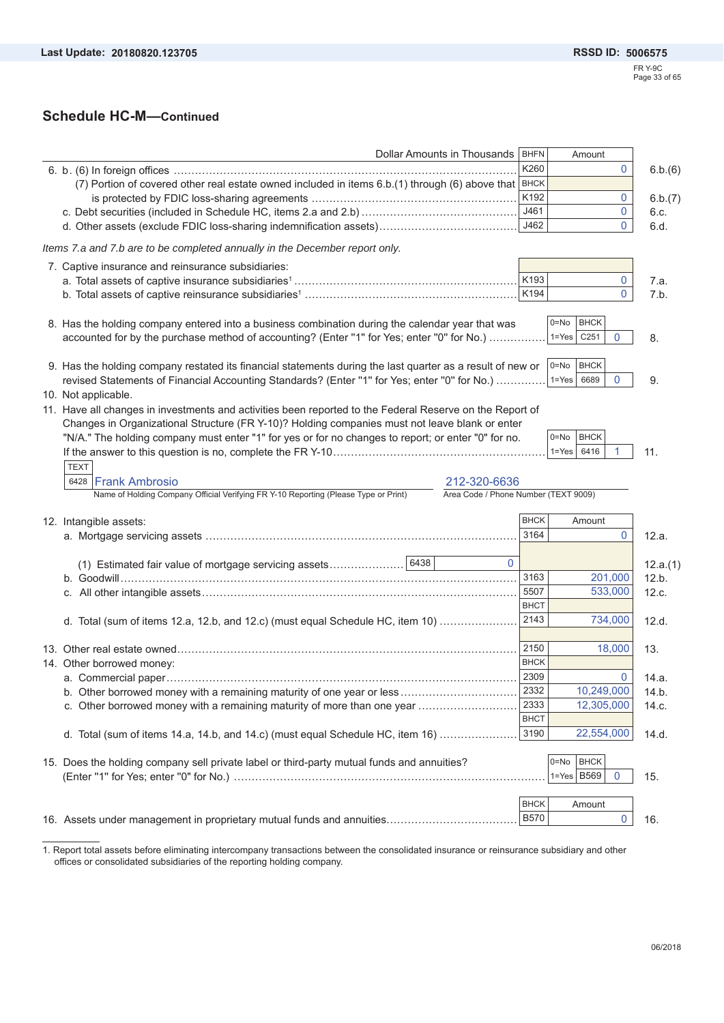## **Schedule HC-M—Continued**

| Dollar Amounts in Thousands                                                                                                 | BHFN     |                            | Amount                        |                                                          |
|-----------------------------------------------------------------------------------------------------------------------------|----------|----------------------------|-------------------------------|----------------------------------------------------------|
|                                                                                                                             |          | K260                       | 0                             | 6.b.(6)                                                  |
| (7) Portion of covered other real estate owned included in items 6.b.(1) through (6) above that BHCK                        |          |                            |                               |                                                          |
|                                                                                                                             |          | K192                       | 0                             | 6.b.(7)                                                  |
|                                                                                                                             |          | J461                       | 0                             | 6.c.                                                     |
|                                                                                                                             |          | J462                       | $\mathbf{0}$                  | 6.d.                                                     |
| Items 7.a and 7.b are to be completed annually in the December report only.                                                 |          |                            |                               |                                                          |
| 7. Captive insurance and reinsurance subsidiaries:                                                                          |          |                            |                               |                                                          |
|                                                                                                                             |          | K193                       | 0                             | 7.a.                                                     |
|                                                                                                                             |          | K194                       | $\mathbf 0$                   | 7.b.                                                     |
|                                                                                                                             |          |                            |                               |                                                          |
| 8. Has the holding company entered into a business combination during the calendar year that was                            |          | $0 = No$                   | <b>BHCK</b>                   |                                                          |
| accounted for by the purchase method of accounting? (Enter "1" for Yes; enter "0" for No.)                                  |          |                            | $1 = Yes$ $C251$<br>0         | 8.                                                       |
|                                                                                                                             |          |                            |                               |                                                          |
| 9. Has the holding company restated its financial statements during the last quarter as a result of new or                  |          | $0 = No$                   | <b>BHCK</b>                   |                                                          |
| revised Statements of Financial Accounting Standards? (Enter "1" for Yes; enter "0" for No.)                                |          |                            | $1 = Yes$<br>$\Omega$<br>6689 | 9.                                                       |
| 10. Not applicable.                                                                                                         |          |                            |                               |                                                          |
| 11. Have all changes in investments and activities been reported to the Federal Reserve on the Report of                    |          |                            |                               |                                                          |
| Changes in Organizational Structure (FR Y-10)? Holding companies must not leave blank or enter                              |          |                            |                               |                                                          |
| "N/A." The holding company must enter "1" for yes or for no changes to report; or enter "0" for no.                         |          |                            | <b>BHCK</b><br>0=No           |                                                          |
|                                                                                                                             |          |                            | $1 = Yes$<br>6416             | 11.                                                      |
| <b>TEXT</b>                                                                                                                 |          |                            |                               |                                                          |
|                                                                                                                             |          |                            |                               |                                                          |
|                                                                                                                             |          |                            |                               |                                                          |
| 6428 Frank Ambrosio<br>212-320-6636                                                                                         |          |                            |                               |                                                          |
| Name of Holding Company Official Verifying FR Y-10 Reporting (Please Type or Print)<br>Area Code / Phone Number (TEXT 9009) |          |                            |                               |                                                          |
|                                                                                                                             |          | <b>BHCK</b>                | Amount                        |                                                          |
|                                                                                                                             |          | 3164                       | 0                             | 12.a.                                                    |
|                                                                                                                             |          |                            |                               |                                                          |
|                                                                                                                             | $\Omega$ |                            |                               |                                                          |
| (1) Estimated fair value of mortgage servicing assets 6438                                                                  |          | 3163                       |                               | 12.a.(1)                                                 |
|                                                                                                                             |          | 5507                       | 201,000                       |                                                          |
| 12. Intangible assets:                                                                                                      |          | <b>BHCT</b>                | 533,000                       |                                                          |
|                                                                                                                             |          |                            |                               |                                                          |
| d. Total (sum of items 12.a, 12.b, and 12.c) (must equal Schedule HC, item 10)                                              |          | 2143                       | 734,000                       |                                                          |
|                                                                                                                             |          |                            |                               |                                                          |
|                                                                                                                             |          | 2150                       | 18,000                        |                                                          |
|                                                                                                                             |          | <b>BHCK</b>                |                               |                                                          |
| 14. Other borrowed money:                                                                                                   |          | 2309                       |                               |                                                          |
| b. Other borrowed money with a remaining maturity of one year or less                                                       |          | 2332                       | 10,249,000                    |                                                          |
| c. Other borrowed money with a remaining maturity of more than one year                                                     |          | 2333                       | 12,305,000                    |                                                          |
|                                                                                                                             |          | <b>BHCT</b>                |                               | 12.b.<br>12.c.<br>12.d.<br>13.<br>14.a.<br>14.b<br>14.c. |
| d. Total (sum of items 14.a, 14.b, and 14.c) (must equal Schedule HC, item 16)                                              |          | 3190                       | 22,554,000                    |                                                          |
|                                                                                                                             |          |                            |                               |                                                          |
|                                                                                                                             |          | $0 = No$                   | <b>BHCK</b>                   |                                                          |
|                                                                                                                             |          |                            | $1 = Yes$ B569<br>0           |                                                          |
| 15. Does the holding company sell private label or third-party mutual funds and annuities?                                  |          |                            |                               |                                                          |
|                                                                                                                             |          | <b>BHCK</b><br><b>B570</b> | Amount                        | 14.d.<br>15.                                             |

1. Report total assets before eliminating intercompany transactions between the consolidated insurance or reinsurance subsidiary and other offices or consolidated subsidiaries of the reporting holding company.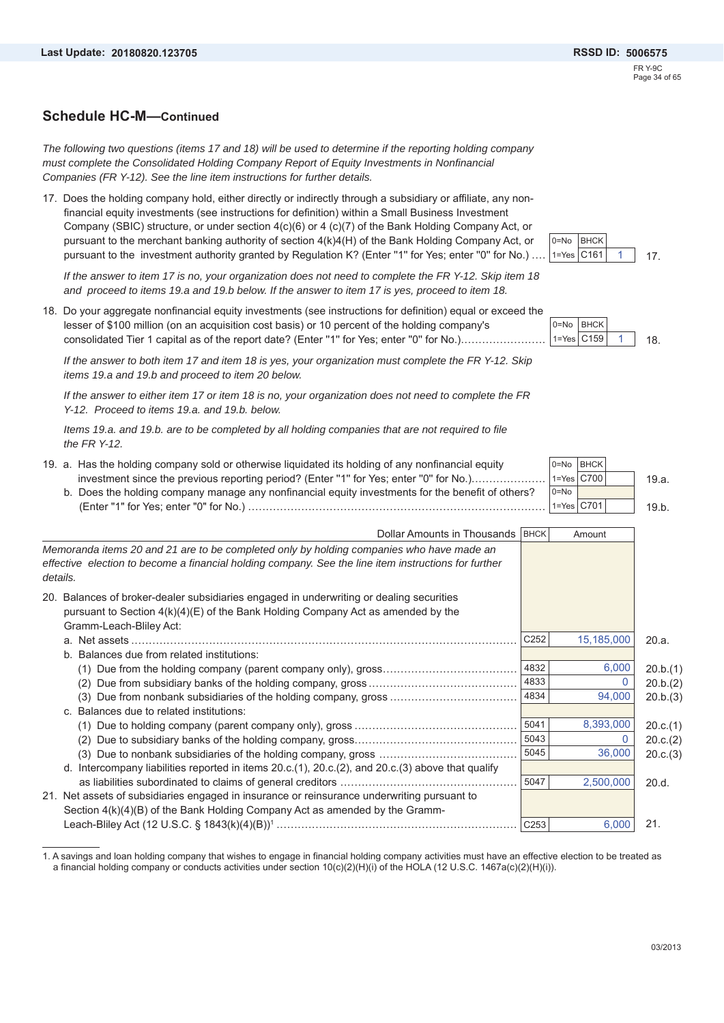### **Schedule HC-M—Continued**

*The following two questions (items 17 and 18) will be used to determine if the reporting holding company must complete the Consolidated Holding Company Report of Equity Investments in Nonfinancial Companies (FR Y-12). See the line item instructions for further details.*

17. Does the holding company hold, either directly or indirectly through a subsidiary or affiliate, any nonfinancial equity investments (see instructions for definition) within a Small Business Investment Company (SBIC) structure, or under section 4(c)(6) or 4 (c)(7) of the Bank Holding Company Act, or pursuant to the merchant banking authority of section 4(k)4(H) of the Bank Holding Company Act, or pursuant to the investment authority granted by Regulation K? (Enter "1" for Yes; enter "0" for No.) ..

*If the answer to item 17 is no, your organization does not need to complete the FR Y-12. Skip item 18 and proceed to items 19.a and 19.b below. If the answer to item 17 is yes, proceed to item 18.*

18. Do your aggregate nonfinancial equity investments (see instructions for definition) equal or exceed the lesser of \$100 million (on an acquisition cost basis) or 10 percent of the holding company's consolidated Tier 1 capital as of the report date? (Enter "1" for Yes; enter "0" for No.)..........

*If the answer to both item 17 and item 18 is yes, your organization must complete the FR Y-12. Skip items 19.a and 19.b and proceed to item 20 below.*

*If the answer to either item 17 or item 18 is no, your organization does not need to complete the FR Y-12. Proceed to items 19.a. and 19.b. below.*

*Items 19.a. and 19.b. are to be completed by all holding companies that are not required to file the FR Y-12.*

19. a. Has the holding company sold or otherwise liquidated its holding of any nonfinancial equity investment since the previous reporting period? (Enter "1" for Yes; enter "0" for No.)....................... **BHCK**  $C700$  19.a. b. Does the holding company manage any nonfinancial equity investments for the benefit of others? (Enter "1" for Yes; enter "0" for No.) .................................................................................... C701 19.b.  $0=$ No 1=Yes  $n=Nn$ 1=Yes

| Dollar Amounts in Thousands   BHCK                                                                                                                                                                           |                  | Amount     |          |
|--------------------------------------------------------------------------------------------------------------------------------------------------------------------------------------------------------------|------------------|------------|----------|
| Memoranda items 20 and 21 are to be completed only by holding companies who have made an<br>effective election to become a financial holding company. See the line item instructions for further<br>details. |                  |            |          |
| 20. Balances of broker-dealer subsidiaries engaged in underwriting or dealing securities<br>pursuant to Section 4(k)(4)(E) of the Bank Holding Company Act as amended by the<br>Gramm-Leach-Bliley Act:      |                  |            |          |
| a. Net assets                                                                                                                                                                                                | C <sub>252</sub> | 15,185,000 | 20.a.    |
| b. Balances due from related institutions:                                                                                                                                                                   |                  |            |          |
|                                                                                                                                                                                                              | 4832             | 6,000      | 20.b.(1) |
|                                                                                                                                                                                                              | 4833             |            | 20.b.(2) |
| (3)                                                                                                                                                                                                          | 4834             | 94,000     | 20.b.(3) |
| c. Balances due to related institutions:                                                                                                                                                                     |                  |            |          |
|                                                                                                                                                                                                              | 5041             | 8,393,000  | 20.c.(1) |
|                                                                                                                                                                                                              | 5043             |            | 20.c.(2) |
| (3)                                                                                                                                                                                                          | 5045             | 36,000     | 20.c.(3) |
| d. Intercompany liabilities reported in items $20.c.(1)$ , $20.c.(2)$ , and $20.c.(3)$ above that qualify                                                                                                    |                  |            |          |
|                                                                                                                                                                                                              | 5047             | 2,500,000  | 20.d.    |
| 21. Net assets of subsidiaries engaged in insurance or reinsurance underwriting pursuant to                                                                                                                  |                  |            |          |
| Section 4(k)(4)(B) of the Bank Holding Company Act as amended by the Gramm-                                                                                                                                  |                  |            |          |
|                                                                                                                                                                                                              | C <sub>253</sub> | 6,000      | 21.      |
|                                                                                                                                                                                                              |                  |            |          |

1. A savings and loan holding company that wishes to engage in financial holding company activities must have an effective election to be treated as a financial holding company or conducts activities under section 10(c)(2)(H)(i) of the HOLA (12 U.S.C. 1467a(c)(2)(H)(i)).



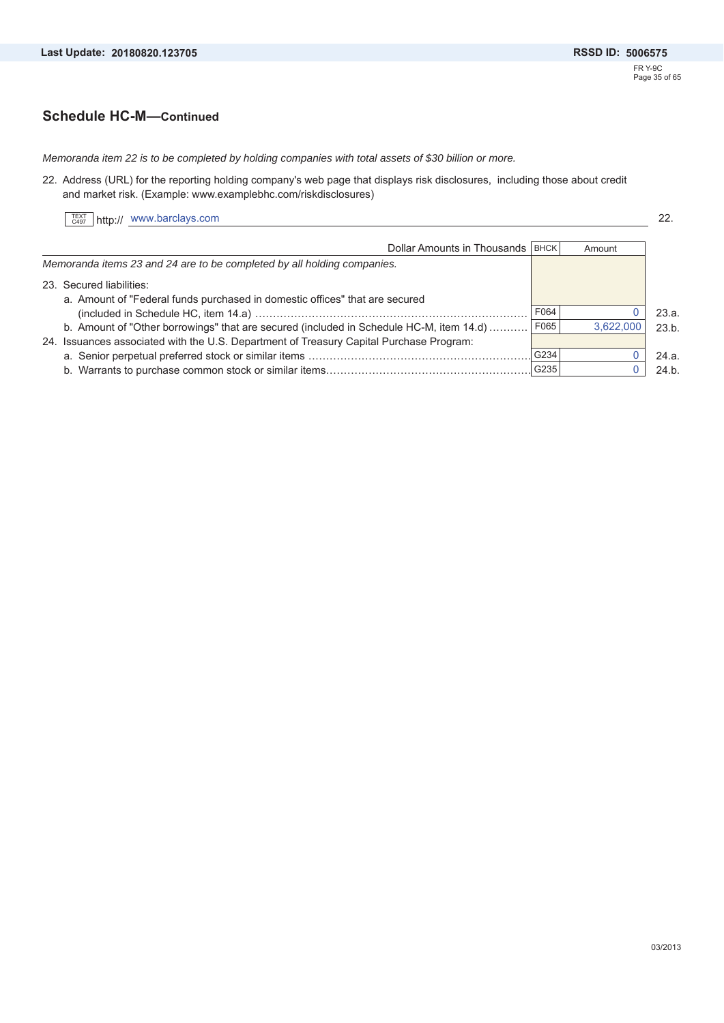### **Schedule HC-M—Continued**

*Memoranda item 22 is to be completed by holding companies with total assets of \$30 billion or more.*

22. Address (URL) for the reporting holding company's web page that displays risk disclosures, including those about credit and market risk. (Example: www.examplebhc.com/riskdisclosures)

|  | $\left[\begin{array}{c}\n\text{TEXT} \\ \text{C497}\n\end{array}\right]$ http:// www.barclays.com | nn<br>ZZ. |
|--|---------------------------------------------------------------------------------------------------|-----------|
|--|---------------------------------------------------------------------------------------------------|-----------|

| Dollar Amounts in Thousands   BHCK                                                      |      | Amount    |       |
|-----------------------------------------------------------------------------------------|------|-----------|-------|
| Memoranda items 23 and 24 are to be completed by all holding companies.                 |      |           |       |
| 23. Secured liabilities:                                                                |      |           |       |
| a. Amount of "Federal funds purchased in domestic offices" that are secured             |      |           |       |
|                                                                                         | F064 |           | 23.a. |
| b. Amount of "Other borrowings" that are secured (included in Schedule HC-M, item 14.d) | F065 | 3.622.000 | 23.b. |
| 24. Issuances associated with the U.S. Department of Treasury Capital Purchase Program: |      |           |       |
|                                                                                         | G234 |           | 24.a. |
|                                                                                         | G235 |           | 24.b. |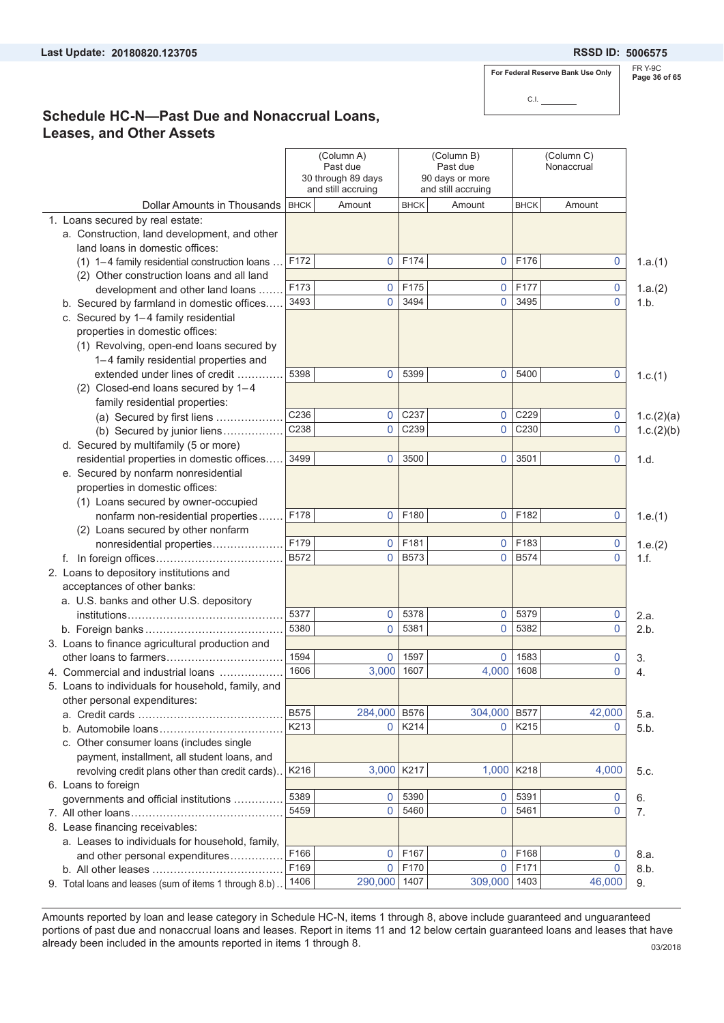### **20180820.123705 5006575**

**For Federal Reserve Bank Use Only**

C.I.

FR Y-9C **Page 36 of 65**

### **Schedule HC-N—Past Due and Nonaccrual Loans, Leases, and Other Assets**

|                                                                        |             | (Column A)<br>Past due<br>30 through 89 days<br>and still accruing |              | (Column B)<br>Past due<br>90 days or more<br>and still accruing |             | (Column C)<br>Nonaccrual |                 |
|------------------------------------------------------------------------|-------------|--------------------------------------------------------------------|--------------|-----------------------------------------------------------------|-------------|--------------------------|-----------------|
| Dollar Amounts in Thousands                                            | <b>BHCK</b> | Amount                                                             | <b>BHCK</b>  | Amount                                                          | <b>BHCK</b> | Amount                   |                 |
| 1. Loans secured by real estate:                                       |             |                                                                    |              |                                                                 |             |                          |                 |
| a. Construction, land development, and other                           |             |                                                                    |              |                                                                 |             |                          |                 |
| land loans in domestic offices:                                        |             |                                                                    |              |                                                                 |             |                          |                 |
| (1) 1-4 family residential construction loans                          | F172        | 0                                                                  | F174         | $\overline{0}$                                                  | F176        | 0                        | 1.a.(1)         |
| (2) Other construction loans and all land                              |             |                                                                    |              |                                                                 |             |                          |                 |
| development and other land loans                                       | F173        | 0                                                                  | F175         | 0                                                               | F177        | 0                        | 1.a.(2)         |
| b. Secured by farmland in domestic offices                             | 3493        | 0                                                                  | 3494         | $\mathbf{0}$                                                    | 3495        | 0                        | 1.b.            |
| c. Secured by 1-4 family residential                                   |             |                                                                    |              |                                                                 |             |                          |                 |
| properties in domestic offices:                                        |             |                                                                    |              |                                                                 |             |                          |                 |
| (1) Revolving, open-end loans secured by                               |             |                                                                    |              |                                                                 |             |                          |                 |
| 1-4 family residential properties and                                  |             |                                                                    |              |                                                                 |             |                          |                 |
| extended under lines of credit                                         | 5398        | 0                                                                  | 5399         | 0                                                               | 5400        | 0                        | 1.c.(1)         |
| (2) Closed-end loans secured by 1-4                                    |             |                                                                    |              |                                                                 |             |                          |                 |
| family residential properties:                                         | C236        |                                                                    |              |                                                                 | C229        |                          |                 |
| (a) Secured by first liens                                             | C238        | 0                                                                  | C237<br>C239 | $\mathbf{0}$<br>0                                               |             | 0<br>0                   | 1.c.(2)(a)      |
| (b) Secured by junior liens                                            |             | 0                                                                  |              |                                                                 | C230        |                          | 1.c.(2)(b)      |
| d. Secured by multifamily (5 or more)                                  |             |                                                                    |              |                                                                 |             |                          |                 |
| residential properties in domestic offices                             | 3499        | 0                                                                  | 3500         | 0                                                               | 3501        | 0                        | 1.d.            |
| e. Secured by nonfarm nonresidential                                   |             |                                                                    |              |                                                                 |             |                          |                 |
| properties in domestic offices:                                        |             |                                                                    |              |                                                                 |             |                          |                 |
| (1) Loans secured by owner-occupied                                    | F178        | 0                                                                  | F180         | $\mathbf{0}$                                                    | F182        |                          |                 |
| nonfarm non-residential properties                                     |             |                                                                    |              |                                                                 |             | 0                        | 1.e.(1)         |
| (2) Loans secured by other nonfarm<br>nonresidential properties        | F179        | 0                                                                  | F181         | 0                                                               | F183        |                          |                 |
|                                                                        | <b>B572</b> | $\overline{0}$                                                     | <b>B573</b>  | $\mathbf{0}$                                                    | <b>B574</b> | 0<br>$\Omega$            | 1.e.(2)<br>1.f. |
| 2. Loans to depository institutions and                                |             |                                                                    |              |                                                                 |             |                          |                 |
|                                                                        |             |                                                                    |              |                                                                 |             |                          |                 |
| acceptances of other banks:<br>a. U.S. banks and other U.S. depository |             |                                                                    |              |                                                                 |             |                          |                 |
|                                                                        | 5377        | 0                                                                  | 5378         | $\mathbf{0}$                                                    | 5379        | 0                        | 2.a.            |
|                                                                        | 5380        | $\overline{0}$                                                     | 5381         | $\mathbf{0}$                                                    | 5382        | 0                        | 2.b.            |
| 3. Loans to finance agricultural production and                        |             |                                                                    |              |                                                                 |             |                          |                 |
|                                                                        | 1594        | 0                                                                  | 1597         | 0                                                               | 1583        | 0                        | 3.              |
| 4. Commercial and industrial loans                                     | 1606        | 3,000                                                              | 1607         | 4,000                                                           | 1608        | 0                        | 4.              |
| 5. Loans to individuals for household, family, and                     |             |                                                                    |              |                                                                 |             |                          |                 |
| other personal expenditures:                                           |             |                                                                    |              |                                                                 |             |                          |                 |
|                                                                        | <b>B575</b> | 284,000                                                            | <b>B576</b>  | 304,000                                                         | <b>B577</b> | 42,000                   | 5.a.            |
| b. Automobile loans                                                    | K213        | $\mathbf{0}$                                                       | K214         | 0                                                               | K215        | 0                        | 5.b.            |
| c. Other consumer loans (includes single                               |             |                                                                    |              |                                                                 |             |                          |                 |
| payment, installment, all student loans, and                           |             |                                                                    |              |                                                                 |             |                          |                 |
| revolving credit plans other than credit cards)                        | K216        | 3,000                                                              | K217         | 1,000                                                           | K218        | 4,000                    | 5.c.            |
| 6. Loans to foreign                                                    |             |                                                                    |              |                                                                 |             |                          |                 |
| governments and official institutions                                  | 5389        | 0                                                                  | 5390         | 0                                                               | 5391        | 0                        | 6.              |
|                                                                        | 5459        | 0                                                                  | 5460         | 0                                                               | 5461        | 0                        | 7.              |
| 8. Lease financing receivables:                                        |             |                                                                    |              |                                                                 |             |                          |                 |
| a. Leases to individuals for household, family,                        |             |                                                                    |              |                                                                 |             |                          |                 |
| and other personal expenditures                                        | F166        | 0                                                                  | F167         | 0                                                               | F168        | 0                        | 8.a.            |
|                                                                        | F169        | $\overline{0}$                                                     | F170         | 0                                                               | F171        | 0                        | 8.b.            |
| 9. Total loans and leases (sum of items 1 through 8.b).                | 1406        | 290,000                                                            | 1407         | 309,000                                                         | 1403        | 46,000                   | 9.              |

Amounts reported by loan and lease category in Schedule HC-N, items 1 through 8, above include guaranteed and unguaranteed portions of past due and nonaccrual loans and leases. Report in items 11 and 12 below certain guaranteed loans and leases that have already been included in the amounts reported in items 1 through 8. 03/2018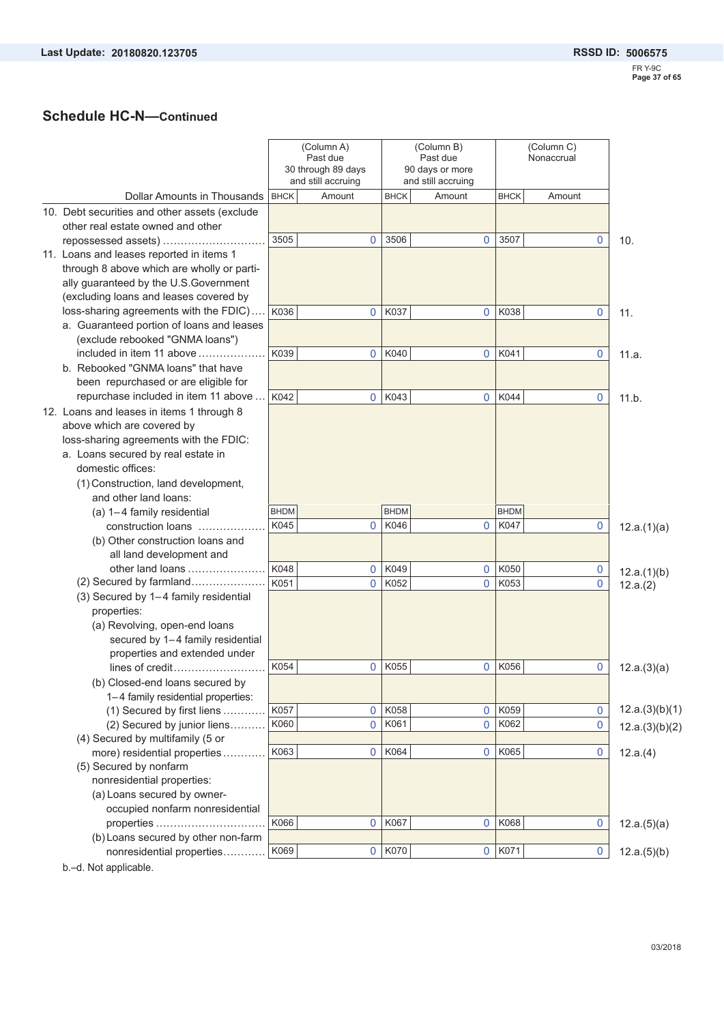# **Schedule HC-N—Continued**

|                                               |             | (Column A)<br>Past due<br>30 through 89 days<br>and still accruing |             | (Column B)<br>Past due<br>90 days or more<br>and still accruing |             | (Column C)<br>Nonaccrual |                |
|-----------------------------------------------|-------------|--------------------------------------------------------------------|-------------|-----------------------------------------------------------------|-------------|--------------------------|----------------|
| Dollar Amounts in Thousands                   | <b>BHCK</b> | Amount                                                             | <b>BHCK</b> | Amount                                                          | <b>BHCK</b> | Amount                   |                |
| 10. Debt securities and other assets (exclude |             |                                                                    |             |                                                                 |             |                          |                |
| other real estate owned and other             |             |                                                                    |             |                                                                 |             |                          |                |
| repossessed assets)                           | 3505        | 0                                                                  | 3506        | 0                                                               | 3507        | $\mathbf 0$              | 10.            |
| 11. Loans and leases reported in items 1      |             |                                                                    |             |                                                                 |             |                          |                |
| through 8 above which are wholly or parti-    |             |                                                                    |             |                                                                 |             |                          |                |
| ally guaranteed by the U.S.Government         |             |                                                                    |             |                                                                 |             |                          |                |
| (excluding loans and leases covered by        |             |                                                                    |             |                                                                 |             |                          |                |
| loss-sharing agreements with the FDIC)        | K036        | 0                                                                  | K037        | 0                                                               | K038        | $\mathbf 0$              | 11.            |
| a. Guaranteed portion of loans and leases     |             |                                                                    |             |                                                                 |             |                          |                |
| (exclude rebooked "GNMA loans")               |             |                                                                    |             |                                                                 |             |                          |                |
| included in item 11 above                     | K039        | $\mathbf 0$                                                        | K040        | $\overline{0}$                                                  | K041        | $\mathbf 0$              | 11.a.          |
| b. Rebooked "GNMA loans" that have            |             |                                                                    |             |                                                                 |             |                          |                |
| been repurchased or are eligible for          |             |                                                                    |             |                                                                 |             |                          |                |
| repurchase included in item 11 above          | K042        | $\overline{0}$                                                     | K043        | $\overline{0}$                                                  | K044        | $\Omega$                 | 11.b.          |
| 12. Loans and leases in items 1 through 8     |             |                                                                    |             |                                                                 |             |                          |                |
| above which are covered by                    |             |                                                                    |             |                                                                 |             |                          |                |
| loss-sharing agreements with the FDIC:        |             |                                                                    |             |                                                                 |             |                          |                |
| a. Loans secured by real estate in            |             |                                                                    |             |                                                                 |             |                          |                |
| domestic offices:                             |             |                                                                    |             |                                                                 |             |                          |                |
|                                               |             |                                                                    |             |                                                                 |             |                          |                |
| (1) Construction, land development,           |             |                                                                    |             |                                                                 |             |                          |                |
| and other land loans:                         |             |                                                                    |             |                                                                 |             |                          |                |
| (a) 1-4 family residential                    | <b>BHDM</b> |                                                                    | <b>BHDM</b> |                                                                 | <b>BHDM</b> |                          |                |
| construction loans                            | K045        | 0                                                                  | K046        | 0                                                               | K047        | 0                        | 12.a.(1)(a)    |
| (b) Other construction loans and              |             |                                                                    |             |                                                                 |             |                          |                |
| all land development and                      |             |                                                                    |             |                                                                 |             |                          |                |
| other land loans                              | K048        | $\overline{0}$                                                     | K049        | 0                                                               | K050        | 0                        | 12.a.(1)(b)    |
| (2) Secured by farmland                       | K051        | $\mathbf{0}$                                                       | K052        | 0                                                               | K053        | 0                        | 12.a.(2)       |
| (3) Secured by 1-4 family residential         |             |                                                                    |             |                                                                 |             |                          |                |
| properties:                                   |             |                                                                    |             |                                                                 |             |                          |                |
| (a) Revolving, open-end loans                 |             |                                                                    |             |                                                                 |             |                          |                |
| secured by 1-4 family residential             |             |                                                                    |             |                                                                 |             |                          |                |
| properties and extended under                 |             |                                                                    |             |                                                                 |             |                          |                |
| lines of credit                               | K054        | 0                                                                  | K055        | 0                                                               | K056        | 0                        | 12.a.(3)(a)    |
| (b) Closed-end loans secured by               |             |                                                                    |             |                                                                 |             |                          |                |
| 1-4 family residential properties:            |             |                                                                    |             |                                                                 |             |                          |                |
| (1) Secured by first liens                    | K057        | 0                                                                  | K058        | $\mathbf 0$                                                     | K059        | 0                        | 12.a.(3)(b)(1) |
| (2) Secured by junior liens                   | K060        | $\mathbf 0$                                                        | K061        | 0                                                               | K062        | 0                        | 12.a.(3)(b)(2) |
| (4) Secured by multifamily (5 or              |             |                                                                    |             |                                                                 |             |                          |                |
| more) residential properties                  | K063        | $\mathbf 0$                                                        | K064        | 0                                                               | K065        | 0                        | 12.a.(4)       |
| (5) Secured by nonfarm                        |             |                                                                    |             |                                                                 |             |                          |                |
| nonresidential properties:                    |             |                                                                    |             |                                                                 |             |                          |                |
| (a) Loans secured by owner-                   |             |                                                                    |             |                                                                 |             |                          |                |
| occupied nonfarm nonresidential               |             |                                                                    |             |                                                                 |             |                          |                |
| properties                                    | K066        | 0                                                                  | K067        | $\overline{0}$                                                  | K068        | $\mathbf 0$              | 12.a.(5)(a)    |
| (b) Loans secured by other non-farm           |             |                                                                    |             |                                                                 |             |                          |                |
| nonresidential properties                     | K069        | 0                                                                  | K070        | $\overline{0}$                                                  | K071        | $\mathbf 0$              | 12.a.(5)(b)    |
|                                               |             |                                                                    |             |                                                                 |             |                          |                |

b.–d. Not applicable.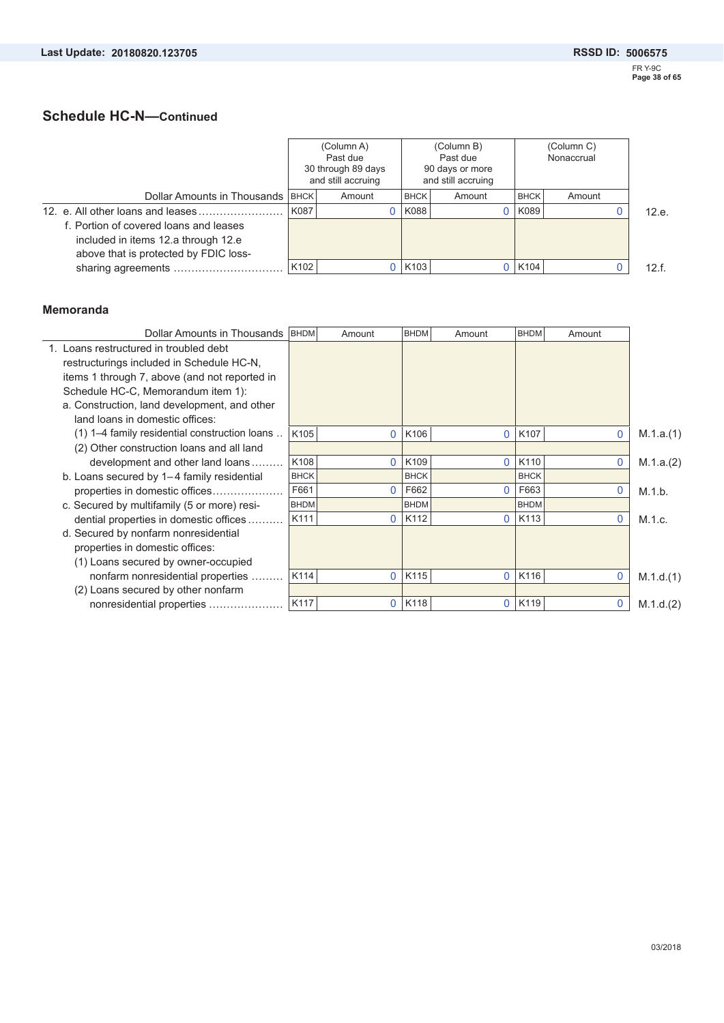# **Schedule HC-N—Continued**

|                                        |                  | (Column A)<br>Past due<br>30 through 89 days<br>and still accruing |             | (Column B)<br>Past due<br>90 days or more<br>and still accruing |             | (Column C)<br>Nonaccrual |       |
|----------------------------------------|------------------|--------------------------------------------------------------------|-------------|-----------------------------------------------------------------|-------------|--------------------------|-------|
| Dollar Amounts in Thousands   BHCK     |                  | Amount                                                             | <b>BHCK</b> | Amount                                                          | <b>BHCK</b> | Amount                   |       |
|                                        | K087             |                                                                    | K088        |                                                                 | K089        |                          | 12.e. |
| f. Portion of covered loans and leases |                  |                                                                    |             |                                                                 |             |                          |       |
| included in items 12.a through 12.e    |                  |                                                                    |             |                                                                 |             |                          |       |
| above that is protected by FDIC loss-  |                  |                                                                    |             |                                                                 |             |                          |       |
|                                        | K <sub>102</sub> |                                                                    | 0 K103      |                                                                 | K104        |                          | 12.f. |

#### **Memoranda**

| Dollar Amounts in Thousands                   | <b>BHDM</b> | Amount         | <b>BHDM</b> | Amount         | <b>BHDM</b>      | Amount       |           |
|-----------------------------------------------|-------------|----------------|-------------|----------------|------------------|--------------|-----------|
| 1. Loans restructured in troubled debt        |             |                |             |                |                  |              |           |
| restructurings included in Schedule HC-N,     |             |                |             |                |                  |              |           |
| items 1 through 7, above (and not reported in |             |                |             |                |                  |              |           |
| Schedule HC-C, Memorandum item 1):            |             |                |             |                |                  |              |           |
| a. Construction, land development, and other  |             |                |             |                |                  |              |           |
| land loans in domestic offices:               |             |                |             |                |                  |              |           |
| (1) 1–4 family residential construction loans | K105        | $\overline{0}$ | K106        | $\mathbf{0}$   | K <sub>107</sub> | $\mathbf{0}$ | M.1.a.(1) |
| (2) Other construction loans and all land     |             |                |             |                |                  |              |           |
| development and other land loans              | K108        | $\mathbf{0}$   | K109        | $\overline{0}$ | K110             | $\mathbf 0$  | M.1.a.(2) |
| b. Loans secured by 1-4 family residential    | <b>BHCK</b> |                | <b>BHCK</b> |                | <b>BHCK</b>      |              |           |
| properties in domestic offices                | F661        |                | F662        | 0              | F663             | $\Omega$     | M.1.b.    |
| c. Secured by multifamily (5 or more) resi-   | <b>BHDM</b> |                | <b>BHDM</b> |                | <b>BHDM</b>      |              |           |
| dential properties in domestic offices.       | K111        | $\Omega$       | K112        | 0              | K113             | $\Omega$     | M.1.c.    |
| d. Secured by nonfarm nonresidential          |             |                |             |                |                  |              |           |
| properties in domestic offices:               |             |                |             |                |                  |              |           |
| (1) Loans secured by owner-occupied           |             |                |             |                |                  |              |           |
| nonfarm nonresidential properties             | K114        | $\mathbf 0$    | K115        | $\mathbf{0}$   | K116             | $\mathbf{0}$ | M.1.d.(1) |
| (2) Loans secured by other nonfarm            |             |                |             |                |                  |              |           |
| nonresidential properties                     | K117        | $\mathbf{0}$   | K118        | $\mathbf{0}$   | K119             | $\mathbf{0}$ | M.1.d.(2) |
|                                               |             |                |             |                |                  |              |           |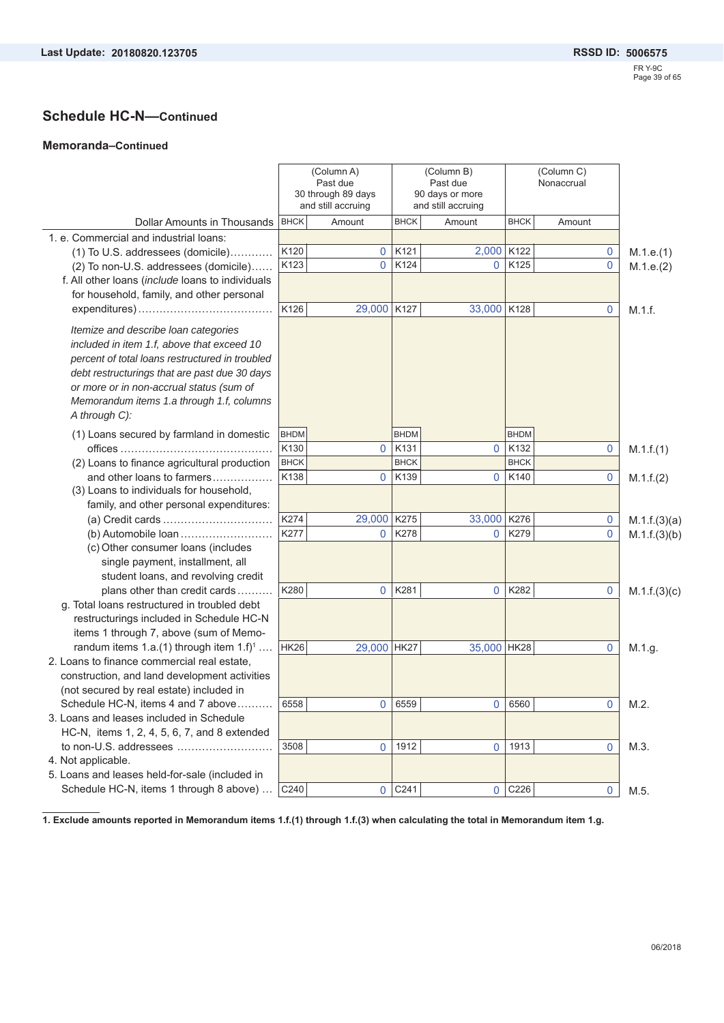#### **Memoranda–Continued**

|                                                  |             | (Column A)<br>Past due<br>30 through 89 days<br>and still accruing |             | (Column B)<br>Past due<br>90 days or more<br>and still accruing | (Column C)<br>Nonaccrual |        |           |              |  |  |
|--------------------------------------------------|-------------|--------------------------------------------------------------------|-------------|-----------------------------------------------------------------|--------------------------|--------|-----------|--------------|--|--|
| Dollar Amounts in Thousands                      | <b>BHCK</b> | Amount                                                             | <b>BHCK</b> | Amount                                                          | <b>BHCK</b>              | Amount |           |              |  |  |
| 1. e. Commercial and industrial loans:           |             |                                                                    |             |                                                                 |                          |        |           |              |  |  |
| (1) To U.S. addressees (domicile)                | K120        | $\mathbf 0$                                                        | K121        | 2,000 K122                                                      |                          |        | 0         | M.1.e.(1)    |  |  |
| (2) To non-U.S. addressees (domicile)            | K123        | $\mathbf{0}$                                                       | K124        | 0                                                               | K125                     |        | 0         | M.1.e.(2)    |  |  |
| f. All other loans (include loans to individuals |             |                                                                    |             |                                                                 |                          |        |           |              |  |  |
| for household, family, and other personal        |             |                                                                    |             |                                                                 |                          |        |           |              |  |  |
|                                                  | K126        | 29,000 K127                                                        |             | 33,000 K128                                                     |                          |        | 0         | M.1.f.       |  |  |
| Itemize and describe loan categories             |             |                                                                    |             |                                                                 |                          |        |           |              |  |  |
| included in item 1.f, above that exceed 10       |             |                                                                    |             |                                                                 |                          |        |           |              |  |  |
| percent of total loans restructured in troubled  |             |                                                                    |             |                                                                 |                          |        |           |              |  |  |
| debt restructurings that are past due 30 days    |             |                                                                    |             |                                                                 |                          |        |           |              |  |  |
| or more or in non-accrual status (sum of         |             |                                                                    |             |                                                                 |                          |        |           |              |  |  |
| Memorandum items 1.a through 1.f, columns        |             |                                                                    |             |                                                                 |                          |        |           |              |  |  |
| A through C):                                    |             |                                                                    |             |                                                                 |                          |        |           |              |  |  |
| (1) Loans secured by farmland in domestic        | <b>BHDM</b> |                                                                    | <b>BHDM</b> |                                                                 | <b>BHDM</b>              |        |           |              |  |  |
|                                                  | K130        | $\mathbf{0}$                                                       | K131        | $\overline{0}$                                                  | K132                     |        | 0         | M.1.f.(1)    |  |  |
| (2) Loans to finance agricultural production     | <b>BHCK</b> |                                                                    | <b>BHCK</b> |                                                                 | <b>BHCK</b>              |        |           |              |  |  |
| and other loans to farmers                       | K138        | $\mathbf{0}$                                                       | K139        | 0                                                               | K140                     |        | 0         | M.1.f.(2)    |  |  |
| (3) Loans to individuals for household,          |             |                                                                    |             |                                                                 |                          |        |           |              |  |  |
| family, and other personal expenditures:         |             |                                                                    |             |                                                                 |                          |        |           |              |  |  |
|                                                  | K274        | 29,000 K275                                                        |             | 33,000 K276                                                     |                          |        | 0         | M.1.f.(3)(a) |  |  |
| (b) Automobile loan                              | K277        | $\mathbf 0$                                                        | K278        | 0                                                               | K279                     |        | 0         | M.1.f.(3)(b) |  |  |
| (c) Other consumer loans (includes               |             |                                                                    |             |                                                                 |                          |        |           |              |  |  |
| single payment, installment, all                 |             |                                                                    |             |                                                                 |                          |        |           |              |  |  |
| student loans, and revolving credit              |             |                                                                    |             |                                                                 |                          |        |           |              |  |  |
| plans other than credit cards                    | K280        | $\mathbf 0$                                                        | K281        | $\mathbf 0$                                                     | K282                     |        | 0         | M.1.f.(3)(c) |  |  |
| g. Total loans restructured in troubled debt     |             |                                                                    |             |                                                                 |                          |        |           |              |  |  |
| restructurings included in Schedule HC-N         |             |                                                                    |             |                                                                 |                          |        |           |              |  |  |
| items 1 through 7, above (sum of Memo-           |             |                                                                    |             |                                                                 |                          |        |           |              |  |  |
| randum items $1.a.(1)$ through item $1.f)^1$     | <b>HK26</b> | 29,000 HK27                                                        |             | 35,000 HK28                                                     |                          |        | 0         | M.1.g.       |  |  |
| 2. Loans to finance commercial real estate,      |             |                                                                    |             |                                                                 |                          |        |           |              |  |  |
| construction, and land development activities    |             |                                                                    |             |                                                                 |                          |        |           |              |  |  |
| (not secured by real estate) included in         |             |                                                                    |             |                                                                 |                          |        |           |              |  |  |
| Schedule HC-N, items 4 and 7 above               | 6558        | 0                                                                  | 6559        | 0                                                               | 6560                     |        | $\pmb{0}$ | $M.2$ .      |  |  |
| 3. Loans and leases included in Schedule         |             |                                                                    |             |                                                                 |                          |        |           |              |  |  |
| HC-N, items 1, 2, 4, 5, 6, 7, and 8 extended     |             |                                                                    |             |                                                                 |                          |        |           |              |  |  |
| to non-U.S. addressees                           | 3508        | 0                                                                  | 1912        | 0                                                               | 1913                     |        | 0         | M.3.         |  |  |
| 4. Not applicable.                               |             |                                                                    |             |                                                                 |                          |        |           |              |  |  |
| 5. Loans and leases held-for-sale (included in   |             |                                                                    |             |                                                                 |                          |        |           |              |  |  |
| Schedule HC-N, items 1 through 8 above)          | C240        | 0                                                                  | C241        | 0                                                               | C226                     |        | 0         | M.5.         |  |  |

**1. Exclude amounts reported in Memorandum items 1.f.(1) through 1.f.(3) when calculating the total in Memorandum item 1.g.**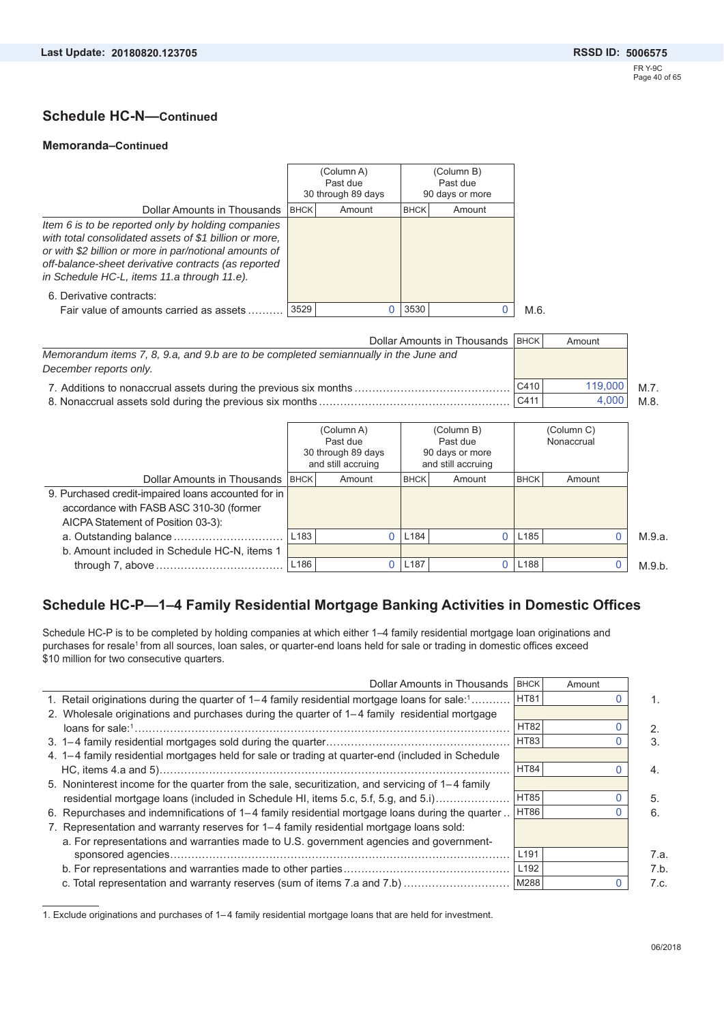### **Schedule HC-N—Continued**

#### **Memoranda–Continued**

|                                                                                                                                                                                                                                                                              |             | (Column A)                     |                             | (Column B) |  |
|------------------------------------------------------------------------------------------------------------------------------------------------------------------------------------------------------------------------------------------------------------------------------|-------------|--------------------------------|-----------------------------|------------|--|
|                                                                                                                                                                                                                                                                              |             | Past due<br>30 through 89 days | Past due<br>90 days or more |            |  |
| Dollar Amounts in Thousands                                                                                                                                                                                                                                                  | <b>BHCK</b> | Amount                         | <b>BHCK</b>                 | Amount     |  |
| Item 6 is to be reported only by holding companies<br>with total consolidated assets of \$1 billion or more,<br>or with \$2 billion or more in par/notional amounts of<br>off-balance-sheet derivative contracts (as reported<br>in Schedule HC-L, items 11.a through 11.e). |             |                                |                             |            |  |
| 6. Derivative contracts:                                                                                                                                                                                                                                                     |             |                                |                             |            |  |
| Fair value of amounts carried as assets                                                                                                                                                                                                                                      | 3529        |                                | 3530                        |            |  |

| Dollar Amounts in Thousands   BHCK                                                   |      | Amount  |         |
|--------------------------------------------------------------------------------------|------|---------|---------|
| Memorandum items 7, 8, 9.a, and 9.b are to be completed semiannually in the June and |      |         |         |
| December reports only.                                                               |      |         |         |
|                                                                                      | C410 | 119,000 | M.7     |
|                                                                                      | C411 | 4.000   | $M.8$ . |

|                                                     |                  | (Column A)<br>Past due<br>30 through 89 days<br>and still accruing |                  | (Column B)<br>Past due<br>90 days or more<br>and still accruing |                  | (Column C)<br>Nonaccrual |        |
|-----------------------------------------------------|------------------|--------------------------------------------------------------------|------------------|-----------------------------------------------------------------|------------------|--------------------------|--------|
| Dollar Amounts in Thousands   BHCK                  |                  | Amount                                                             | <b>BHCK</b>      | Amount                                                          | <b>BHCK</b>      | Amount                   |        |
| 9. Purchased credit-impaired loans accounted for in |                  |                                                                    |                  |                                                                 |                  |                          |        |
| accordance with FASB ASC 310-30 (former             |                  |                                                                    |                  |                                                                 |                  |                          |        |
| AICPA Statement of Position 03-3):                  |                  |                                                                    |                  |                                                                 |                  |                          |        |
|                                                     | L <sub>183</sub> |                                                                    | L <sub>184</sub> |                                                                 | L185             |                          | M.9.a. |
| b. Amount included in Schedule HC-N, items 1        |                  |                                                                    |                  |                                                                 |                  |                          |        |
|                                                     | L <sub>186</sub> |                                                                    | L <sub>187</sub> |                                                                 | L <sub>188</sub> |                          | M.9.b. |

### **Schedule HC-P—1–4 Family Residential Mortgage Banking Activities in Domestic Offices**

Schedule HC-P is to be completed by holding companies at which either 1–4 family residential mortgage loan originations and purchases for resale<sup>1</sup> from all sources, loan sales, or quarter-end loans held for sale or trading in domestic offices exceed \$10 million for two consecutive quarters.

| Dollar Amounts in Thousands                                                                       | <b>BHCK</b>      | Amount |      |
|---------------------------------------------------------------------------------------------------|------------------|--------|------|
| 1. Retail originations during the quarter of 1–4 family residential mortgage loans for sale:1     | <b>HT81</b>      |        |      |
| 2. Wholesale originations and purchases during the quarter of 1–4 family residential mortgage     |                  |        |      |
|                                                                                                   | <b>HT82</b>      |        | 2.   |
|                                                                                                   | HT83             |        | 3.   |
| 4. 1–4 family residential mortgages held for sale or trading at quarter-end (included in Schedule |                  |        |      |
|                                                                                                   | <b>HT84</b>      |        | 4.   |
| 5. Noninterest income for the quarter from the sale, securitization, and servicing of 1–4 family  |                  |        |      |
| residential mortgage loans (included in Schedule HI, items 5.c, 5.f, 5.g, and 5.i)                | <b>HT85</b>      |        | 5.   |
| 6. Repurchases and indemnifications of 1–4 family residential mortgage loans during the quarter   | HT86             |        | 6.   |
| 7. Representation and warranty reserves for 1–4 family residential mortgage loans sold:           |                  |        |      |
| a. For representations and warranties made to U.S. government agencies and government-            |                  |        |      |
| sponsored agencies                                                                                | L <sub>191</sub> |        | 7.a. |
|                                                                                                   | L <sub>192</sub> |        | 7.b  |
| c. Total representation and warranty reserves (sum of items 7.a and 7.b)                          | M288             |        | 7.c. |

1. Exclude originations and purchases of 1– 4 family residential mortgage loans that are held for investment.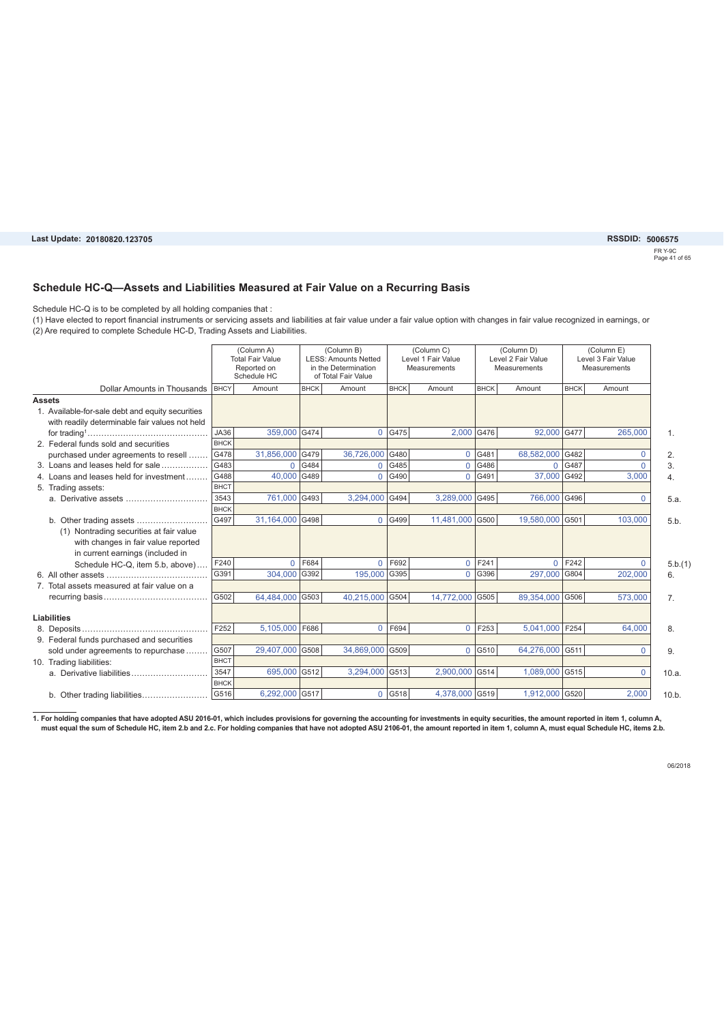#### Last Update: 20180820.123705

FR Y-9C Page 41 of 65 **20180820.123705 5006575**

#### **Schedule HC-Q—Assets and Liabilities Measured at Fair Value on a Recurring Basis**

Schedule HC-Q is to be completed by all holding companies that :

(1) Have elected to report financial instruments or servicing assets and liabilities at fair value under a fair value option with changes in fair value recognized in earnings, or (2) Are required to complete Schedule HC-D, Trading Assets and Liabilities.

|                                                  |             | (Column A)<br><b>Total Fair Value</b><br>Reported on<br>Schedule HC |             | (Column B)<br><b>LESS: Amounts Netted</b><br>in the Determination<br>of Total Fair Value |             | (Column C)<br>Level 1 Fair Value<br><b>Measurements</b> |             | (Column D)<br>Level 2 Fair Value<br>Measurements |             | (Column E)<br>Level 3 Fair Value<br>Measurements |                |
|--------------------------------------------------|-------------|---------------------------------------------------------------------|-------------|------------------------------------------------------------------------------------------|-------------|---------------------------------------------------------|-------------|--------------------------------------------------|-------------|--------------------------------------------------|----------------|
| Dollar Amounts in Thousands<br><b>BHCY</b>       |             | Amount                                                              | <b>BHCK</b> | Amount                                                                                   | <b>BHCK</b> | Amount                                                  | <b>BHCK</b> | Amount                                           | <b>BHCK</b> | Amount                                           |                |
| <b>Assets</b>                                    |             |                                                                     |             |                                                                                          |             |                                                         |             |                                                  |             |                                                  |                |
| 1. Available-for-sale debt and equity securities |             |                                                                     |             |                                                                                          |             |                                                         |             |                                                  |             |                                                  |                |
| with readily determinable fair values not held   |             |                                                                     |             |                                                                                          |             |                                                         |             |                                                  |             |                                                  |                |
|                                                  | JA36        | 359,000 G474                                                        |             |                                                                                          | 0   G475    | 2,000 G476                                              |             | 92,000 G477                                      |             | 265,000                                          | $\mathbf{1}$ . |
| 2. Federal funds sold and securities             | <b>BHCK</b> |                                                                     |             |                                                                                          |             |                                                         |             |                                                  |             |                                                  |                |
| purchased under agreements to resell             | G478        | 31,856,000                                                          | G479        | 36,726,000                                                                               | G480        | $\Omega$                                                | G481        | 68,582,000 G482                                  |             | $\Omega$                                         | 2.             |
| 3. Loans and leases held for sale                | G483        | $\Omega$                                                            | G484        | $\mathbf{0}$                                                                             | G485        | $\overline{0}$                                          | G486        | $\mathbf{0}$                                     | G487        | 0                                                | 3.             |
| 4. Loans and leases held for investment          | G488        | 40,000                                                              | G489        | $\Omega$                                                                                 | G490        | $\Omega$                                                | G491        | 37,000 G492                                      |             | 3.000                                            | 4.             |
| 5. Trading assets:                               | <b>BHCT</b> |                                                                     |             |                                                                                          |             |                                                         |             |                                                  |             |                                                  |                |
|                                                  | 3543        | 761,000                                                             | G493        | 3,294,000 G494                                                                           |             | 3,289,000                                               | G495        | 766,000 G496                                     |             | $\Omega$                                         | 5.a.           |
|                                                  | <b>BHCK</b> |                                                                     |             |                                                                                          |             |                                                         |             |                                                  |             |                                                  |                |
| b. Other trading assets                          | G497        | 31.164.000 G498                                                     |             | $\Omega$                                                                                 | G499        | 11.481.000 G500                                         |             | 19.580.000 G501                                  |             | 103.000                                          | 5.b.           |
| (1) Nontrading securities at fair value          |             |                                                                     |             |                                                                                          |             |                                                         |             |                                                  |             |                                                  |                |
| with changes in fair value reported              |             |                                                                     |             |                                                                                          |             |                                                         |             |                                                  |             |                                                  |                |
| in current earnings (included in                 |             |                                                                     |             |                                                                                          |             |                                                         |             |                                                  |             |                                                  |                |
| Schedule HC-Q, item 5.b, above)                  | F240        | $\Omega$                                                            | F684        | $\Omega$                                                                                 | F692        | $\overline{0}$                                          | F241        | $\Omega$                                         | F242        | $\Omega$                                         | 5.b.(1)        |
|                                                  | G391        | 304.000                                                             | G392        | 195,000 G395                                                                             |             | $\Omega$                                                | G396        | 297,000 G804                                     |             | 202.000                                          | 6.             |
| 7. Total assets measured at fair value on a      |             |                                                                     |             |                                                                                          |             |                                                         |             |                                                  |             |                                                  |                |
|                                                  | G502        | 64.484.000 G503                                                     |             | 40.215.000 G504                                                                          |             | 14,772,000 G505                                         |             | 89.354.000 G506                                  |             | 573.000                                          | 7 <sub>1</sub> |
|                                                  |             |                                                                     |             |                                                                                          |             |                                                         |             |                                                  |             |                                                  |                |
| <b>Liabilities</b>                               |             |                                                                     |             |                                                                                          |             |                                                         |             |                                                  |             |                                                  |                |
|                                                  | F252        | 5,105,000                                                           | F686        | $\Omega$                                                                                 | F694        | $\Omega$                                                | F253        | 5,041,000                                        | F254        | 64,000                                           | 8.             |
| 9. Federal funds purchased and securities        |             |                                                                     |             |                                                                                          |             |                                                         |             |                                                  |             |                                                  |                |
| sold under agreements to repurchase              | G507        | 29,407,000                                                          | G508        | 34,869,000 G509                                                                          |             | $\Omega$                                                | G510        | 64,276,000 G511                                  |             | 0                                                | 9.             |
| 10. Trading liabilities:                         | <b>BHCT</b> |                                                                     |             |                                                                                          |             |                                                         |             |                                                  |             |                                                  |                |
|                                                  | 3547        | 695,000 G512                                                        |             | 3.294.000 G513                                                                           |             | 2.900.000 G514                                          |             | 1,089,000 G515                                   |             | $\Omega$                                         | 10.a.          |
|                                                  | <b>BHCK</b> |                                                                     |             |                                                                                          |             |                                                         |             |                                                  |             |                                                  |                |
|                                                  | G516        | 6,292,000 G517                                                      |             |                                                                                          | 0 G518      | 4,378,000 G519                                          |             | 1,912,000 G520                                   |             | 2,000                                            | 10.b.          |

1. For holding companies that have adopted ASU 2016-01, which includes provisions for governing the accounting for investments in equity securities, the amount reported in item 1, column A,<br>must equal the sum of Schedule H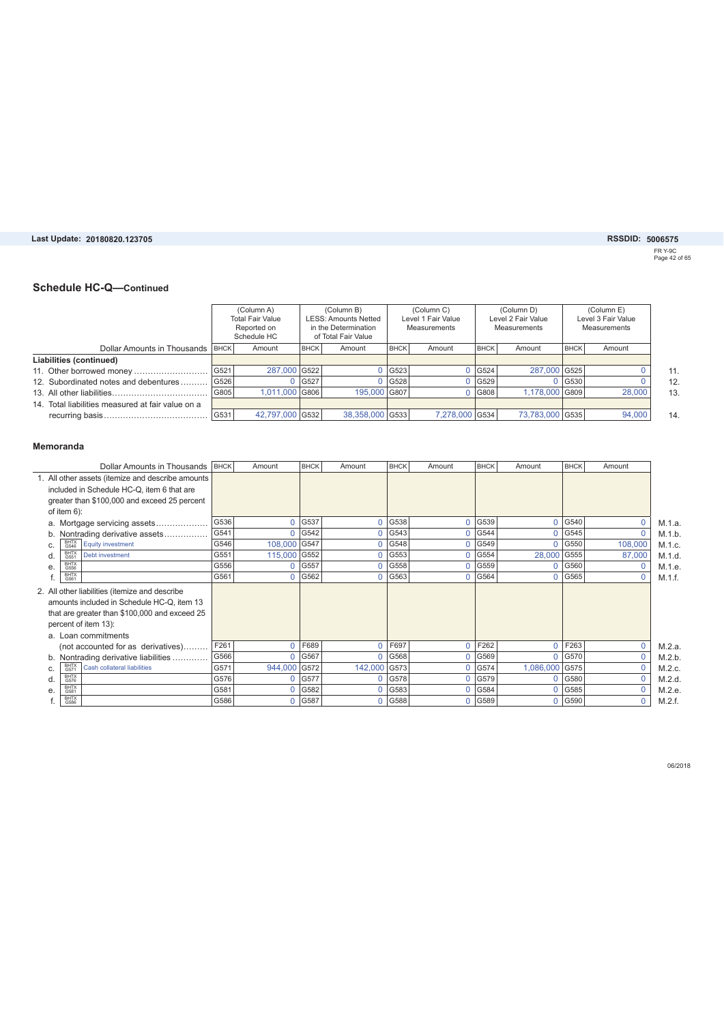#### Last Update: 20180820.123705

### **20180820.123705 5006575**

FR Y-9C Page 42 of 65

#### **Schedule HC-Q—Continued**

|                                                   |      | (Column A)<br><b>Total Fair Value</b><br>Reported on<br>Schedule HC |             | (Column B)<br><b>LESS: Amounts Netted</b><br>in the Determination<br>of Total Fair Value |                      | (Column C)<br>Level 1 Fair Value<br>Measurements |             | (Column D)<br>Level 2 Fair Value<br>Measurements |             | (Column E)<br>Level 3 Fair Value<br>Measurements |
|---------------------------------------------------|------|---------------------------------------------------------------------|-------------|------------------------------------------------------------------------------------------|----------------------|--------------------------------------------------|-------------|--------------------------------------------------|-------------|--------------------------------------------------|
| Dollar Amounts in Thousands   BHCK                |      | Amount                                                              | <b>BHCK</b> | Amount                                                                                   | <b>BHCK</b>          | Amount                                           | <b>BHCK</b> | Amount                                           | <b>BHCK</b> | Amount                                           |
| Liabilities (continued)                           |      |                                                                     |             |                                                                                          |                      |                                                  |             |                                                  |             |                                                  |
|                                                   | G521 | 287,000 G522                                                        |             |                                                                                          | G523                 |                                                  | 0  G524     | 287,000 G525                                     |             |                                                  |
| 12. Subordinated notes and debentures             | G526 |                                                                     | G527        |                                                                                          | $0$ G <sub>528</sub> |                                                  | 0 G529      |                                                  | G530        |                                                  |
|                                                   | G805 | 1.011.000 G806                                                      |             | 195,000 G807                                                                             |                      |                                                  | G808        | 1.178.000 G809                                   |             | 28,000                                           |
| 14. Total liabilities measured at fair value on a |      |                                                                     |             |                                                                                          |                      |                                                  |             |                                                  |             |                                                  |
|                                                   | G531 | 42,797,000 G532                                                     |             | 38,358,000 G533                                                                          |                      | 7.278.000 G534                                   |             | 73,783,000 G535                                  |             | 94,000                                           |

#### **Memoranda**

| Dollar Amounts in Thousands                       | <b>BHCK</b> | Amount       | <b>BHCK</b> | Amount         | <b>BHCK</b> | Amount   | <b>BHCK</b> | Amount       | <b>BHCK</b> | Amount       |        |
|---------------------------------------------------|-------------|--------------|-------------|----------------|-------------|----------|-------------|--------------|-------------|--------------|--------|
| 1. All other assets (itemize and describe amounts |             |              |             |                |             |          |             |              |             |              |        |
| included in Schedule HC-Q, item 6 that are        |             |              |             |                |             |          |             |              |             |              |        |
| greater than \$100,000 and exceed 25 percent      |             |              |             |                |             |          |             |              |             |              |        |
| of item $6$ ):                                    |             |              |             |                |             |          |             |              |             |              |        |
| a. Mortgage servicing assets                      | G536        | 0            | G537        | 0              | G538        | $\Omega$ | G539        | $\Omega$     | G540        | $\mathbf{0}$ | M.1.a. |
| Nontrading derivative assets<br>b.                | G541        | 0            | G542        | $\overline{0}$ | G543        | $\Omega$ | G544        | $\Omega$     | G545        | $\Omega$     | M.1.b. |
| BHTX<br>G546<br>Equity investment<br>C.           | G546        | 108,000 G547 |             |                | 0   G548    |          | 0   G549    | $\Omega$     | G550        | 108,000      | M.1.c. |
| BHTX<br>G551<br><b>Debt investment</b><br>d.      | G551        | 115,000      | G552        | 0              | G553        | $\Omega$ | G554        | 28,000       | G555        | 87,000       | M.1.d. |
| BHTX<br>G556<br>e.                                | G556        | 0            | G557        | 0              | G558        | 0        | G559        | $\mathbf{0}$ | G560        | 0            | M.1.e. |
| BHTX<br>G561                                      | G561        | 0            | G562        |                | 0   G563    |          | $0$ G564    | $\Omega$     | G565        | $\Omega$     | M.1.f. |
| 2. All other liabilities (itemize and describe    |             |              |             |                |             |          |             |              |             |              |        |
| amounts included in Schedule HC-Q, item 13        |             |              |             |                |             |          |             |              |             |              |        |
| that are greater than \$100,000 and exceed 25     |             |              |             |                |             |          |             |              |             |              |        |
| percent of item 13):                              |             |              |             |                |             |          |             |              |             |              |        |
| a. Loan commitments                               |             |              |             |                |             |          |             |              |             |              |        |
| (not accounted for as derivatives)                | F261        | 0            | F689        | 0              | F697        | 0        | F262        | $\mathbf 0$  | F263        | $\mathbf 0$  | M.2.a. |
| Nontrading derivative liabilities<br>b.           | G566        | 0            | G567        | 0 <sup>1</sup> | G568        | $\Omega$ | G569        | $\Omega$     | G570        | $\mathbf{0}$ | M.2.b. |
| BHTX<br>G571<br>Cash collateral liabilities<br>C. | G571        | 944,000 G572 |             | 142,000 G573   |             | $\Omega$ | G574        | 1,086,000    | G575        | $\mathbf{0}$ | M.2.c. |
| BHTX<br>G576<br>d.                                | G576        | 0            | G577        | 0              | G578        | $\Omega$ | G579        | $\mathbf{0}$ | G580        | $\mathbf{0}$ | M.2.d. |
| BHTX<br>G581<br>e.                                | G581        | 0            | G582        | 0              | G583        | $\Omega$ | G584        | $\Omega$     | G585        | $\mathbf{0}$ | M.2.e. |
| <b>BHTX</b><br>G586                               | G586        | 0            | G587        | $\overline{0}$ | G588        | $\Omega$ | G589        | 0            | G590        | $\mathbf 0$  | M.2.f. |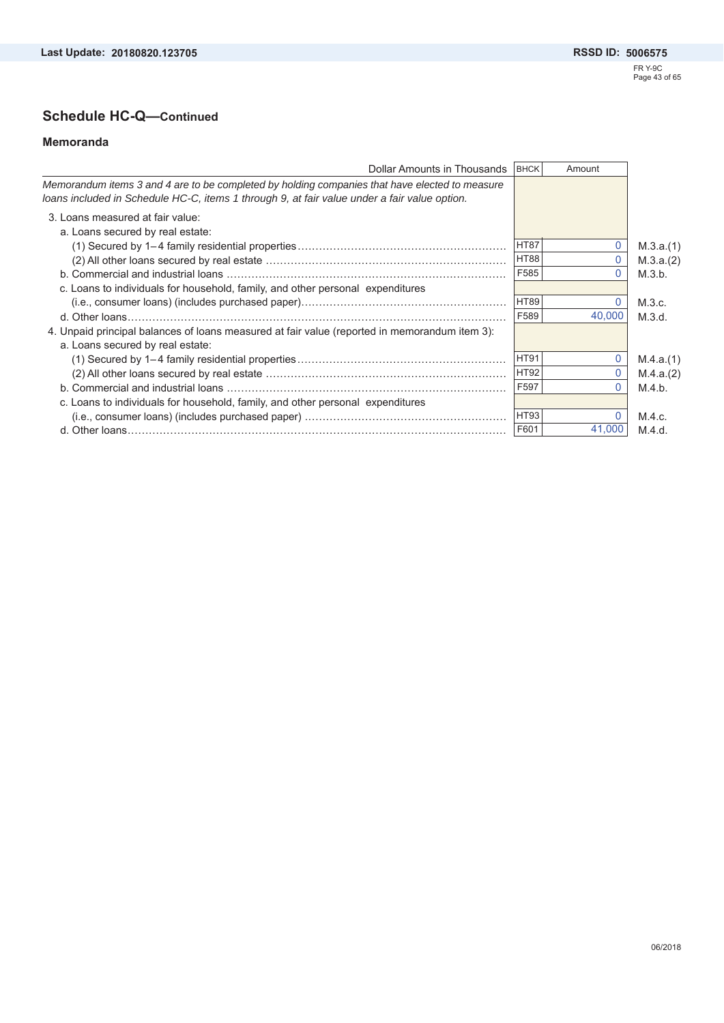# **Schedule HC-Q—Continued**

#### **Memoranda**

| Dollar Amounts in Thousands                                                                    | <b>BHCK</b> | Amount |           |
|------------------------------------------------------------------------------------------------|-------------|--------|-----------|
| Memorandum items 3 and 4 are to be completed by holding companies that have elected to measure |             |        |           |
| loans included in Schedule HC-C, items 1 through 9, at fair value under a fair value option.   |             |        |           |
| 3. Loans measured at fair value:                                                               |             |        |           |
| a. Loans secured by real estate:                                                               |             |        |           |
|                                                                                                | <b>HT87</b> |        | M.3.a.(1) |
|                                                                                                | <b>HT88</b> |        | M.3.a.(2) |
|                                                                                                | F585        | O      | M.3.b.    |
| c. Loans to individuals for household, family, and other personal expenditures                 |             |        |           |
|                                                                                                | <b>HT89</b> |        | M.3.c.    |
|                                                                                                | F589        | 40.000 | M.3.d.    |
| 4. Unpaid principal balances of loans measured at fair value (reported in memorandum item 3):  |             |        |           |
| a. Loans secured by real estate:                                                               |             |        |           |
|                                                                                                | <b>HT91</b> |        | M.4.a.(1) |
|                                                                                                | <b>HT92</b> | 0      | M.4.a.(2) |
|                                                                                                | F597        |        | M.4.b.    |
| c. Loans to individuals for household, family, and other personal expenditures                 |             |        |           |
|                                                                                                | <b>HT93</b> |        | M.4.c.    |
|                                                                                                | F601        | 41.000 | M.4.d.    |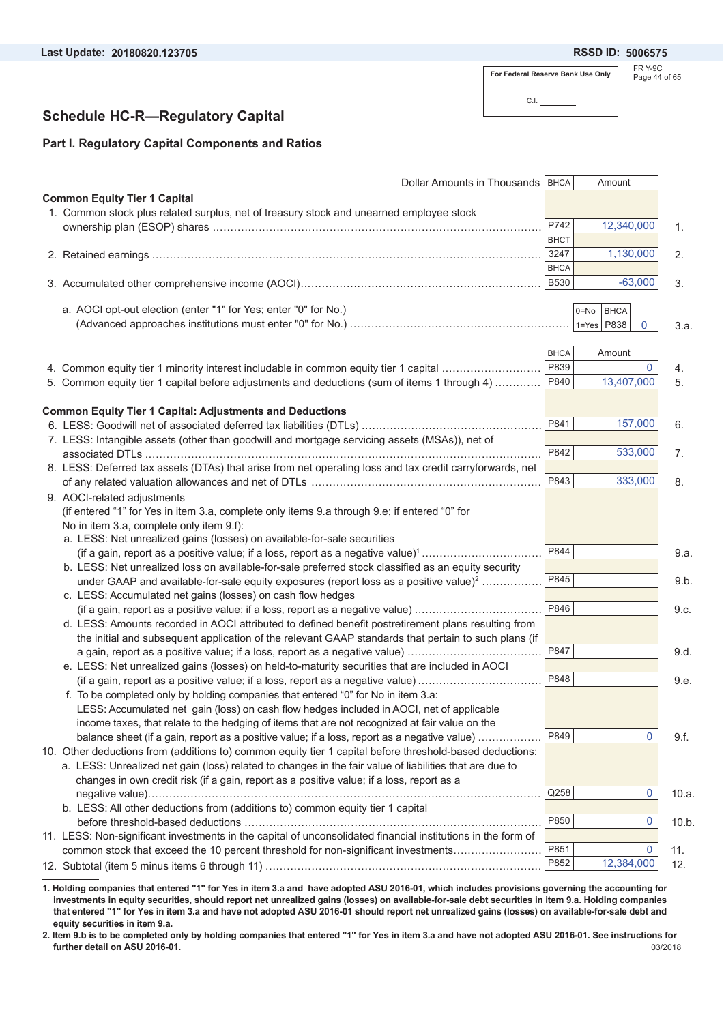**20180820.123705 5006575**

**For Federal Reserve Bank Use Only**

 $\overline{\phantom{0}}$ 

C.I.

```
FR Y-9C
Page 44 of 65
```
### **Schedule HC-R—Regulatory Capital**

### **Part I. Regulatory Capital Components and Ratios**

| Dollar Amounts in Thousands   BHCA                                                                                  |             | Amount                  |       |
|---------------------------------------------------------------------------------------------------------------------|-------------|-------------------------|-------|
| <b>Common Equity Tier 1 Capital</b>                                                                                 |             |                         |       |
| 1. Common stock plus related surplus, net of treasury stock and unearned employee stock                             |             |                         |       |
|                                                                                                                     | P742        | 12,340,000              | 1.    |
|                                                                                                                     | <b>BHCT</b> |                         |       |
|                                                                                                                     | 3247        | 1,130,000               | 2.    |
|                                                                                                                     | <b>BHCA</b> |                         |       |
|                                                                                                                     | <b>B530</b> | $-63,000$               | 3.    |
| a. AOCI opt-out election (enter "1" for Yes; enter "0" for No.)                                                     |             | <b>BHCA</b><br>$0 = No$ |       |
|                                                                                                                     |             | $1 = Yes$ P838<br>0     | 3.a.  |
|                                                                                                                     |             |                         |       |
|                                                                                                                     | <b>BHCA</b> | Amount                  |       |
| 4. Common equity tier 1 minority interest includable in common equity tier 1 capital                                | P839        | 0                       | 4.    |
| 5. Common equity tier 1 capital before adjustments and deductions (sum of items 1 through 4)                        | P840        | 13,407,000              | 5.    |
|                                                                                                                     |             |                         |       |
| <b>Common Equity Tier 1 Capital: Adjustments and Deductions</b>                                                     |             |                         |       |
|                                                                                                                     | P841        | 157,000                 | 6.    |
| 7. LESS: Intangible assets (other than goodwill and mortgage servicing assets (MSAs)), net of                       |             |                         |       |
|                                                                                                                     | P842        | 533,000                 | 7.    |
| 8. LESS: Deferred tax assets (DTAs) that arise from net operating loss and tax credit carryforwards, net            |             |                         |       |
|                                                                                                                     | P843        | 333,000                 | 8.    |
| 9. AOCI-related adjustments                                                                                         |             |                         |       |
|                                                                                                                     |             |                         |       |
| (if entered "1" for Yes in item 3.a, complete only items 9.a through 9.e; if entered "0" for                        |             |                         |       |
| No in item 3.a, complete only item 9.f):<br>a. LESS: Net unrealized gains (losses) on available-for-sale securities |             |                         |       |
|                                                                                                                     | P844        |                         |       |
| (if a gain, report as a positive value; if a loss, report as a negative value) <sup>1</sup>                         |             |                         | 9.a.  |
| b. LESS: Net unrealized loss on available-for-sale preferred stock classified as an equity security                 | P845        |                         |       |
| under GAAP and available-for-sale equity exposures (report loss as a positive value) <sup>2</sup>                   |             |                         | 9.b.  |
| c. LESS: Accumulated net gains (losses) on cash flow hedges                                                         |             |                         |       |
| (if a gain, report as a positive value; if a loss, report as a negative value)                                      | P846        |                         | 9.c.  |
| d. LESS: Amounts recorded in AOCI attributed to defined benefit postretirement plans resulting from                 |             |                         |       |
| the initial and subsequent application of the relevant GAAP standards that pertain to such plans (if                |             |                         |       |
| a gain, report as a positive value; if a loss, report as a negative value)                                          | P847        |                         | 9.d.  |
| e. LESS: Net unrealized gains (losses) on held-to-maturity securities that are included in AOCI                     |             |                         |       |
| (if a gain, report as a positive value; if a loss, report as a negative value)                                      | P848        |                         | 9.e.  |
| f. To be completed only by holding companies that entered "0" for No in item 3.a:                                   |             |                         |       |
| LESS: Accumulated net gain (loss) on cash flow hedges included in AOCI, net of applicable                           |             |                         |       |
| income taxes, that relate to the hedging of items that are not recognized at fair value on the                      |             |                         |       |
| balance sheet (if a gain, report as a positive value; if a loss, report as a negative value)                        | P849        | $\Omega$                | 9.f.  |
| 10. Other deductions from (additions to) common equity tier 1 capital before threshold-based deductions:            |             |                         |       |
| a. LESS: Unrealized net gain (loss) related to changes in the fair value of liabilities that are due to             |             |                         |       |
| changes in own credit risk (if a gain, report as a positive value; if a loss, report as a                           |             |                         |       |
|                                                                                                                     | Q258        | $\mathbf 0$             | 10.a. |
| b. LESS: All other deductions from (additions to) common equity tier 1 capital                                      |             |                         |       |
|                                                                                                                     | P850        | 0                       | 10.b. |
| 11. LESS: Non-significant investments in the capital of unconsolidated financial institutions in the form of        |             |                         |       |
| common stock that exceed the 10 percent threshold for non-significant investments                                   | P851        | $\mathbf 0$             | 11.   |
|                                                                                                                     | P852        | 12,384,000              | 12.   |
|                                                                                                                     |             |                         |       |

**1. Holding companies that entered "1" for Yes in item 3.a and have adopted ASU 2016-01, which includes provisions governing the accounting for investments in equity securities, should report net unrealized gains (losses) on available-for-sale debt securities in item 9.a. Holding companies that entered "1" for Yes in item 3.a and have not adopted ASU 2016-01 should report net unrealized gains (losses) on available-for-sale debt and equity securities in item 9.a.**

03/2018 **2. Item 9.b is to be completed only by holding companies that entered "1" for Yes in item 3.a and have not adopted ASU 2016-01. See instructions for further detail on ASU 2016-01.**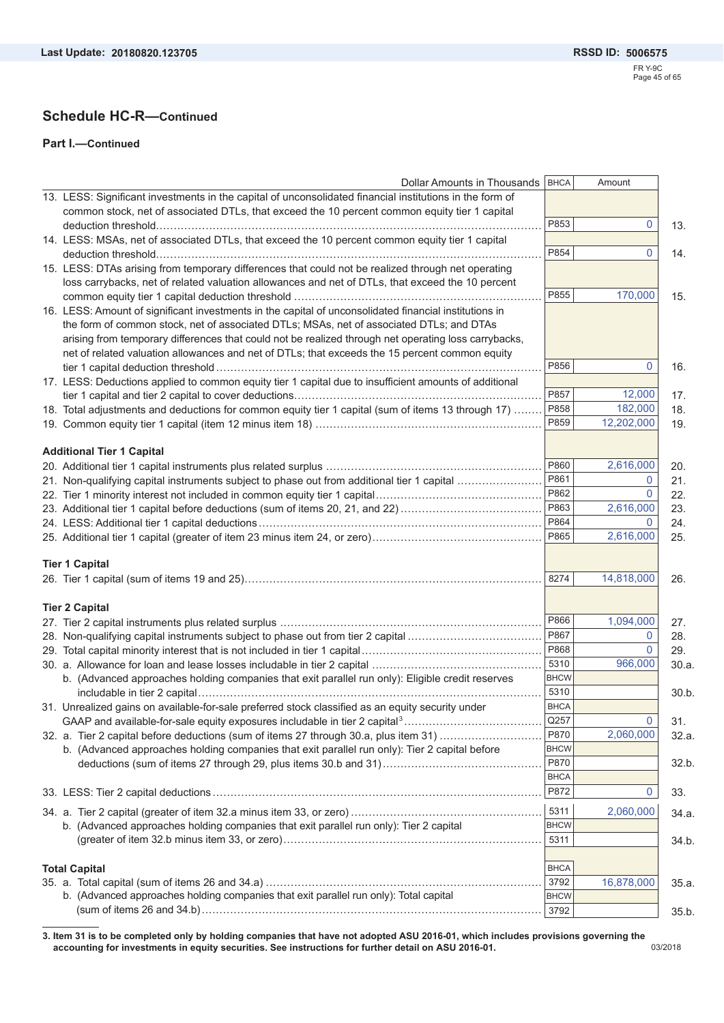### **Schedule HC-R—Continued**

#### **Part I.—Continued**

| <b>Dollar Amounts in Thousands</b>                                                                       | <b>BHCA</b>         | Amount      |       |
|----------------------------------------------------------------------------------------------------------|---------------------|-------------|-------|
| 13. LESS: Significant investments in the capital of unconsolidated financial institutions in the form of |                     |             |       |
| common stock, net of associated DTLs, that exceed the 10 percent common equity tier 1 capital            |                     |             |       |
|                                                                                                          | P853                | $\mathbf 0$ | 13.   |
| 14. LESS: MSAs, net of associated DTLs, that exceed the 10 percent common equity tier 1 capital          |                     |             |       |
|                                                                                                          | P854                | $\Omega$    | 14.   |
| 15. LESS: DTAs arising from temporary differences that could not be realized through net operating       |                     |             |       |
| loss carrybacks, net of related valuation allowances and net of DTLs, that exceed the 10 percent         | P855                | 170,000     |       |
|                                                                                                          |                     |             | 15.   |
| 16. LESS: Amount of significant investments in the capital of unconsolidated financial institutions in   |                     |             |       |
| the form of common stock, net of associated DTLs; MSAs, net of associated DTLs; and DTAs                 |                     |             |       |
| arising from temporary differences that could not be realized through net operating loss carrybacks,     |                     |             |       |
| net of related valuation allowances and net of DTLs; that exceeds the 15 percent common equity           | P856                | 0           | 16.   |
| 17. LESS: Deductions applied to common equity tier 1 capital due to insufficient amounts of additional   |                     |             |       |
|                                                                                                          | P857                | 12,000      | 17.   |
| 18. Total adjustments and deductions for common equity tier 1 capital (sum of items 13 through 17)       | P858                | 182,000     | 18.   |
|                                                                                                          | P859                | 12,202,000  | 19.   |
|                                                                                                          |                     |             |       |
| <b>Additional Tier 1 Capital</b>                                                                         |                     |             |       |
|                                                                                                          | P860                | 2,616,000   | 20.   |
| 21. Non-qualifying capital instruments subject to phase out from additional tier 1 capital               | P861                | $\Omega$    | 21.   |
|                                                                                                          | P862                | 0           | 22.   |
|                                                                                                          | P863                | 2,616,000   | 23.   |
|                                                                                                          | P864                | $\Omega$    | 24.   |
|                                                                                                          | P865                | 2,616,000   | 25.   |
|                                                                                                          |                     |             |       |
| <b>Tier 1 Capital</b>                                                                                    |                     |             |       |
|                                                                                                          | 8274                | 14,818,000  | 26.   |
|                                                                                                          |                     |             |       |
| <b>Tier 2 Capital</b>                                                                                    |                     |             |       |
|                                                                                                          | P866                | 1,094,000   | 27.   |
| 28. Non-qualifying capital instruments subject to phase out from tier 2 capital                          | P867                | 0           | 28.   |
|                                                                                                          | P868                | $\Omega$    | 29.   |
|                                                                                                          | 5310                | 966,000     | 30.a. |
| b. (Advanced approaches holding companies that exit parallel run only): Eligible credit reserves         | <b>BHCW</b>         |             |       |
|                                                                                                          | 5310                |             | 30.b  |
| 31. Unrealized gains on available-for-sale preferred stock classified as an equity security under        | <b>BHCA</b>         |             |       |
|                                                                                                          | Q257                | 0           | 31.   |
| 32. a. Tier 2 capital before deductions (sum of items 27 through 30.a, plus item 31)                     | P870                | 2,060,000   | 32.a  |
| b. (Advanced approaches holding companies that exit parallel run only): Tier 2 capital before            | <b>BHCW</b>         |             |       |
|                                                                                                          | P870                |             | 32.b  |
|                                                                                                          | <b>BHCA</b>         |             |       |
|                                                                                                          | P872                | 0           | 33.   |
|                                                                                                          | 5311                | 2,060,000   | 34.a  |
| b. (Advanced approaches holding companies that exit parallel run only): Tier 2 capital                   | <b>BHCW</b>         |             |       |
|                                                                                                          | 5311                |             | 34.b  |
|                                                                                                          |                     |             |       |
| <b>Total Capital</b>                                                                                     | <b>BHCA</b>         |             |       |
|                                                                                                          |                     |             |       |
|                                                                                                          | 3792                | 16,878,000  | 35.a  |
| b. (Advanced approaches holding companies that exit parallel run only): Total capital                    | <b>BHCW</b><br>3792 |             |       |

03/2018 **3. Item 31 is to be completed only by holding companies that have not adopted ASU 2016-01, which includes provisions governing the accounting for investments in equity securities. See instructions for further detail on ASU 2016-01.**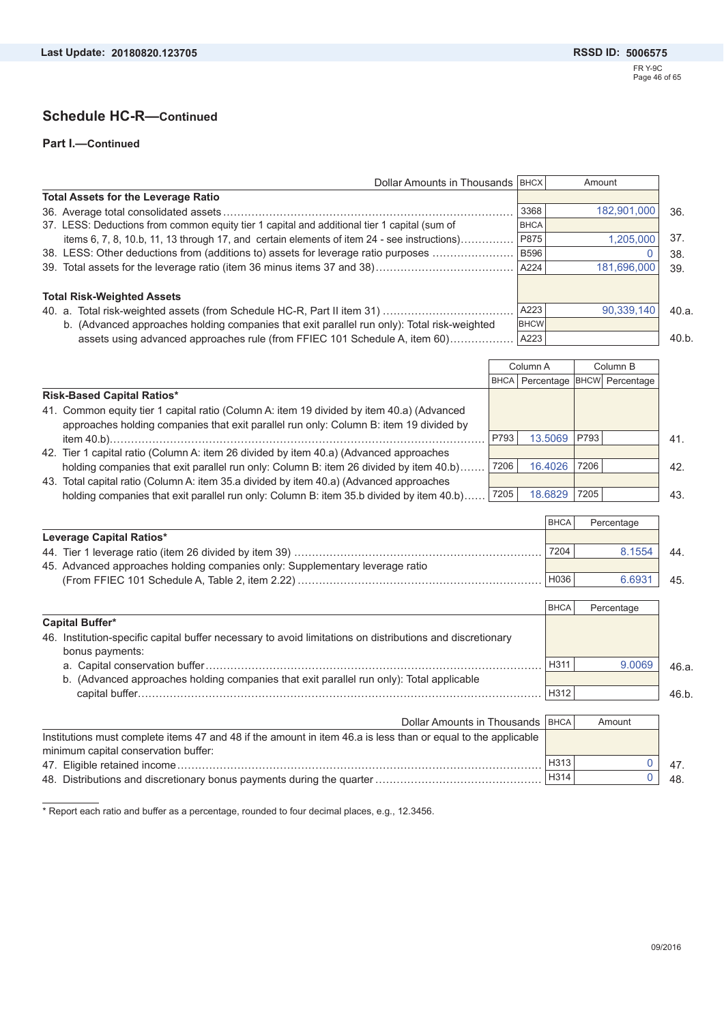**Part I.—Continued**

| Dollar Amounts in Thousands   BHCX                                                           |             | Amount      |      |
|----------------------------------------------------------------------------------------------|-------------|-------------|------|
| <b>Total Assets for the Leverage Ratio</b>                                                   |             |             |      |
|                                                                                              | 3368        | 182,901,000 | 36.  |
| 37. LESS: Deductions from common equity tier 1 capital and additional tier 1 capital (sum of | <b>BHCA</b> |             |      |
| items 6, 7, 8, 10.b, 11, 13 through 17, and certain elements of item 24 - see instructions)  | P875        | 1.205.000   | 37.  |
| 38. LESS: Other deductions from (additions to) assets for leverage ratio purposes            | <b>B596</b> |             | 38.  |
|                                                                                              | A224        | 181,696,000 | 39.  |
| <b>Total Risk-Weighted Assets</b>                                                            |             |             |      |
|                                                                                              | A223        | 90,339,140  | 40.a |
| b. (Advanced approaches holding companies that exit parallel run only): Total risk-weighted  | <b>BHCW</b> |             |      |
| assets using advanced approaches rule (from FFIEC 101 Schedule A, item 60)                   | A223        |             | 40.b |

|                                                                                           |      | Column A                              | Column B |  |     |
|-------------------------------------------------------------------------------------------|------|---------------------------------------|----------|--|-----|
|                                                                                           |      | BHCA   Percentage   BHCW   Percentage |          |  |     |
| <b>Risk-Based Capital Ratios*</b>                                                         |      |                                       |          |  |     |
| 41. Common equity tier 1 capital ratio (Column A: item 19 divided by item 40.a) (Advanced |      |                                       |          |  |     |
| approaches holding companies that exit parallel run only: Column B: item 19 divided by    |      |                                       |          |  |     |
|                                                                                           | P793 | 13.5069                               | P793     |  | 41. |
| 42. Tier 1 capital ratio (Column A: item 26 divided by item 40.a) (Advanced approaches    |      |                                       |          |  |     |
| holding companies that exit parallel run only: Column B: item 26 divided by item 40.b)    | 7206 | 16.4026                               | 7206     |  | 42. |
| 43. Total capital ratio (Column A: item 35.a divided by item 40.a) (Advanced approaches   |      |                                       |          |  |     |
| holding companies that exit parallel run only: Column B: item 35.b divided by item 40.b)  | 7205 | 18.6829                               | 7205     |  | 43. |

|                                                                              | <b>BHCA</b> | Percentage |    |
|------------------------------------------------------------------------------|-------------|------------|----|
| Leverage Capital Ratios*                                                     |             |            |    |
|                                                                              | 7204        | 8.1554     | 44 |
| 45. Advanced approaches holding companies only: Supplementary leverage ratio |             |            |    |
|                                                                              | H036        | 6.6931     | 45 |

|                                                                                                           | <b>BHCA</b> | Percentage |       |
|-----------------------------------------------------------------------------------------------------------|-------------|------------|-------|
| Capital Buffer*                                                                                           |             |            |       |
| 46. Institution-specific capital buffer necessary to avoid limitations on distributions and discretionary |             |            |       |
| bonus payments:                                                                                           |             |            |       |
|                                                                                                           | H311        | 9.0069     | 46.a. |
| b. (Advanced approaches holding companies that exit parallel run only): Total applicable                  |             |            |       |
|                                                                                                           | H312        |            | 46 h. |
|                                                                                                           |             |            |       |

| Dollar Amounts in Thousands   BHCA                                                                            |      | Amount |     |
|---------------------------------------------------------------------------------------------------------------|------|--------|-----|
| Institutions must complete items 47 and 48 if the amount in item 46.a is less than or equal to the applicable |      |        |     |
| minimum capital conservation buffer:                                                                          |      |        |     |
|                                                                                                               | H313 |        |     |
|                                                                                                               | H314 |        | 48. |

\* Report each ratio and buffer as a percentage, rounded to four decimal places, e.g., 12.3456.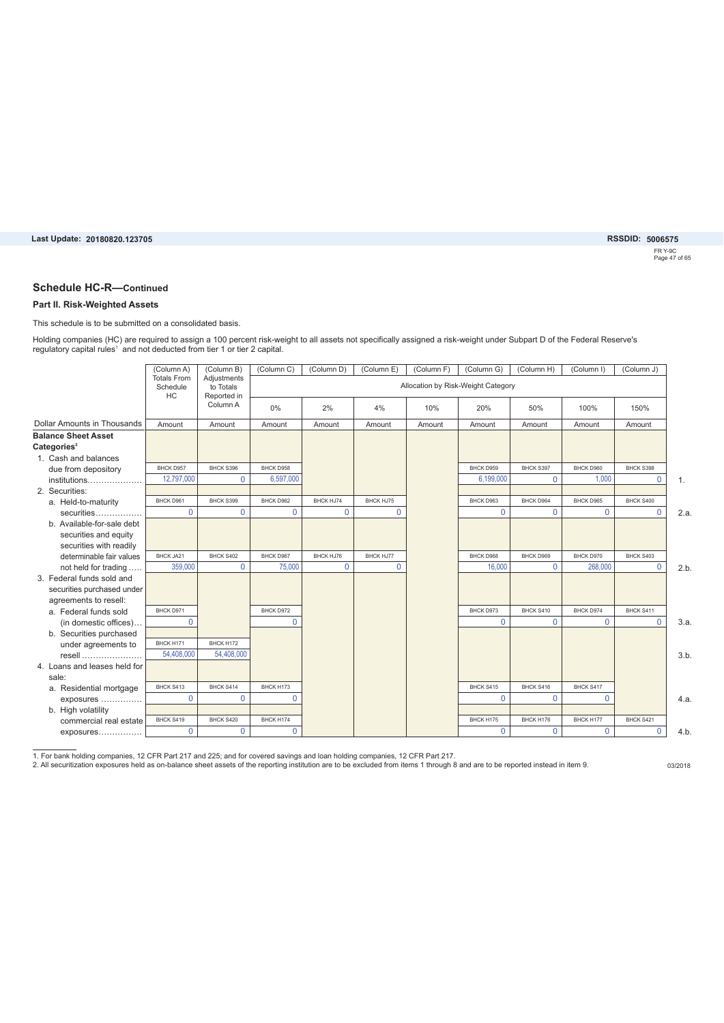### FR Y-9C Page 47 of 65 **20180820.123705 5006575**

#### **Schedule HC-R—Continued**

#### **Part II. Risk-Weighted Assets**

This schedule is to be submitted on a consolidated basis.

Holding companies (HC) are required to assign a 100 percent risk-weight to all assets not specifically assigned a risk-weight under Subpart D of the Federal Reserve's regulatory capital rules<sup>1</sup> and not deducted from tier 1 or tier 2 capital.

|                                                       | (Column A)                           | (Column B)                              | (Column C) | (Column D) | (Column E) | (Column F) | (Column G)                         | (Column H)  | (Column I)   | (Column J)     |      |
|-------------------------------------------------------|--------------------------------------|-----------------------------------------|------------|------------|------------|------------|------------------------------------|-------------|--------------|----------------|------|
|                                                       | <b>Totals From</b><br>Schedule<br>HC | Adjustments<br>to Totals<br>Reported in |            |            |            |            | Allocation by Risk-Weight Category |             |              |                |      |
|                                                       |                                      | Column A                                | 0%         | 2%         | 4%         | 10%        | 20%                                | 50%         | 100%         | 150%           |      |
| <b>Dollar Amounts in Thousands</b>                    | Amount                               | Amount                                  | Amount     | Amount     | Amount     | Amount     | Amount                             | Amount      | Amount       | Amount         |      |
| <b>Balance Sheet Asset</b><br>Categories <sup>2</sup> |                                      |                                         |            |            |            |            |                                    |             |              |                |      |
| 1. Cash and balances                                  |                                      |                                         |            |            |            |            |                                    |             |              |                |      |
| due from depository                                   | BHCK D957                            | BHCK S396                               | BHCK D958  |            |            |            | BHCK D959                          | BHCK S397   | BHCK D960    | BHCK S398      |      |
| institutions                                          | 12,797,000                           | 0                                       | 6,597,000  |            |            |            | 6,199,000                          | $\Omega$    | 1,000        | $\mathbf 0$    | 1.   |
| 2. Securities:                                        |                                      |                                         |            |            |            |            |                                    |             |              |                |      |
| a. Held-to-maturity                                   | BHCK D961                            | BHCK S399                               | BHCK D962  | BHCK HJ74  | BHCK HJ75  |            | BHCK D963                          | BHCK D964   | BHCK D965    | BHCK S400      |      |
|                                                       | $\Omega$                             | $\Omega$                                | $\Omega$   | $\Omega$   | $\Omega$   |            | $\Omega$                           | $\Omega$    | $\Omega$     | $\Omega$       | 2.a. |
| b. Available-for-sale debt                            |                                      |                                         |            |            |            |            |                                    |             |              |                |      |
| securities and equity                                 |                                      |                                         |            |            |            |            |                                    |             |              |                |      |
| securities with readily                               |                                      |                                         |            |            |            |            |                                    |             |              |                |      |
| determinable fair values                              | BHCK JA21                            | BHCK S402                               | BHCK D967  | BHCK HJ76  | BHCK HJ77  |            | BHCK D968                          | BHCK D969   | BHCK D970    | BHCK S403      |      |
| not held for trading                                  | 359,000                              | $\Omega$                                | 75,000     | $\Omega$   | $\Omega$   |            | 16.000                             | $\Omega$    | 268,000      | $\Omega$       | 2.b  |
| 3. Federal funds sold and                             |                                      |                                         |            |            |            |            |                                    |             |              |                |      |
| securities purchased under                            |                                      |                                         |            |            |            |            |                                    |             |              |                |      |
| agreements to resell:                                 |                                      |                                         |            |            |            |            |                                    |             |              |                |      |
| a. Federal funds sold                                 | BHCK D971                            |                                         | BHCK D972  |            |            |            | BHCK D973                          | BHCK S410   | BHCK D974    | BHCK S411      |      |
| (in domestic offices)                                 | 0                                    |                                         | $\Omega$   |            |            |            | $\mathbf 0$                        | $\mathbf 0$ | $\mathbf{0}$ | $\overline{0}$ | 3.a. |
| b. Securities purchased                               |                                      |                                         |            |            |            |            |                                    |             |              |                |      |
| under agreements to                                   | BHCK H171                            | BHCK H172                               |            |            |            |            |                                    |             |              |                |      |
| resell                                                | 54,408,000                           | 54,408,000                              |            |            |            |            |                                    |             |              |                | 3.b  |
| 4. Loans and leases held for                          |                                      |                                         |            |            |            |            |                                    |             |              |                |      |
| sale:                                                 |                                      |                                         |            |            |            |            |                                    |             |              |                |      |
| a. Residential mortgage                               | BHCK S413                            | BHCK S414                               | BHCK H173  |            |            |            | BHCK S415                          | BHCK S416   | BHCK S417    |                |      |
| exposures                                             | $\Omega$                             | $\Omega$                                | $\Omega$   |            |            |            | $\Omega$                           | $\Omega$    | $\Omega$     |                | 4.a. |
| b. High volatility                                    |                                      |                                         |            |            |            |            |                                    |             |              |                |      |
| commercial real estate                                |                                      |                                         |            |            |            |            |                                    |             |              |                |      |
|                                                       | BHCK S419                            | BHCK S420                               | BHCK H174  |            |            |            | BHCK H175                          | BHCK H176   | BHCK H177    | BHCK S421      |      |

1. For bank holding companies, 12 CFR Part 217 and 225; and for covered savings and loan holding companies, 12 CFR Part 217.<br>2. All securitization exposures held as on-balance sheet assets of the reporting institution are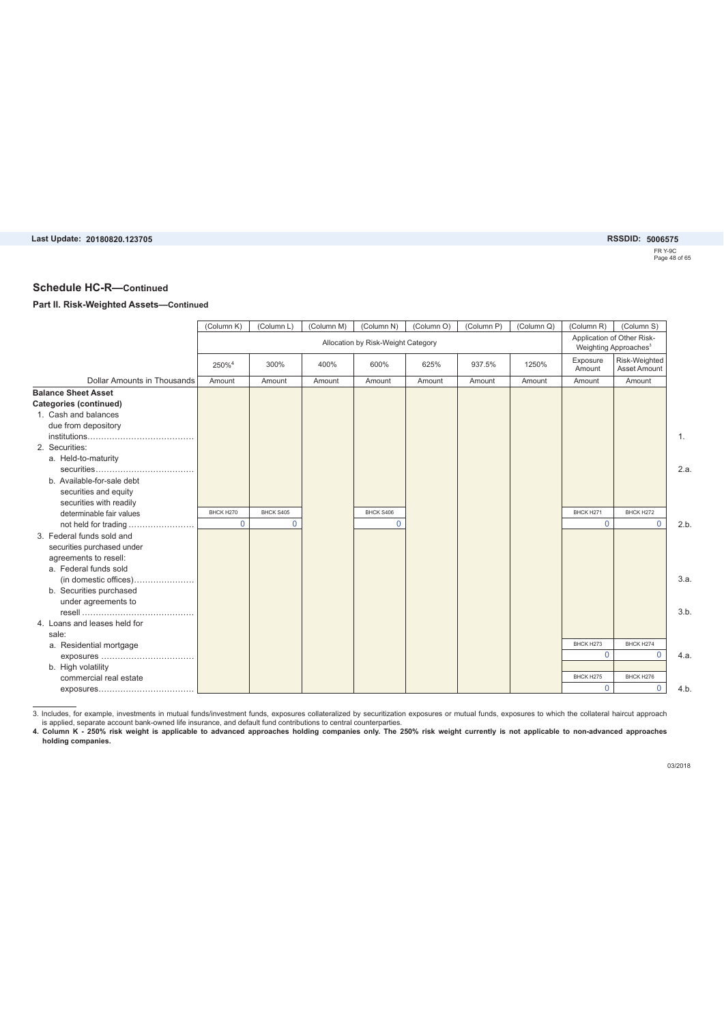FR Y-9C Page 48 of 65 **20180820.123705 5006575**

#### **Schedule HC-R—Continued**

#### **Part II. Risk-Weighted Assets—Continued**

|                              | (Column K)        | (Column L) | (Column M) | (Column N)                         | (Column O) | (Column P) | (Column Q) | (Column R)         | (Column S)                                                      |
|------------------------------|-------------------|------------|------------|------------------------------------|------------|------------|------------|--------------------|-----------------------------------------------------------------|
|                              |                   |            |            | Allocation by Risk-Weight Category |            |            |            |                    | Application of Other Risk-<br>Weighting Approaches <sup>3</sup> |
|                              | 250% <sup>4</sup> | 300%       | 400%       | 600%                               | 625%       | 937.5%     | 1250%      | Exposure<br>Amount | Risk-Weighted<br><b>Asset Amount</b>                            |
| Dollar Amounts in Thousands  | Amount            | Amount     | Amount     | Amount                             | Amount     | Amount     | Amount     | Amount             | Amount                                                          |
| <b>Balance Sheet Asset</b>   |                   |            |            |                                    |            |            |            |                    |                                                                 |
| Categories (continued)       |                   |            |            |                                    |            |            |            |                    |                                                                 |
| 1. Cash and balances         |                   |            |            |                                    |            |            |            |                    |                                                                 |
| due from depository          |                   |            |            |                                    |            |            |            |                    |                                                                 |
|                              |                   |            |            |                                    |            |            |            |                    |                                                                 |
| 2. Securities:               |                   |            |            |                                    |            |            |            |                    |                                                                 |
| a. Held-to-maturity          |                   |            |            |                                    |            |            |            |                    |                                                                 |
|                              |                   |            |            |                                    |            |            |            |                    |                                                                 |
| b. Available-for-sale debt   |                   |            |            |                                    |            |            |            |                    |                                                                 |
| securities and equity        |                   |            |            |                                    |            |            |            |                    |                                                                 |
| securities with readily      |                   |            |            |                                    |            |            |            |                    |                                                                 |
| determinable fair values     | BHCK H270         | BHCK S405  |            | BHCK S406                          |            |            |            | BHCK H271          | BHCK H272                                                       |
| not held for trading         | $\mathbf{0}$      | $\Omega$   |            | $\Omega$                           |            |            |            | $\mathbf 0$        | $\mathbf{0}$                                                    |
| 3. Federal funds sold and    |                   |            |            |                                    |            |            |            |                    |                                                                 |
| securities purchased under   |                   |            |            |                                    |            |            |            |                    |                                                                 |
| agreements to resell:        |                   |            |            |                                    |            |            |            |                    |                                                                 |
| a. Federal funds sold        |                   |            |            |                                    |            |            |            |                    |                                                                 |
| (in domestic offices)        |                   |            |            |                                    |            |            |            |                    |                                                                 |
| b. Securities purchased      |                   |            |            |                                    |            |            |            |                    |                                                                 |
| under agreements to          |                   |            |            |                                    |            |            |            |                    |                                                                 |
|                              |                   |            |            |                                    |            |            |            |                    |                                                                 |
| 4. Loans and leases held for |                   |            |            |                                    |            |            |            |                    |                                                                 |
| sale:                        |                   |            |            |                                    |            |            |            |                    |                                                                 |
| a. Residential mortgage      |                   |            |            |                                    |            |            |            | BHCK H273          | BHCK H274                                                       |
| exposures                    |                   |            |            |                                    |            |            |            | $\Omega$           | $\Omega$                                                        |
| b. High volatility           |                   |            |            |                                    |            |            |            |                    |                                                                 |
| commercial real estate       |                   |            |            |                                    |            |            |            | BHCK H275          | BHCK H276                                                       |
|                              |                   |            |            |                                    |            |            |            | $\Omega$           | $\mathbf{0}$                                                    |

3. Includes, for example, investments in mutual funds/investment funds, exposures collateralized by securitization exposures or mutual funds, exposures to which the collateral haircut approach<br>A. Column K - 250% risk weigh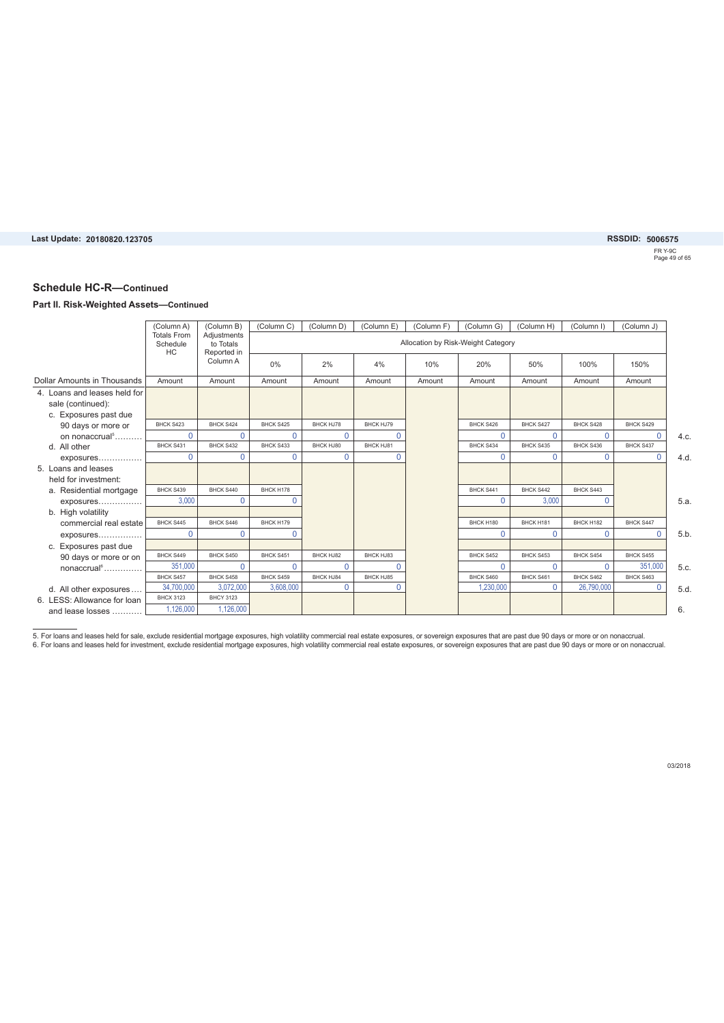FR Y-9C Page 49 of 65

#### **Schedule HC-R—Continued**

#### **Part II. Risk-Weighted Assets—Continued**

|                              | (Column A)                     | (Column B)               | (Column C) | (Column D) | (Column E) | (Column F) | (Column G)                         | (Column H) | (Column I)       | (Column J) |     |
|------------------------------|--------------------------------|--------------------------|------------|------------|------------|------------|------------------------------------|------------|------------------|------------|-----|
|                              | <b>Totals From</b><br>Schedule | Adjustments<br>to Totals |            |            |            |            | Allocation by Risk-Weight Category |            |                  |            |     |
|                              | HC                             | Reported in              |            |            |            |            |                                    |            |                  |            |     |
|                              |                                | Column A                 | 0%         | 2%         | 4%         | 10%        | 20%                                | 50%        | 100%             | 150%       |     |
| Dollar Amounts in Thousands  | Amount                         | Amount                   | Amount     | Amount     | Amount     | Amount     | Amount                             | Amount     | Amount           | Amount     |     |
| 4. Loans and leases held for |                                |                          |            |            |            |            |                                    |            |                  |            |     |
| sale (continued):            |                                |                          |            |            |            |            |                                    |            |                  |            |     |
| c. Exposures past due        |                                |                          |            |            |            |            |                                    |            |                  |            |     |
| 90 days or more or           | BHCK S423                      | BHCK S424                | BHCK S425  | BHCK HJ78  | BHCK HJ79  |            | BHCK S426                          | BHCK S427  | BHCK S428        | BHCK S429  |     |
| on nonaccrual <sup>5</sup>   | $\Omega$                       | $\Omega$                 | $\Omega$   | $\Omega$   | $\Omega$   |            | $\Omega$                           | $\Omega$   | $\Omega$         | $\Omega$   | 4.c |
| d. All other                 | BHCK S431                      | BHCK S432                | BHCK S433  | BHCK HJ80  | BHCK HJ81  |            | BHCK S434                          | BHCK S435  | BHCK S436        | BHCK S437  |     |
| exposures                    | $\Omega$                       | 0                        | $\Omega$   | $\Omega$   | $\Omega$   |            | 0                                  | $\Omega$   | $\Omega$         | $\Omega$   | 4.d |
| 5. Loans and leases          |                                |                          |            |            |            |            |                                    |            |                  |            |     |
| held for investment:         |                                |                          |            |            |            |            |                                    |            |                  |            |     |
| a. Residential mortgage      | BHCK S439                      | BHCK S440                | BHCK H178  |            |            |            | BHCK S441                          | BHCK S442  | BHCK S443        |            |     |
| exposures                    | 3,000                          | 0                        |            |            |            |            | $\Omega$                           | 3,000      | $\Omega$         |            | 5.a |
| b. High volatility           |                                |                          |            |            |            |            |                                    |            |                  |            |     |
| commercial real estate       | BHCK S445                      | BHCK S446                | BHCK H179  |            |            |            | BHCK H180                          | BHCK H181  | BHCK H182        | BHCK S447  |     |
| exposures                    | $\Omega$                       | 0                        |            |            |            |            | $\Omega$                           | $\Omega$   | $\Omega$         | $\Omega$   | 5.b |
| c. Exposures past due        |                                |                          |            |            |            |            |                                    |            |                  |            |     |
| 90 days or more or on        | BHCK S449                      | BHCK S450                | BHCK S451  | BHCK HJ82  | BHCK HJ83  |            | BHCK S452                          | BHCK S453  | <b>BHCK S454</b> | BHCK S455  |     |
| $nonaccrual6$                | 351,000                        | 0                        | 0          | $\Omega$   | $\Omega$   |            | 0                                  | $\Omega$   | $\Omega$         | 351,000    | 5.c |
|                              | BHCK S457                      | BHCK S458                | BHCK S459  | BHCK HJ84  | BHCK HJ85  |            | BHCK S460                          | BHCK S461  | BHCK S462        | BHCK S463  |     |
| d. All other exposures       | 34.700.000                     | 3.072.000                | 3.608.000  | $\Omega$   | $\Omega$   |            | 1.230.000                          | $\Omega$   | 26,790,000       | $\Omega$   | 5.d |
| 6. LESS: Allowance for loan  | <b>BHCX 3123</b>               | <b>BHCY 3123</b>         |            |            |            |            |                                    |            |                  |            |     |
| and lease losses             | 1,126,000                      | 1.126.000                |            |            |            |            |                                    |            |                  |            | 6.  |

5. For loans and leases held for sale, exclude residential mortgage exposures, high volatility commercial real estate exposures, or sovereign exposures that are past due 90 days or more or on nonaccrual.<br>6. For loans and l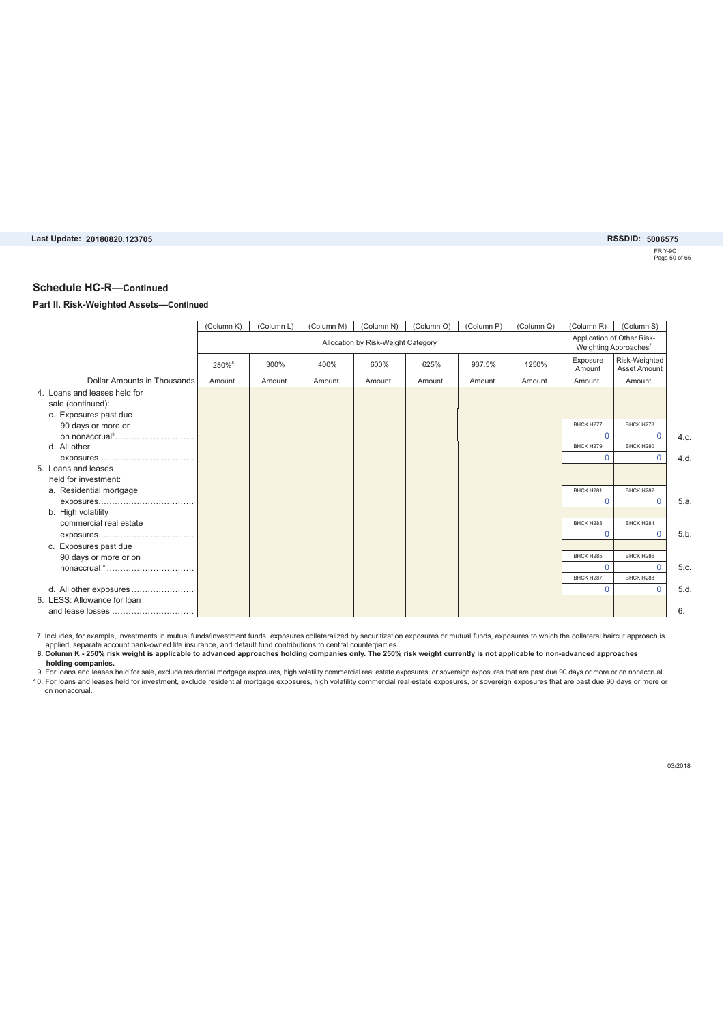FR Y-9C Page 50 of 65 **20180820.123705 5006575**

#### **Schedule HC-R—Continued**

#### **Part II. Risk-Weighted Assets—Continued**

|                              | (Column K)        | (Column L) | (Column M) | (Column N)                         | (Column O) | (Column P) | (Column Q) | (Column R)         | (Column S)                                                      |      |
|------------------------------|-------------------|------------|------------|------------------------------------|------------|------------|------------|--------------------|-----------------------------------------------------------------|------|
|                              |                   |            |            | Allocation by Risk-Weight Category |            |            |            |                    | Application of Other Risk-<br>Weighting Approaches <sup>7</sup> |      |
|                              | 250% <sup>8</sup> | 300%       | 400%       | 600%                               | 625%       | 937.5%     | 1250%      | Exposure<br>Amount | Risk-Weighted<br><b>Asset Amount</b>                            |      |
| Dollar Amounts in Thousands  | Amount            | Amount     | Amount     | Amount                             | Amount     | Amount     | Amount     | Amount             | Amount                                                          |      |
| 4. Loans and leases held for |                   |            |            |                                    |            |            |            |                    |                                                                 |      |
| sale (continued):            |                   |            |            |                                    |            |            |            |                    |                                                                 |      |
| c. Exposures past due        |                   |            |            |                                    |            |            |            |                    |                                                                 |      |
| 90 days or more or           |                   |            |            |                                    |            |            |            | BHCK H277          | BHCK H278                                                       |      |
|                              |                   |            |            |                                    |            |            |            | $\Omega$           | $\Omega$                                                        | 4.c. |
| d. All other                 |                   |            |            |                                    |            |            |            | BHCK H279          | BHCK H280                                                       |      |
|                              |                   |            |            |                                    |            |            |            | $\Omega$           | $\Omega$                                                        | 4.d. |
| 5. Loans and leases          |                   |            |            |                                    |            |            |            |                    |                                                                 |      |
| held for investment:         |                   |            |            |                                    |            |            |            |                    |                                                                 |      |
| a. Residential mortgage      |                   |            |            |                                    |            |            |            | BHCK H281          | BHCK H282                                                       |      |
|                              |                   |            |            |                                    |            |            |            | $\Omega$           | $\Omega$                                                        | 5.a. |
| b. High volatility           |                   |            |            |                                    |            |            |            |                    |                                                                 |      |
| commercial real estate       |                   |            |            |                                    |            |            |            | BHCK H283          | BHCK H284                                                       |      |
|                              |                   |            |            |                                    |            |            |            | $\Omega$           | $\Omega$                                                        | 5.b  |
| c. Exposures past due        |                   |            |            |                                    |            |            |            |                    |                                                                 |      |
| 90 days or more or on        |                   |            |            |                                    |            |            |            | BHCK H285          | BHCK H286                                                       |      |
|                              |                   |            |            |                                    |            |            |            | $\Omega$           | $\Omega$                                                        | 5.c. |
|                              |                   |            |            |                                    |            |            |            | BHCK H287          | BHCK H288                                                       |      |
| d. All other exposures       |                   |            |            |                                    |            |            |            | $\Omega$           | $\Omega$                                                        | 5.d. |
| 6. LESS: Allowance for loan  |                   |            |            |                                    |            |            |            |                    |                                                                 |      |
| and lease losses             |                   |            |            |                                    |            |            |            |                    |                                                                 | 6.   |

7. Includes, for example, investments in mutual funds/investment funds, exposures collateralized by securitization exposures or mutual funds, exposures to which the collateral haircut approach is<br>applied, separate account

8. Column K - 250% risk weight is applicable to advanced approaches holding companies only. The 250% risk weight currently is not applicable to non-advanced approaches

holding companies.<br>9. For loans and leases held for sale, exclude residential mortgage exposures, high volatility commercial real estate exposures, or sovereign exposures that are past due 90 days or more or on nonaccrual. on nonaccrual.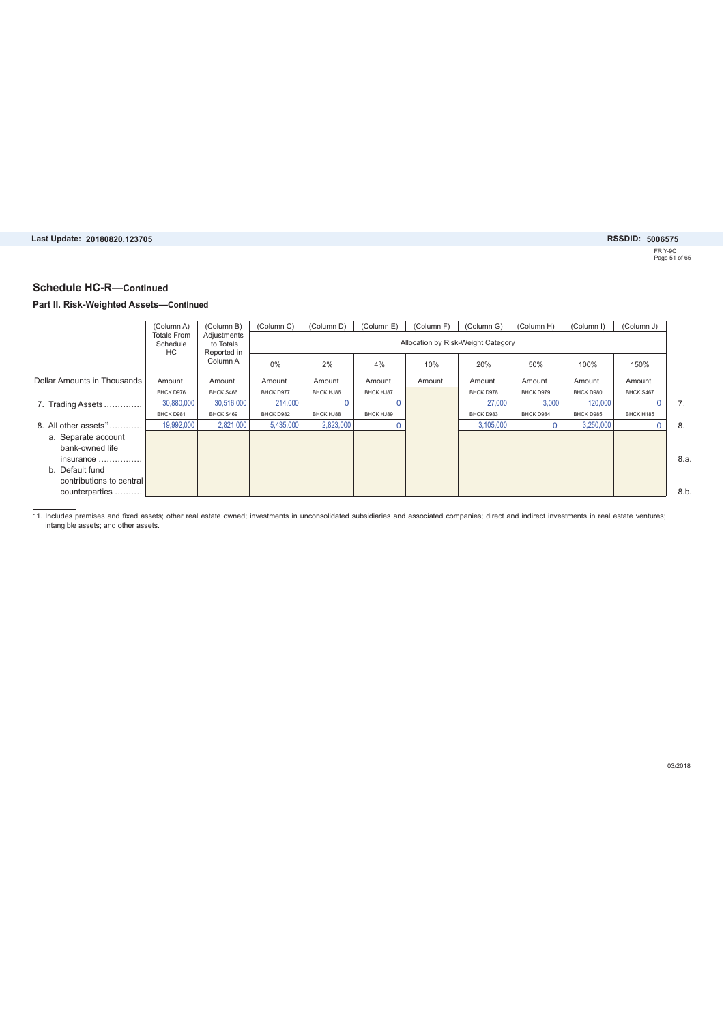### FR Y-9C Page 51 of 65 **20180820.123705 5006575**

#### **Schedule HC-R—Continued**

#### **Part II. Risk-Weighted Assets—Continued**

|                             | (Column A)                           | (Column B)                              | (Column C) | (Column D) | (Column E)       | (Column F)                         | (Column G) | (Column H) | (Column I) | (Column J) |      |
|-----------------------------|--------------------------------------|-----------------------------------------|------------|------------|------------------|------------------------------------|------------|------------|------------|------------|------|
|                             | <b>Totals From</b><br>Schedule<br>НC | Adjustments<br>to Totals<br>Reported in |            |            |                  | Allocation by Risk-Weight Category |            |            |            |            |      |
|                             |                                      | Column A                                | $0\%$      | 2%         | 4%               | 10%                                | 20%        | 50%        | 100%       | 150%       |      |
| Dollar Amounts in Thousands | Amount                               | Amount                                  | Amount     | Amount     | Amount           | Amount                             | Amount     | Amount     | Amount     | Amount     |      |
|                             | BHCK D976                            | BHCK S466                               | BHCK D977  | BHCK HJ86  | <b>BHCK HJ87</b> |                                    | BHCK D978  | BHCK D979  | BHCK D980  | BHCK S467  |      |
| 7. Trading Assets           | 30,880,000                           | 30,516,000                              | 214,000    |            |                  |                                    | 27,000     | 3,000      | 120,000    |            | 7.   |
|                             | BHCK D981                            | BHCK S469                               | BHCK D982  | BHCK HJ88  | BHCK HJ89        |                                    | BHCK D983  | BHCK D984  | BHCK D985  | BHCK H185  |      |
| 8. All other assets $11$    | 19,992,000                           | 2,821,000                               | 5,435,000  | 2,823,000  |                  |                                    | 3.105.000  |            | 3.250.000  |            | 8.   |
| a. Separate account         |                                      |                                         |            |            |                  |                                    |            |            |            |            |      |
| bank-owned life             |                                      |                                         |            |            |                  |                                    |            |            |            |            |      |
| insurance                   |                                      |                                         |            |            |                  |                                    |            |            |            |            | 8.a. |
| b. Default fund             |                                      |                                         |            |            |                  |                                    |            |            |            |            |      |
| contributions to central    |                                      |                                         |            |            |                  |                                    |            |            |            |            |      |
| counterparties              |                                      |                                         |            |            |                  |                                    |            |            |            |            | 8.b. |

11. Includes premises and fixed assets; other real estate owned; investments in unconsolidated subsidiaries and associated companies; direct and indirect investments in real estate ventures;<br>intangible assets; and other as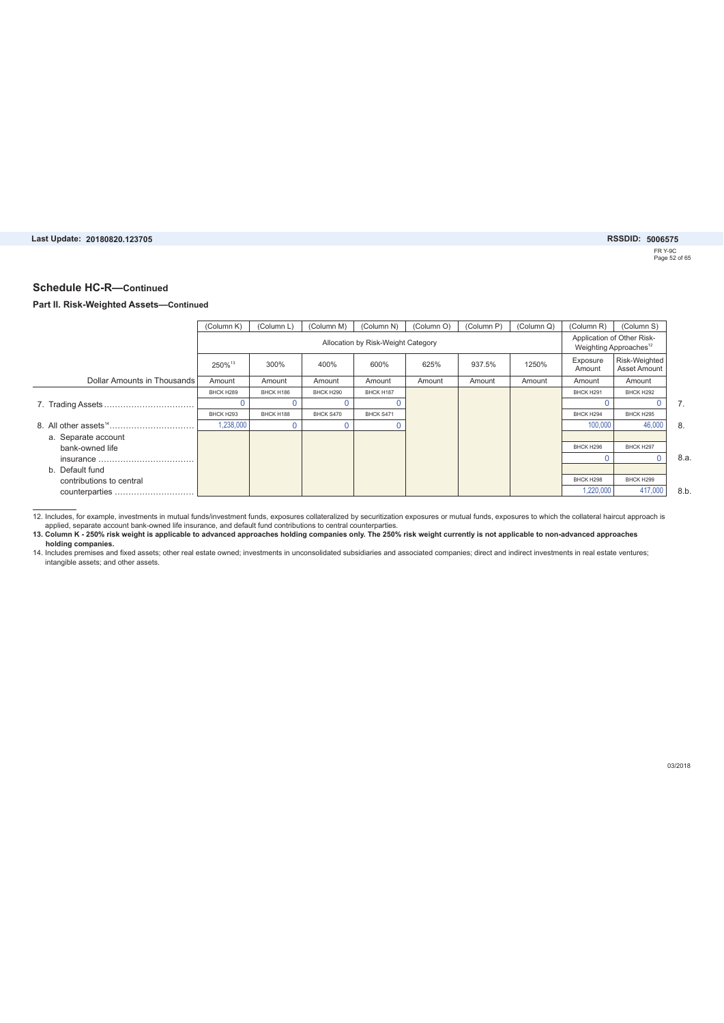FR Y-9C Page 52 of 65 **20180820.123705 5006575**

#### **Schedule HC-R—Continued**

#### **Part II. Risk-Weighted Assets—Continued**

|                             | (Column K) | (Column L) | (Column M) | (Column N)                         | (Column O) | (Column P) | (Column Q) | (Column R)         | (Column S)                                                       |      |
|-----------------------------|------------|------------|------------|------------------------------------|------------|------------|------------|--------------------|------------------------------------------------------------------|------|
|                             |            |            |            | Allocation by Risk-Weight Category |            |            |            |                    | Application of Other Risk-<br>Weighting Approaches <sup>12</sup> |      |
|                             | 250%13     | 300%       | 400%       | 600%                               | 625%       | 937.5%     | 1250%      | Exposure<br>Amount | Risk-Weighted<br>Asset Amount                                    |      |
| Dollar Amounts in Thousands | Amount     | Amount     | Amount     | Amount                             | Amount     | Amount     | Amount     | Amount             | Amount                                                           |      |
|                             | BHCK H289  | BHCK H186  | BHCK H290  | BHCK H187                          |            |            |            | BHCK H291          | BHCK H292                                                        |      |
|                             |            |            |            |                                    |            |            |            |                    |                                                                  | 7.   |
|                             | BHCK H293  | BHCK H188  | BHCK S470  | BHCK S471                          |            |            |            | BHCK H294          | BHCK H295                                                        |      |
|                             | 1,238,000  | 0          |            |                                    |            |            |            | 100,000            | 46,000                                                           | 8.   |
| a. Separate account         |            |            |            |                                    |            |            |            |                    |                                                                  |      |
| bank-owned life             |            |            |            |                                    |            |            |            | BHCK H296          | BHCK H297                                                        |      |
|                             |            |            |            |                                    |            |            |            |                    |                                                                  | 8.a. |
| b. Default fund             |            |            |            |                                    |            |            |            |                    |                                                                  |      |
| contributions to central    |            |            |            |                                    |            |            |            | BHCK H298          | BHCK H299                                                        |      |
| counterparties              |            |            |            |                                    |            |            |            | 1.220.000          | 417,000                                                          | 8.b. |

12. Includes, for example, investments in mutual funds/investment funds, exposures collateralized by securitization exposures or mutual funds, exposures to which the collateral haircut approach is<br>applied, separate account

**13. Column K - 250% risk weight is applicable to advanced approaches holding companies only. The 250% risk weight currently is not applicable to non-advanced approaches** 

**holding companies.** 14. Includes premises and fixed assets; other real estate owned; investments in unconsolidated subsidiaries and associated companies; direct and indirect investments in real estate ventures; intangible assets; and other assets.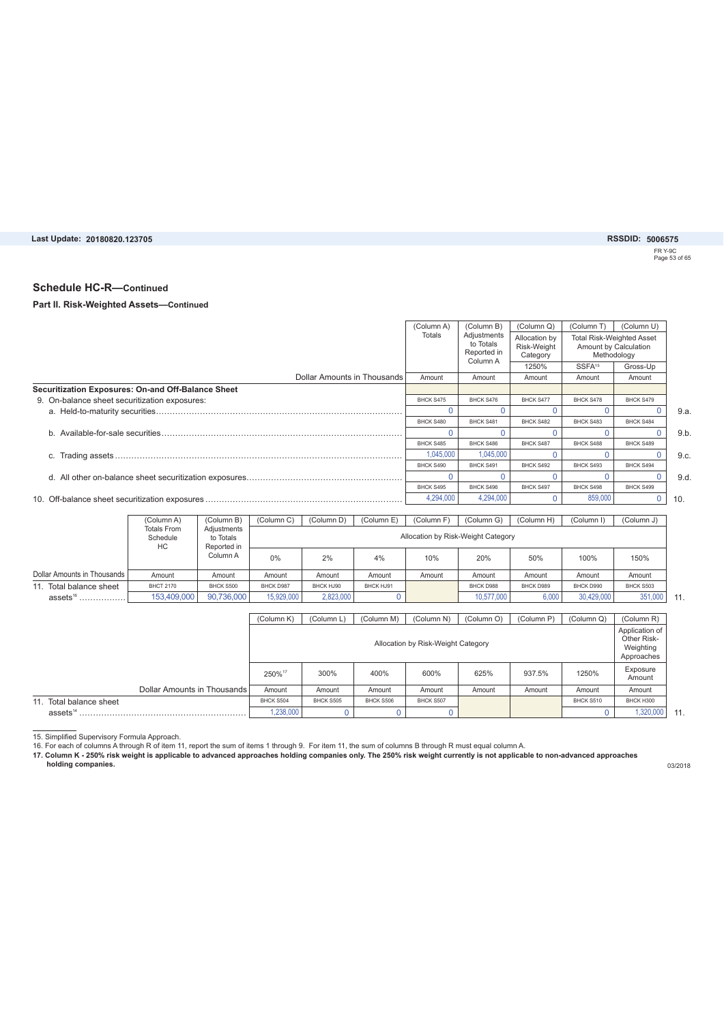FR Y-9C Page 53 of 65

### **Schedule HC-R—Continued**

#### **Part II. Risk-Weighted Assets—Continued**

|                                                    | (Column A) | (Column B)                                          | (Column Q)                               | (Column T)                                                               | (Column U) |      |
|----------------------------------------------------|------------|-----------------------------------------------------|------------------------------------------|--------------------------------------------------------------------------|------------|------|
|                                                    | Totals     | Adjustments<br>to Totals<br>Reported in<br>Column A | Allocation by<br>Risk-Weight<br>Category | <b>Total Risk-Weighted Asset</b><br>Amount by Calculation<br>Methodology |            |      |
|                                                    |            |                                                     | 1250%                                    | SSFA <sup>15</sup>                                                       | Gross-Up   |      |
| Dollar Amounts in Thousands                        | Amount     | Amount                                              | Amount                                   | Amount                                                                   | Amount     |      |
| Securitization Exposures: On-and Off-Balance Sheet |            |                                                     |                                          |                                                                          |            |      |
| 9. On-balance sheet securitization exposures:      | BHCK S475  | BHCK S476                                           | BHCK S477                                | BHCK S478                                                                | BHCK S479  |      |
|                                                    |            |                                                     |                                          |                                                                          |            | 9.a  |
|                                                    | BHCK S480  | BHCK S481                                           | BHCK S482                                | BHCK S483                                                                | BHCK S484  |      |
|                                                    |            |                                                     |                                          |                                                                          |            | 9.b  |
|                                                    | BHCK S485  | BHCK S486                                           | BHCK S487                                | BHCK S488                                                                | BHCK S489  |      |
|                                                    | 1,045,000  | 1,045,000                                           |                                          |                                                                          |            | 9.c. |
|                                                    | BHCK S490  | BHCK S491                                           | BHCK S492                                | BHCK S493                                                                | BHCK S494  |      |
|                                                    |            |                                                     |                                          |                                                                          |            | 9.d  |
|                                                    | BHCK S495  | BHCK S496                                           | BHCK S497                                | BHCK S498                                                                | BHCK S499  |      |
|                                                    | 4,294,000  | 4,294,000                                           |                                          | 859,000                                                                  |            | 10.  |

|                             | (Column A)                           | (Column B)                              | (Column C) | (Column D) | (Column E) | (Column F) | (Column G)                         | (Column H) | (Column I) | (Column J) |
|-----------------------------|--------------------------------------|-----------------------------------------|------------|------------|------------|------------|------------------------------------|------------|------------|------------|
|                             | <b>Totals From</b><br>Schedule<br>НC | Adjustments<br>to Totals<br>Reported in |            |            |            |            | Allocation by Risk-Weight Category |            |            |            |
|                             |                                      | Column A                                | 0%         | 2%         | 4%         | 10%        | 20%                                | 50%        | 100%       | 150%       |
| Dollar Amounts in Thousands | Amount                               | Amount                                  | Amount     | Amount     | Amount     | Amount     | Amount                             | Amount     | Amount     | Amount     |
| Total balance sheet<br>11   | <b>BHCT 2170</b>                     | BHCK S500                               | BHCK D987  | BHCK HJ90  | BHCK HJ91  |            | BHCK D988                          | BHCK D989  | BHCK D990  | BHCK S503  |
| assets $^{16}$<br>          | 153,409,000                          | 90.736.000                              | 15,929,000 | 2,823,000  |            |            | 10.577.000                         | 6.000      | 30.429.000 | 351,000    |

|                             | (Column K) | (Column L) | (Column M) | (Column N)                         | (Column O) | (Column P) | (Column Q) | (Column R)                                               |
|-----------------------------|------------|------------|------------|------------------------------------|------------|------------|------------|----------------------------------------------------------|
|                             |            |            |            | Allocation by Risk-Weight Category |            |            |            | Application of<br>Other Risk-<br>Weighting<br>Approaches |
|                             | 250%17     | 300%       | 400%       | 600%                               | 625%       | 937.5%     | 1250%      | Exposure<br>Amount                                       |
| Dollar Amounts in Thousands | Amount     | Amount     | Amount     | Amount                             | Amount     | Amount     | Amount     | Amount                                                   |
| 11. Total balance sheet     | BHCK S504  | BHCK S505  | BHCK S506  | BHCK S507                          |            |            | BHCK S510  | BHCK H300                                                |
| assets $14$                 | 1,238,000  |            |            |                                    |            |            |            | 1,320,000                                                |

15. Simplified Supervisory Formula Approach.<br>16. For each of columns A through R of item 11, report the sum of items 1 through 9. For item 11, the sum of columns B through R must equal column A.<br>17. Column K - 250% risk w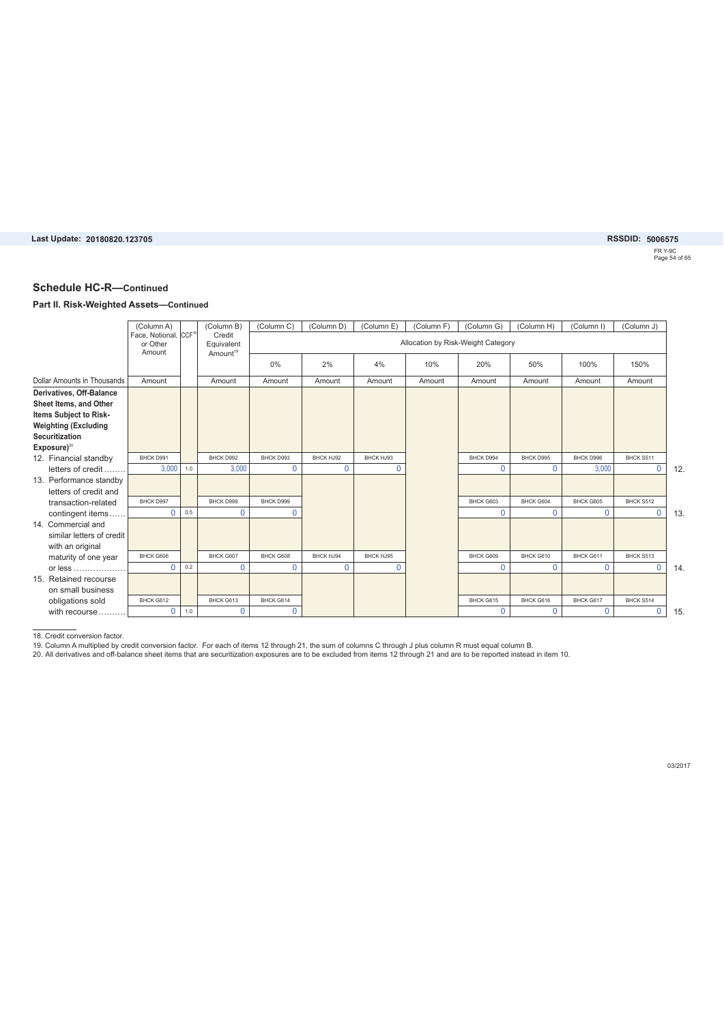FR Y-9C Page 54 of 65

#### **Schedule HC-R—Continued**

#### **Part II. Risk-Weighted Assets—Continued**

|                             | (Column A)                                              |     | (Column B)                                   | (Column C)  | (Column D)  | (Column E) | (Column F) | (Column G)                         | (Column H)   | (Column I) | (Column J) |
|-----------------------------|---------------------------------------------------------|-----|----------------------------------------------|-------------|-------------|------------|------------|------------------------------------|--------------|------------|------------|
|                             | Face, Notional, CCF <sup>18</sup><br>or Other<br>Amount |     | Credit<br>Equivalent<br>Amount <sup>19</sup> |             |             |            |            | Allocation by Risk-Weight Category |              |            |            |
|                             |                                                         |     |                                              | 0%          | 2%          | 4%         | 10%        | 20%                                | 50%          | 100%       | 150%       |
| Dollar Amounts in Thousands | Amount                                                  |     | Amount                                       | Amount      | Amount      | Amount     | Amount     | Amount                             | Amount       | Amount     | Amount     |
| Derivatives, Off-Balance    |                                                         |     |                                              |             |             |            |            |                                    |              |            |            |
| Sheet Items, and Other      |                                                         |     |                                              |             |             |            |            |                                    |              |            |            |
| Items Subject to Risk-      |                                                         |     |                                              |             |             |            |            |                                    |              |            |            |
| <b>Weighting (Excluding</b> |                                                         |     |                                              |             |             |            |            |                                    |              |            |            |
| <b>Securitization</b>       |                                                         |     |                                              |             |             |            |            |                                    |              |            |            |
| $Exposure)^{20}$            |                                                         |     |                                              |             |             |            |            |                                    |              |            |            |
| 12. Financial standby       | BHCK D991                                               |     | BHCK D992                                    | BHCK D993   | BHCK HJ92   | BHCK HJ93  |            | BHCK D994                          | BHCK D995    | BHCK D996  | BHCK S511  |
| letters of credit.          | 3,000                                                   | 1.0 | 3,000                                        | $\mathbf 0$ | $\mathbf 0$ | 0          |            | $\Omega$                           | $\Omega$     | 3,000      | 0          |
| 13. Performance standby     |                                                         |     |                                              |             |             |            |            |                                    |              |            |            |
| letters of credit and       |                                                         |     |                                              |             |             |            |            |                                    |              |            |            |
| transaction-related         | BHCK D997                                               |     | BHCK D998                                    | BHCK D999   |             |            |            | BHCK G603                          | BHCK G604    | BHCK G605  | BHCK S512  |
| contingent items            | $\Omega$                                                | 0.5 | $\mathbf 0$                                  | $\Omega$    |             |            |            | $\Omega$                           | $\Omega$     | $\Omega$   | 0          |
| 14. Commercial and          |                                                         |     |                                              |             |             |            |            |                                    |              |            |            |
| similar letters of credit   |                                                         |     |                                              |             |             |            |            |                                    |              |            |            |
| with an original            |                                                         |     |                                              |             |             |            |            |                                    |              |            |            |
| maturity of one year        | BHCK G606                                               |     | BHCK G607                                    | BHCK G608   | BHCK HJ94   | BHCK HJ95  |            | BHCK G609                          | BHCK G610    | BHCK G611  | BHCK S513  |
| or less                     | $\Omega$                                                | 0.2 | $\mathbf 0$                                  | $\mathbf 0$ | $\mathbf 0$ | 0          |            | 0                                  | $\mathbf{0}$ | $\Omega$   | 0          |
| 15. Retained recourse       |                                                         |     |                                              |             |             |            |            |                                    |              |            |            |
| on small business           |                                                         |     |                                              |             |             |            |            |                                    |              |            |            |
| obligations sold            | BHCK G612                                               |     | BHCK G613                                    | BHCK G614   |             |            |            | BHCK G615                          | BHCK G616    | BHCK G617  | BHCK S514  |
| with recourse               | $\Omega$                                                | 1.0 | $\mathbf{0}$                                 | $\Omega$    |             |            |            | $\Omega$                           | $\Omega$     | $\Omega$   | 0          |

18. Credit conversion factor.<br>19. Column A multiplied by credit conversion factor. For each of items 12 through 21, the sum of columns C through J plus column R must equal column B.<br>20. All derivatives and off-balance she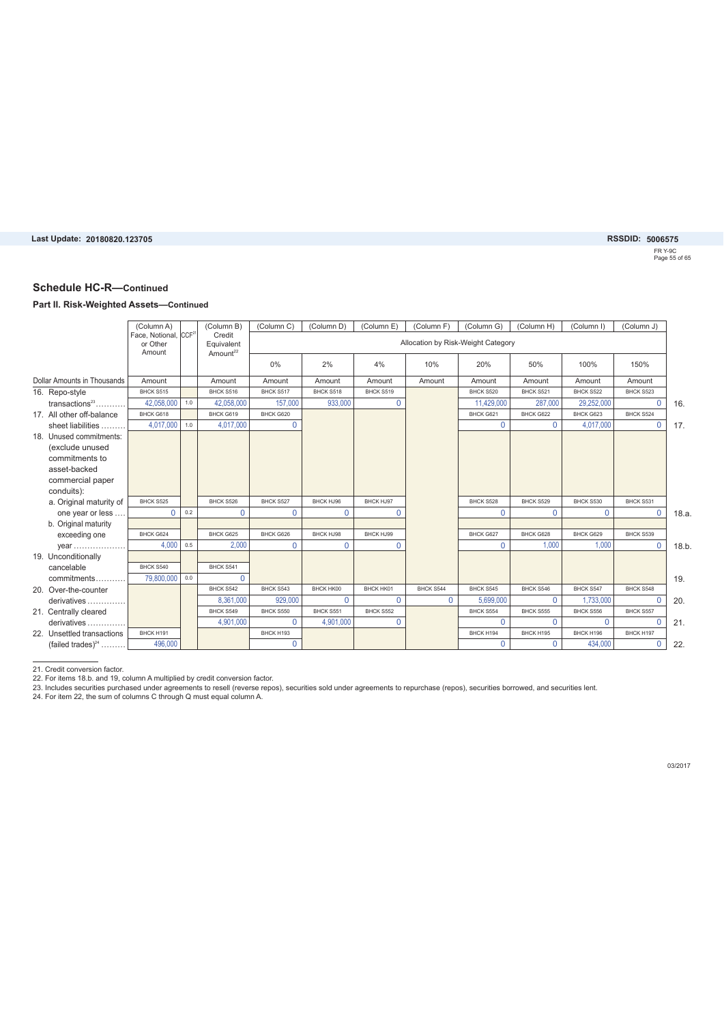FR Y-9C Page 55 of 65

### **Schedule HC-R—Continued**

#### **Part II. Risk-Weighted Assets—Continued**

|                                    | (Column A)<br>Face, Notional, CCF <sup>21</sup> |     | (Column B)<br>Credit               | (Column C) | (Column D) | (Column E)  | (Column F) | (Column G)                         | (Column H)  | (Column I)  | (Column J)  |      |
|------------------------------------|-------------------------------------------------|-----|------------------------------------|------------|------------|-------------|------------|------------------------------------|-------------|-------------|-------------|------|
|                                    | or Other<br>Amount                              |     | Equivalent<br>Amount <sup>22</sup> |            |            |             |            | Allocation by Risk-Weight Category |             |             |             |      |
|                                    |                                                 |     |                                    | 0%         | 2%         | 4%          | 10%        | 20%                                | 50%         | 100%        | 150%        |      |
| <b>Dollar Amounts in Thousands</b> | Amount                                          |     | Amount                             | Amount     | Amount     | Amount      | Amount     | Amount                             | Amount      | Amount      | Amount      |      |
| 16. Repo-style                     | BHCK S515                                       |     | BHCK S516                          | BHCK S517  | BHCK S518  | BHCK S519   |            | BHCK S520                          | BHCK S521   | BHCK S522   | BHCK S523   |      |
| $transactions^{23}$                | 42.058.000                                      | 1.0 | 42.058.000                         | 157,000    | 933,000    | $\Omega$    |            | 11.429.000                         | 287,000     | 29,252,000  | $\Omega$    | 16.  |
| 17. All other off-balance          | BHCK G618                                       |     | BHCK G619                          | BHCK G620  |            |             |            | BHCK G621                          | BHCK G622   | BHCK G623   | BHCK S524   |      |
| sheet liabilities                  | 4,017,000                                       | 1.0 | 4.017.000                          | $\Omega$   |            |             |            | $\Omega$                           | $\Omega$    | 4,017,000   | $\Omega$    | 17.  |
| 18. Unused commitments:            |                                                 |     |                                    |            |            |             |            |                                    |             |             |             |      |
| (exclude unused                    |                                                 |     |                                    |            |            |             |            |                                    |             |             |             |      |
| commitments to                     |                                                 |     |                                    |            |            |             |            |                                    |             |             |             |      |
| asset-backed                       |                                                 |     |                                    |            |            |             |            |                                    |             |             |             |      |
| commercial paper                   |                                                 |     |                                    |            |            |             |            |                                    |             |             |             |      |
| conduits):                         |                                                 |     |                                    |            |            |             |            |                                    |             |             |             |      |
| a. Original maturity of            | BHCK S525                                       |     | BHCK S526                          | BHCK S527  | BHCK HJ96  | BHCK HJ97   |            | BHCK S528                          | BHCK S529   | BHCK S530   | BHCK S531   |      |
| one year or less                   | 0                                               | 0.2 | 0                                  | 0          | $\Omega$   | $\mathbf 0$ |            | 0                                  | $\mathbf 0$ | $\mathbf 0$ | $\mathbf 0$ | 18.a |
| b. Original maturity               |                                                 |     |                                    |            |            |             |            |                                    |             |             |             |      |
| exceeding one                      | BHCK G624                                       |     | BHCK G625                          | BHCK G626  | BHCK HJ98  | BHCK HJ99   |            | BHCK G627                          | BHCK G628   | BHCK G629   | BHCK S539   |      |
| year                               | 4.000                                           | 0.5 | 2.000                              | $\Omega$   | $\Omega$   | $\Omega$    |            | $\Omega$                           | 1.000       | 1.000       | $\Omega$    | 18.b |
| 19. Unconditionally                |                                                 |     |                                    |            |            |             |            |                                    |             |             |             |      |
| cancelable                         | BHCK S540                                       |     | BHCK S541                          |            |            |             |            |                                    |             |             |             |      |
| commitments                        | 79,800,000                                      | 0.0 | $\mathbf{0}$                       |            |            |             |            |                                    |             |             |             | 19.  |
| 20. Over-the-counter               |                                                 |     | BHCK S542                          | BHCK S543  | BHCK HK00  | BHCK HK01   | BHCK S544  | BHCK S545                          | BHCK S546   | BHCK S547   | BHCK S548   |      |
| derivatives                        |                                                 |     | 8.361.000                          | 929.000    | $\Omega$   | $\Omega$    | $\Omega$   | 5.699.000                          | $\Omega$    | 1.733.000   | $\Omega$    | 20.  |
| 21. Centrally cleared              |                                                 |     | BHCK S549                          | BHCK S550  | BHCK S551  | BHCK S552   |            | BHCK S554                          | BHCK S555   | BHCK S556   | BHCK S557   |      |
| derivatives                        |                                                 |     | 4,901,000                          | $\Omega$   | 4,901,000  | $\Omega$    |            | $\Omega$                           | $\Omega$    | $\Omega$    | $\Omega$    | 21.  |
| 22. Unsettled transactions         | BHCK H191                                       |     |                                    | BHCK H193  |            |             |            | BHCK H194                          | BHCK H195   | BHCK H196   | BHCK H197   |      |
| (failed trades) $^{24}$            | 496,000                                         |     |                                    | $\Omega$   |            |             |            | $\Omega$                           | $\Omega$    | 434.000     | $\mathbf 0$ | 22.  |

21. Credit conversion factor.<br>22. For items 18.b. and 19, column A multiplied by credit conversion factor.<br>23. Includes securities purchased under agreements to resell (reverse repos), securities sold under agreements to r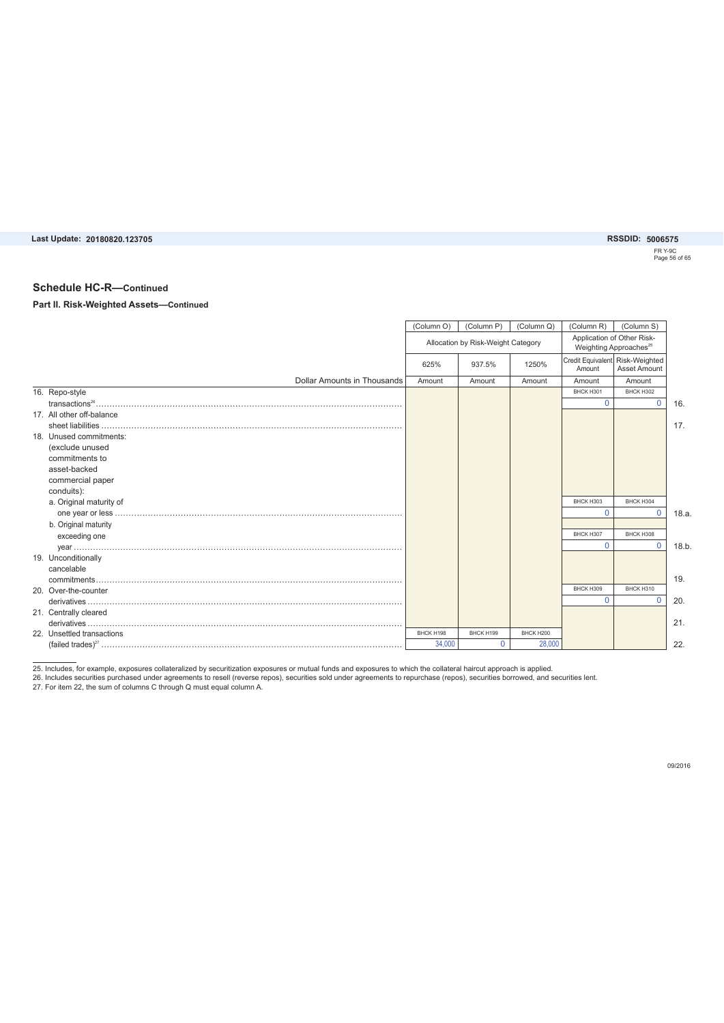FR Y-9C Page 56 of 65

#### **Schedule HC-R—Continued**

#### **Part II. Risk-Weighted Assets—Continued**

|                                    | (Column O) | (Column P)                         | (Column Q) | (Column R)                                                       | (Column S)   |       |
|------------------------------------|------------|------------------------------------|------------|------------------------------------------------------------------|--------------|-------|
|                                    |            | Allocation by Risk-Weight Category |            | Application of Other Risk-<br>Weighting Approaches <sup>25</sup> |              |       |
|                                    | 625%       | 937.5%                             | 1250%      | Credit Equivalent Risk-Weighted<br>Amount                        | Asset Amount |       |
| <b>Dollar Amounts in Thousands</b> | Amount     | Amount                             | Amount     | Amount                                                           | Amount       |       |
| 16. Repo-style                     |            |                                    |            | BHCK H301                                                        | BHCK H302    |       |
|                                    |            |                                    |            | $\Omega$                                                         | $\Omega$     | 16.   |
| 17. All other off-balance          |            |                                    |            |                                                                  |              |       |
|                                    |            |                                    |            |                                                                  |              | 17.   |
| 18. Unused commitments:            |            |                                    |            |                                                                  |              |       |
| (exclude unused                    |            |                                    |            |                                                                  |              |       |
| commitments to                     |            |                                    |            |                                                                  |              |       |
| asset-backed                       |            |                                    |            |                                                                  |              |       |
| commercial paper                   |            |                                    |            |                                                                  |              |       |
| conduits):                         |            |                                    |            |                                                                  |              |       |
| a. Original maturity of            |            |                                    |            | BHCK H303                                                        | BHCK H304    |       |
|                                    |            |                                    |            | $\Omega$                                                         | $\Omega$     | 18.a. |
| b. Original maturity               |            |                                    |            |                                                                  |              |       |
| exceeding one                      |            |                                    |            | BHCK H307                                                        | BHCK H308    |       |
|                                    |            |                                    |            | $\Omega$                                                         | $\Omega$     | 18.b. |
| 19. Unconditionally                |            |                                    |            |                                                                  |              |       |
| cancelable                         |            |                                    |            |                                                                  |              |       |
|                                    |            |                                    |            |                                                                  |              | 19.   |
| 20. Over-the-counter               |            |                                    |            | BHCK H309                                                        | BHCK H310    |       |
|                                    |            |                                    |            | $\Omega$                                                         | $\Omega$     | 20.   |
| 21. Centrally cleared              |            |                                    |            |                                                                  |              |       |
|                                    |            |                                    |            |                                                                  |              | 21.   |
| 22. Unsettled transactions         | BHCK H198  | BHCK H199                          | BHCK H200  |                                                                  |              |       |
|                                    | 34,000     | $\Omega$                           | 28,000     |                                                                  |              | 22.   |

25. Includes, for example, exposures collateralized by securitization exposures or mutual funds and exposures to which the collateral haircut approach is applied.<br>26. Includes securities purchased under agreements to resel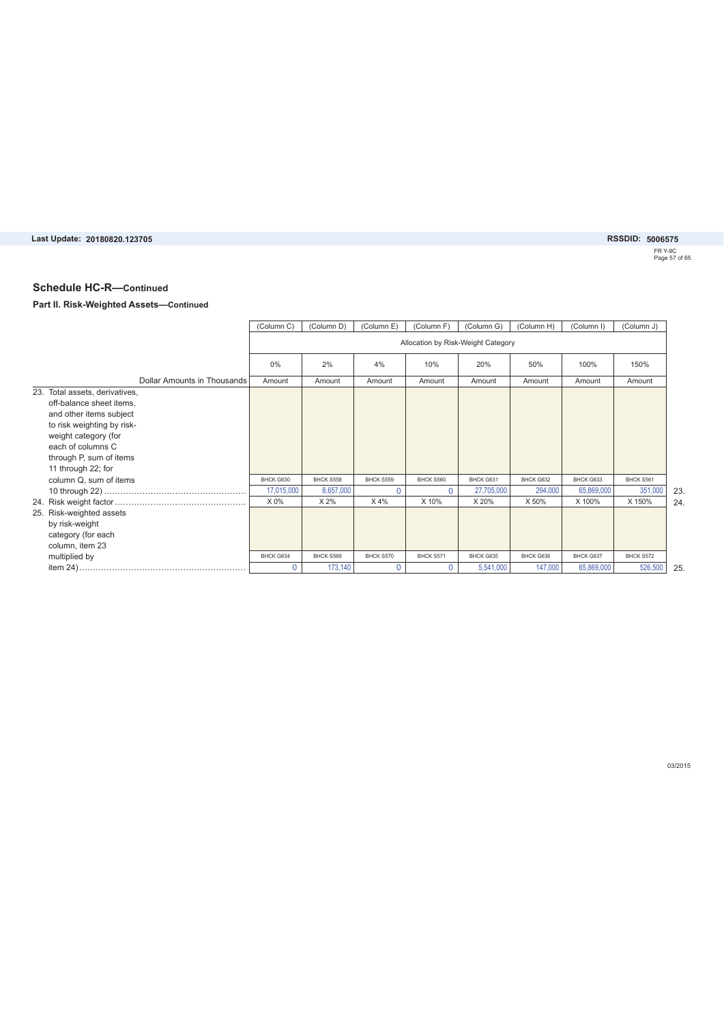# **20180820.123705 5006575**

FR Y-9C Page 57 of 65

### **Schedule HC-R—Continued**

#### **Part II. Risk-Weighted Assets—Continued**

|                                                                                                                                                                                                                   | (Column C)  | (Column D) | (Column E)  | (Column F) | (Column G)                         | (Column H) | (Column I) | (Column J) |
|-------------------------------------------------------------------------------------------------------------------------------------------------------------------------------------------------------------------|-------------|------------|-------------|------------|------------------------------------|------------|------------|------------|
|                                                                                                                                                                                                                   |             |            |             |            | Allocation by Risk-Weight Category |            |            |            |
|                                                                                                                                                                                                                   | 0%          | 2%         | 4%          | 10%        | 20%                                | 50%        | 100%       | 150%       |
| Dollar Amounts in Thousands                                                                                                                                                                                       | Amount      | Amount     | Amount      | Amount     | Amount                             | Amount     | Amount     | Amount     |
| 23. Total assets, derivatives,<br>off-balance sheet items,<br>and other items subject<br>to risk weighting by risk-<br>weight category (for<br>each of columns C<br>through P, sum of items<br>11 through 22; for |             |            |             |            |                                    |            |            |            |
| column Q, sum of items                                                                                                                                                                                            | BHCK G630   | BHCK S558  | BHCK S559   | BHCK S560  | BHCK G631                          | BHCK G632  | BHCK G633  | BHCK S561  |
|                                                                                                                                                                                                                   | 17,015,000  | 8,657,000  | $\Omega$    | $\Omega$   | 27,705,000                         | 294,000    | 65,869,000 | 351,000    |
|                                                                                                                                                                                                                   | X 0%        | X 2%       | X 4%        | X 10%      | X 20%                              | X 50%      | X 100%     | X 150%     |
| 25. Risk-weighted assets<br>by risk-weight<br>category (for each<br>column, item 23                                                                                                                               |             |            |             |            |                                    |            |            |            |
| multiplied by                                                                                                                                                                                                     | BHCK G634   | BHCK S569  | BHCK S570   | BHCK S571  | BHCK G635                          | BHCK G636  | BHCK G637  | BHCK S572  |
|                                                                                                                                                                                                                   | $\mathbf 0$ | 173,140    | $\mathbf 0$ | $\Omega$   | 5,541,000                          | 147,000    | 65,869,000 | 526,500    |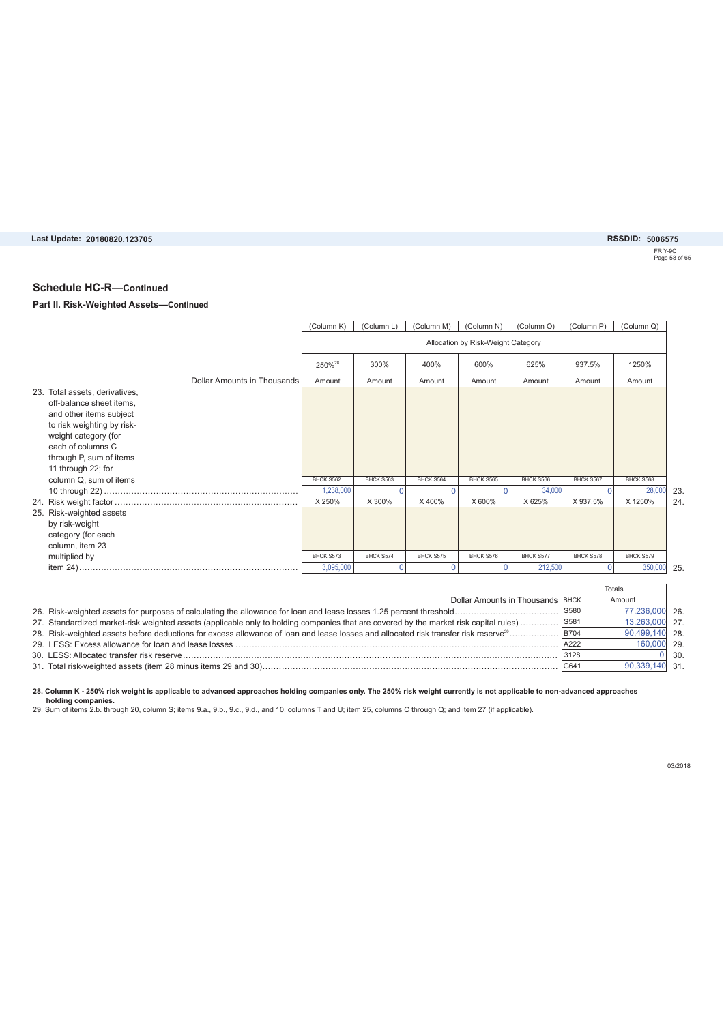**20180820.123705 5006575**

FR Y-9C Page 58 of 65

#### **Schedule HC-R—Continued**

#### **Part II. Risk-Weighted Assets—Continued**

|                                                                                                                                                 | (Column K)         | (Column L) | (Column M) | (Column N)                         | (Column O) | (Column P)  | (Column Q)    |
|-------------------------------------------------------------------------------------------------------------------------------------------------|--------------------|------------|------------|------------------------------------|------------|-------------|---------------|
|                                                                                                                                                 |                    |            |            | Allocation by Risk-Weight Category |            |             |               |
|                                                                                                                                                 | 250% <sup>28</sup> | 300%       | 400%       | 600%                               | 625%       | 937.5%      | 1250%         |
| Dollar Amounts in Thousands                                                                                                                     | Amount             | Amount     | Amount     | Amount                             | Amount     | Amount      | Amount        |
| 23. Total assets, derivatives,<br>off-balance sheet items.                                                                                      |                    |            |            |                                    |            |             |               |
| and other items subject                                                                                                                         |                    |            |            |                                    |            |             |               |
| to risk weighting by risk-                                                                                                                      |                    |            |            |                                    |            |             |               |
| weight category (for                                                                                                                            |                    |            |            |                                    |            |             |               |
| each of columns C                                                                                                                               |                    |            |            |                                    |            |             |               |
| through P, sum of items                                                                                                                         |                    |            |            |                                    |            |             |               |
| 11 through 22; for                                                                                                                              |                    |            |            |                                    |            |             |               |
| column Q, sum of items                                                                                                                          | BHCK S562          | BHCK S563  | BHCK S564  | BHCK S565                          | BHCK S566  | BHCK S567   | BHCK S568     |
|                                                                                                                                                 | 1,238,000          | 0          | $\Omega$   | $\Omega$                           | 34,000     | $\Omega$    | 28,000        |
|                                                                                                                                                 | X 250%             | X 300%     | X400%      | X 600%                             | X 625%     | X 937.5%    | X 1250%       |
| 25. Risk-weighted assets                                                                                                                        |                    |            |            |                                    |            |             |               |
| by risk-weight                                                                                                                                  |                    |            |            |                                    |            |             |               |
| category (for each                                                                                                                              |                    |            |            |                                    |            |             |               |
| column, item 23                                                                                                                                 |                    |            |            |                                    |            |             |               |
| multiplied by                                                                                                                                   | BHCK S573          | BHCK S574  | BHCK S575  | BHCK S576                          | BHCK S577  | BHCK S578   | BHCK S579     |
|                                                                                                                                                 | 3.095.000          | 0          | $\Omega$   | $\Omega$                           | 212,500    | $\Omega$    | 350,000       |
|                                                                                                                                                 |                    |            |            |                                    |            |             |               |
|                                                                                                                                                 |                    |            |            |                                    |            |             | <b>Totals</b> |
|                                                                                                                                                 |                    |            |            | Dollar Amounts in Thousands BHCK   |            |             | Amount        |
|                                                                                                                                                 |                    |            |            |                                    |            | S580        | 77,236,000 26 |
| 27. Standardized market-risk weighted assets (applicable only to holding companies that are covered by the market risk capital rules)           |                    |            |            |                                    |            | S581        | 13,263,000 27 |
| 28. Risk-weighted assets before deductions for excess allowance of loan and lease losses and allocated risk transfer risk reserve <sup>29</sup> |                    |            |            |                                    |            | <b>B704</b> | 90,499,140 28 |

28. Column K - 250% risk weight is applicable to advanced approaches holding companies only. The 250% risk weight currently is not applicable to non-advanced approaches<br>holding companies.<br>29. Sum of items 2.b. through 20,

G641 31. Total risk-weighted assets (item 28 minus items 29 and 30)............................................................................................................

29. LESS: Excess allowance for loan and lease losses ...................................................................................................................... 30. LESS: Allocated transfer risk reserve.........................................................................................................................................

03/2018

29. 160,000 30.

 $\overline{0}$ 

31. 90,339,140

A222 3128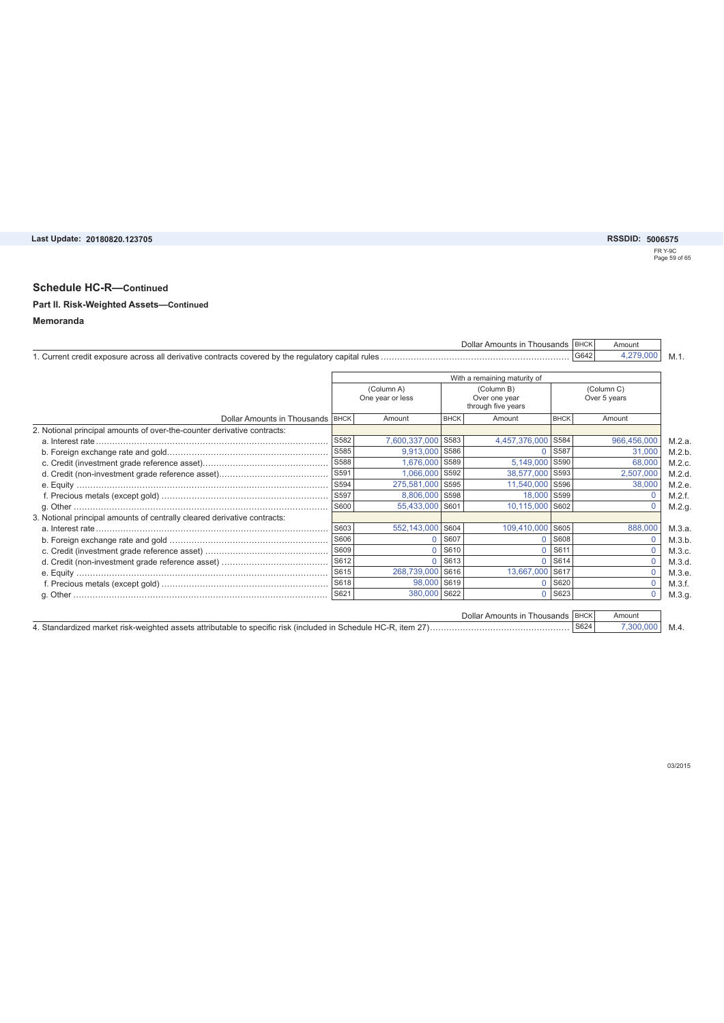# FR Y-9C Page 59 of 65

Dollar Amounts in Thousands | BHCK | Amount

### **Schedule HC-R—Continued**

# **Part II. Risk-Weighted Assets—Continued**

#### **Memoranda**

|                                                                          |                                |                |                                                   | With a remaining maturity of |                            |             |
|--------------------------------------------------------------------------|--------------------------------|----------------|---------------------------------------------------|------------------------------|----------------------------|-------------|
|                                                                          | (Column A)<br>One year or less |                | (Column B)<br>Over one year<br>through five years |                              | (Column C)<br>Over 5 years |             |
| Dollar Amounts in Thousands   BHCK                                       |                                | Amount         | <b>BHCK</b>                                       | Amount                       | <b>BHCK</b>                | Amount      |
| 2. Notional principal amounts of over-the-counter derivative contracts:  |                                |                |                                                   |                              |                            |             |
|                                                                          | S582                           | 7,600,337,000  | S583                                              | 4,457,376,000                | S584                       | 966,456,000 |
|                                                                          | S585                           | 9,913,000      | S586                                              |                              | S587                       | 31,000      |
|                                                                          | S588                           | 1,676,000      | S589                                              | 5,149,000                    | S590                       | 68,000      |
|                                                                          | S591                           | 1,066,000      | S592                                              | 38,577,000                   | S593                       | 2,507,000   |
|                                                                          | S594                           | 275,581,000    | S595                                              | 11,540,000                   | S596                       | 38,000      |
|                                                                          | S597                           | 8,806,000 S598 |                                                   | 18,000                       | S599                       |             |
|                                                                          | S600                           | 55,433,000     | S601                                              | 10,115,000                   | S602                       | $\Omega$    |
| 3. Notional principal amounts of centrally cleared derivative contracts: |                                |                |                                                   |                              |                            |             |
|                                                                          | S603                           | 552,143,000    | S604                                              | 109,410,000                  | S605                       | 888,000     |
|                                                                          | S606                           | $\Omega$       | S607                                              |                              | S608                       |             |
|                                                                          | S609                           | $\Omega$       | S610                                              | U                            | S611                       | $\Omega$    |
|                                                                          | S612                           | $\Omega$       | S613                                              | U                            | S614                       | $\Omega$    |
|                                                                          | S615                           | 268,739,000    | S616                                              | 13,667,000                   | <b>S617</b>                | $\Omega$    |
|                                                                          |                                | 98,000 S619    |                                                   | 0                            | S620                       | $\Omega$    |
|                                                                          | S621                           | 380,000        | S622                                              | 0                            | S623                       | $\Omega$    |

M.4. S624 4. Standardized market risk-weighted assets attributable to specific risk (included in Schedule HC-R, item 27)................................................... 7,300,000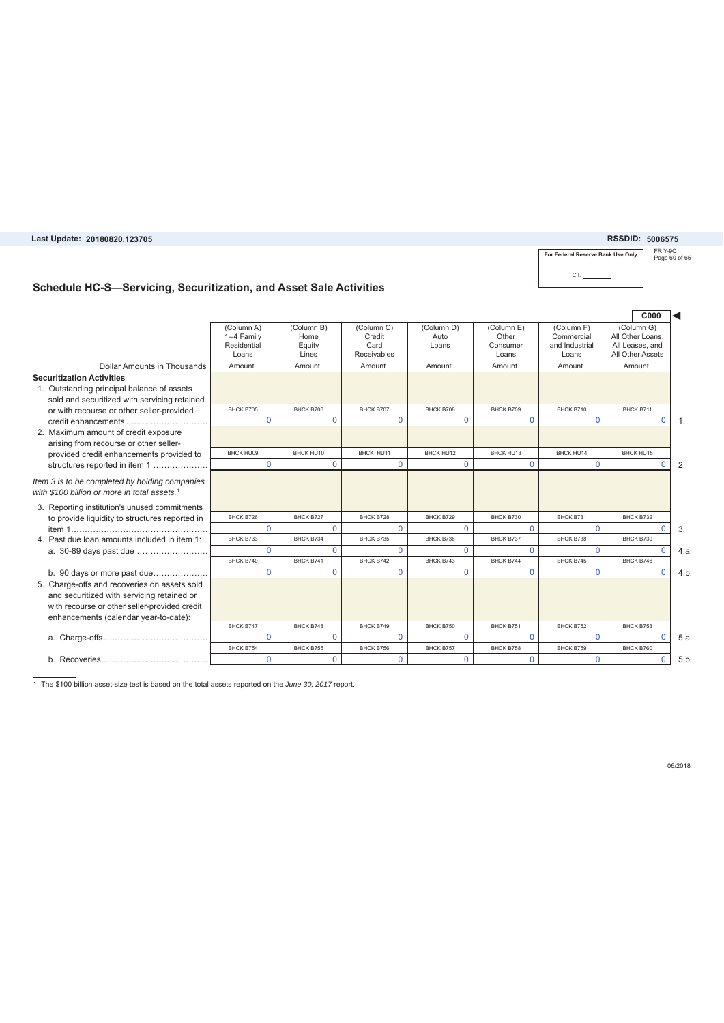**Last Update: RSSDID: 20180820.123705 5006575**

#### FR Y-9C Page 60 of 65 **For Federal Reserve Bank Use Only**  $CL$

### **Schedule HC-S—Servicing, Securitization, and Asset Sale Activities**

|                                                                                                                                                                                      |                                                  |                                       |                                             |                             |                                          |                                                     | C000                                                                  |                  |
|--------------------------------------------------------------------------------------------------------------------------------------------------------------------------------------|--------------------------------------------------|---------------------------------------|---------------------------------------------|-----------------------------|------------------------------------------|-----------------------------------------------------|-----------------------------------------------------------------------|------------------|
|                                                                                                                                                                                      | (Column A)<br>1-4 Family<br>Residential<br>Loans | (Column B)<br>Home<br>Equity<br>Lines | (Column C)<br>Credit<br>Card<br>Receivables | (Column D)<br>Auto<br>Loans | (Column E)<br>Other<br>Consumer<br>Loans | (Column F)<br>Commercial<br>and Industrial<br>Loans | (Column G)<br>All Other Loans.<br>All Leases, and<br>All Other Assets |                  |
| Dollar Amounts in Thousands                                                                                                                                                          | Amount                                           | Amount                                | Amount                                      | Amount                      | Amount                                   | Amount                                              | Amount                                                                |                  |
| <b>Securitization Activities</b><br>1. Outstanding principal balance of assets<br>sold and securitized with servicing retained                                                       |                                                  |                                       |                                             |                             |                                          |                                                     |                                                                       |                  |
| or with recourse or other seller-provided                                                                                                                                            | BHCK B705                                        | BHCK B706                             | BHCK B707                                   | BHCK B708                   | BHCK B709                                | BHCK B710                                           | BHCK B711                                                             |                  |
| credit enhancements                                                                                                                                                                  | $\Omega$                                         | $\Omega$                              | $\Omega$                                    | $\Omega$                    | $\Omega$                                 | $\Omega$                                            | $\mathbf{0}$                                                          | $\overline{1}$ . |
| 2. Maximum amount of credit exposure<br>arising from recourse or other seller-                                                                                                       |                                                  |                                       |                                             |                             |                                          |                                                     |                                                                       |                  |
| provided credit enhancements provided to                                                                                                                                             | BHCK HU09                                        | BHCK HU10                             | BHCK HU11                                   | BHCK HU12                   | BHCK HU13                                | BHCK HU14                                           | BHCK HU15                                                             |                  |
| structures reported in item 1                                                                                                                                                        | $\Omega$                                         | $\Omega$                              | $\Omega$                                    | $\Omega$                    | $\Omega$                                 | $\Omega$                                            | $\Omega$                                                              | 2.               |
| Item 3 is to be completed by holding companies<br>with \$100 billion or more in total assets. <sup>1</sup>                                                                           |                                                  |                                       |                                             |                             |                                          |                                                     |                                                                       |                  |
| 3. Reporting institution's unused commitments                                                                                                                                        | BHCK B726                                        | BHCK B727                             | BHCK B728                                   | BHCK B729                   | BHCK B730                                | BHCK B731                                           | BHCK B732                                                             |                  |
| to provide liquidity to structures reported in                                                                                                                                       | $\Omega$                                         | $\Omega$                              | $\Omega$                                    | $\Omega$                    | $\Omega$                                 | $\Omega$                                            | $\Omega$                                                              | 3.               |
| 4. Past due loan amounts included in item 1:                                                                                                                                         | BHCK B733                                        | BHCK B734                             | BHCK B735                                   | BHCK B736                   | BHCK B737                                | BHCK B738                                           | BHCK B739                                                             |                  |
| a. 30-89 days past due                                                                                                                                                               | $\Omega$                                         | 0                                     | $\Omega$                                    | $\Omega$                    | $\Omega$                                 | $\Omega$                                            | $\Omega$                                                              | 4.a              |
|                                                                                                                                                                                      | BHCK B740                                        | BHCK B741                             | BHCK B742                                   | BHCK B743                   | BHCK B744                                | BHCK B745                                           | BHCK B746                                                             |                  |
| b. 90 days or more past due                                                                                                                                                          | $\Omega$                                         | $\Omega$                              | $\Omega$                                    | $\Omega$                    | $\overline{0}$                           | $\Omega$                                            | $\Omega$                                                              | 4.b              |
| 5. Charge-offs and recoveries on assets sold<br>and securitized with servicing retained or<br>with recourse or other seller-provided credit<br>enhancements (calendar year-to-date): |                                                  |                                       |                                             |                             |                                          |                                                     |                                                                       |                  |
|                                                                                                                                                                                      | BHCK B747                                        | BHCK B748                             | BHCK B749                                   | BHCK B750                   | BHCK B751                                | BHCK B752                                           | BHCK B753                                                             |                  |
|                                                                                                                                                                                      | $\Omega$                                         | $\Omega$                              | $\Omega$                                    | $\Omega$                    | $\Omega$                                 | $\Omega$                                            | $\Omega$                                                              | 5.a              |
|                                                                                                                                                                                      | BHCK B754                                        | <b>BHCK B755</b>                      | BHCK B756                                   | BHCK B757                   | BHCK B758                                | BHCK B759                                           | BHCK B760                                                             |                  |
|                                                                                                                                                                                      | $\Omega$                                         | 0                                     | $\Omega$                                    | $\Omega$                    | $\Omega$                                 | $\Omega$                                            | $\mathbf{0}$                                                          | 5.b              |

1. The \$100 billion asset-size test is based on the total assets reported on the *June 30, 2017* report.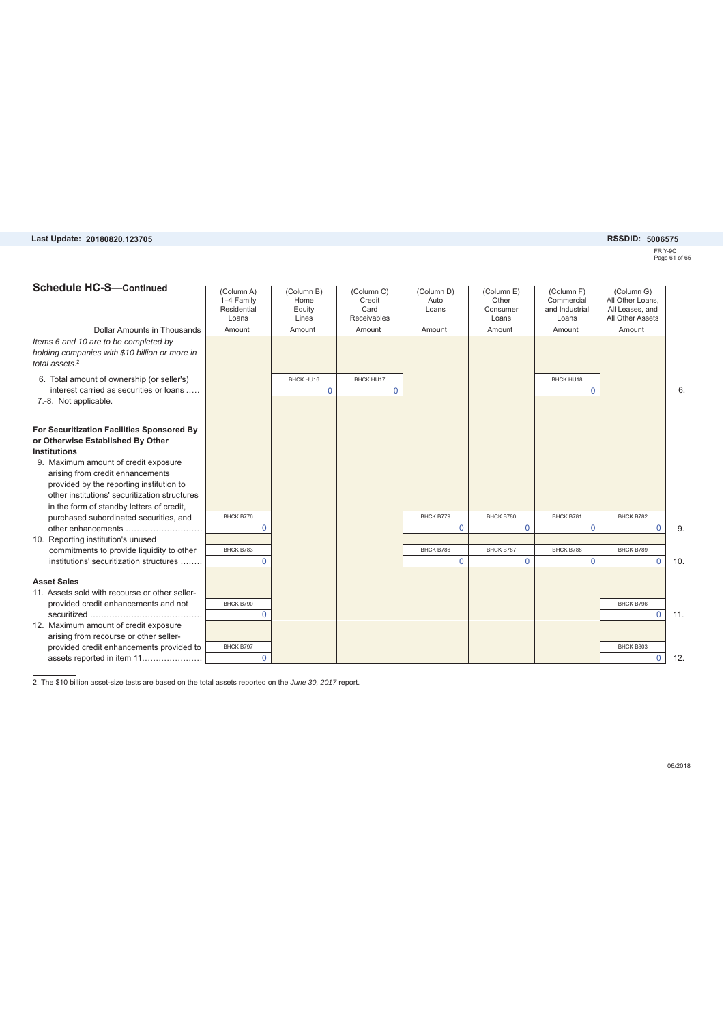#### Last Update: 20180820.123705

### **20180820.123705 5006575**

FR Y-9C Page 61 of 65

| <b>Schedule HC-S-Continued</b>                                                                                                                                                                                                                                                                                                                                                                                                                                                  | (Column A)<br>1-4 Family<br>Residential<br>Loans | (Column B)<br>Home<br>Equity<br>Lines | (Column C)<br>Credit<br>Card<br>Receivables | (Column D)<br>Auto<br>Loans           | (Column E)<br>Other<br>Consumer<br>Loans | (Column F)<br>Commercial<br>and Industrial<br>Loans | (Column G)<br>All Other Loans.<br>All Leases, and<br>All Other Assets |     |
|---------------------------------------------------------------------------------------------------------------------------------------------------------------------------------------------------------------------------------------------------------------------------------------------------------------------------------------------------------------------------------------------------------------------------------------------------------------------------------|--------------------------------------------------|---------------------------------------|---------------------------------------------|---------------------------------------|------------------------------------------|-----------------------------------------------------|-----------------------------------------------------------------------|-----|
| Dollar Amounts in Thousands                                                                                                                                                                                                                                                                                                                                                                                                                                                     | Amount                                           | Amount                                | Amount                                      | Amount                                | Amount                                   | Amount                                              | Amount                                                                |     |
| Items 6 and 10 are to be completed by<br>holding companies with \$10 billion or more in<br>total assets. $2$                                                                                                                                                                                                                                                                                                                                                                    |                                                  |                                       |                                             |                                       |                                          |                                                     |                                                                       |     |
| 6. Total amount of ownership (or seller's)                                                                                                                                                                                                                                                                                                                                                                                                                                      |                                                  | BHCK HU16                             | BHCK HU17                                   |                                       |                                          | BHCK HU18                                           |                                                                       |     |
| interest carried as securities or loans                                                                                                                                                                                                                                                                                                                                                                                                                                         |                                                  | $\Omega$                              | $\Omega$                                    |                                       |                                          | $\Omega$                                            |                                                                       | 6   |
| 7.-8. Not applicable.                                                                                                                                                                                                                                                                                                                                                                                                                                                           |                                                  |                                       |                                             |                                       |                                          |                                                     |                                                                       |     |
| For Securitization Facilities Sponsored By<br>or Otherwise Established By Other<br><b>Institutions</b><br>9. Maximum amount of credit exposure<br>arising from credit enhancements<br>provided by the reporting institution to<br>other institutions' securitization structures<br>in the form of standby letters of credit,<br>purchased subordinated securities, and<br>other enhancements<br>10. Reporting institution's unused<br>commitments to provide liquidity to other | BHCK B776<br>$\Omega$<br>BHCK B783               |                                       |                                             | BHCK B779<br>$\mathbf 0$<br>BHCK B786 | BHCK B780<br>$\Omega$<br>BHCK B787       | BHCK B781<br>$\mathbf 0$<br>BHCK B788               | BHCK B782<br>$\Omega$<br>BHCK B789                                    | 9   |
| institutions' securitization structures                                                                                                                                                                                                                                                                                                                                                                                                                                         | $\Omega$                                         |                                       |                                             | $\mathbf 0$                           | $\Omega$                                 | $\mathbf 0$                                         | $\mathbf 0$                                                           | 10. |
| <b>Asset Sales</b>                                                                                                                                                                                                                                                                                                                                                                                                                                                              |                                                  |                                       |                                             |                                       |                                          |                                                     |                                                                       |     |
| 11. Assets sold with recourse or other seller-                                                                                                                                                                                                                                                                                                                                                                                                                                  |                                                  |                                       |                                             |                                       |                                          |                                                     |                                                                       |     |
| provided credit enhancements and not                                                                                                                                                                                                                                                                                                                                                                                                                                            | BHCK B790                                        |                                       |                                             |                                       |                                          |                                                     | BHCK B796                                                             |     |
|                                                                                                                                                                                                                                                                                                                                                                                                                                                                                 | $\Omega$                                         |                                       |                                             |                                       |                                          |                                                     | $\mathbf 0$                                                           | 11. |
| 12. Maximum amount of credit exposure<br>arising from recourse or other seller-                                                                                                                                                                                                                                                                                                                                                                                                 |                                                  |                                       |                                             |                                       |                                          |                                                     |                                                                       |     |
| provided credit enhancements provided to                                                                                                                                                                                                                                                                                                                                                                                                                                        | BHCK B797                                        |                                       |                                             |                                       |                                          |                                                     | BHCK B803                                                             |     |
| assets reported in item 11                                                                                                                                                                                                                                                                                                                                                                                                                                                      | $\mathbf 0$                                      |                                       |                                             |                                       |                                          |                                                     | $\mathbf 0$                                                           | 12. |
|                                                                                                                                                                                                                                                                                                                                                                                                                                                                                 |                                                  |                                       |                                             |                                       |                                          |                                                     |                                                                       |     |

2. The \$10 billion asset-size tests are based on the total assets reported on the *June 30, 2017* report.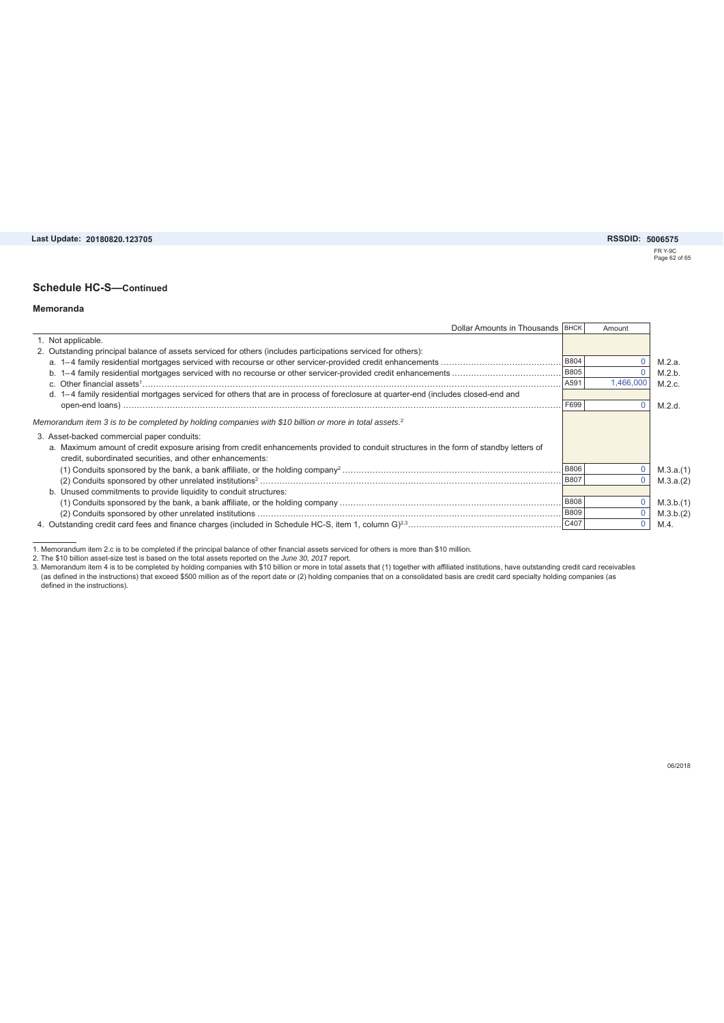Last Update: 20180820.123705

**20180820.123705 5006575**

FR Y-9C Page 62 of 65

#### **Schedule HC-S—Continued**

#### **Memoranda**

| Dollar Amounts in Thousands   BHCK                                                                                                     |             | Amount    |           |
|----------------------------------------------------------------------------------------------------------------------------------------|-------------|-----------|-----------|
| 1. Not applicable.                                                                                                                     |             |           |           |
| 2. Outstanding principal balance of assets serviced for others (includes participations serviced for others):                          |             |           |           |
|                                                                                                                                        | <b>B804</b> |           | M.2.a.    |
|                                                                                                                                        | <b>B805</b> |           | M.2.b.    |
|                                                                                                                                        | A591        | 1,466,000 | M.2.c.    |
| d. 1-4 family residential mortgages serviced for others that are in process of foreclosure at quarter-end (includes closed-end and     |             |           |           |
|                                                                                                                                        | F699        |           | M.2.d.    |
| Memorandum item 3 is to be completed by holding companies with \$10 billion or more in total assets. <sup>2</sup>                      |             |           |           |
| 3. Asset-backed commercial paper conduits:                                                                                             |             |           |           |
| a. Maximum amount of credit exposure arising from credit enhancements provided to conduit structures in the form of standby letters of |             |           |           |
| credit, subordinated securities, and other enhancements:                                                                               |             |           |           |
|                                                                                                                                        | <b>B806</b> |           | M.3.a.(1) |
|                                                                                                                                        | <b>B807</b> |           | M.3.a.(2) |
| b. Unused commitments to provide liquidity to conduit structures:                                                                      |             |           |           |
|                                                                                                                                        |             |           | M.3.b.(1) |
|                                                                                                                                        | <b>B809</b> |           | M.3.b.(2) |
|                                                                                                                                        |             |           | M.4.      |

1. Memorandum item 2.c is to be completed if the principal balance of other financial assets serviced for others is more than \$10 million.<br>2. The \$10 billion asset-size test is based on the total assets reported on the *Ju*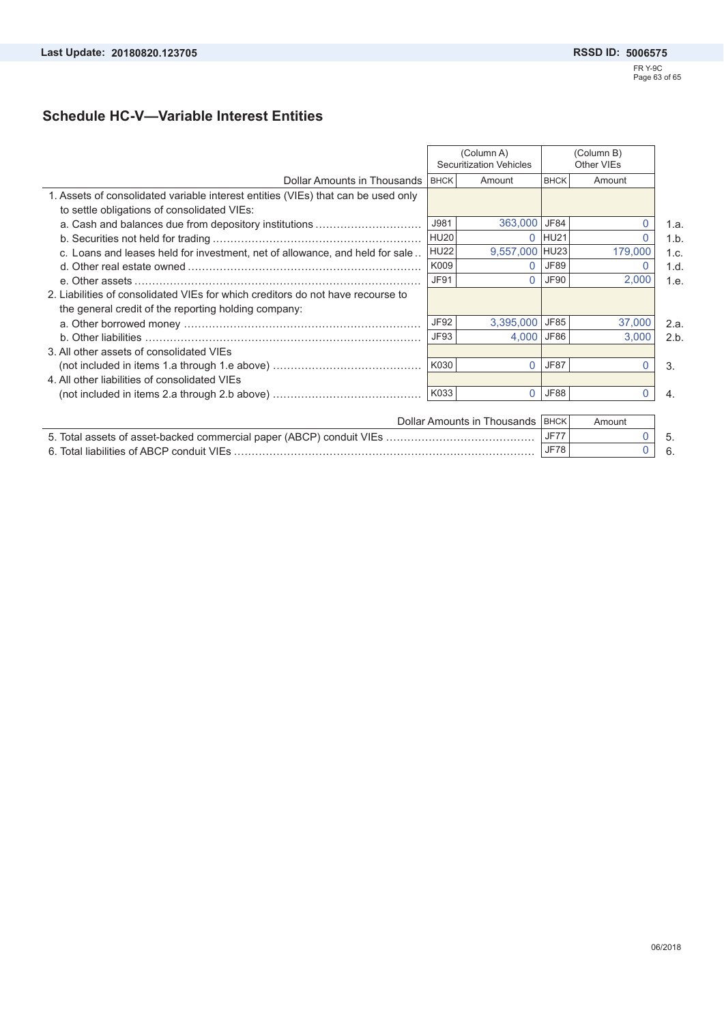## **Schedule HC-V—Variable Interest Entities**

|                                                                                                                                         | (Column A)<br><b>Securitization Vehicles</b> |                | (Column B)<br>Other VIEs |              |      |
|-----------------------------------------------------------------------------------------------------------------------------------------|----------------------------------------------|----------------|--------------------------|--------------|------|
| Dollar Amounts in Thousands IBHCK                                                                                                       |                                              | Amount         | <b>BHCK</b>              | Amount       |      |
| 1. Assets of consolidated variable interest entities (VIEs) that can be used only<br>to settle obligations of consolidated VIEs:        |                                              |                |                          |              |      |
| a. Cash and balances due from depository institutions                                                                                   | J981                                         | 363,000 JF84   |                          | $\mathbf{0}$ | 1.a. |
|                                                                                                                                         | HU <sub>20</sub>                             |                | $0$ HU21                 | 0            | 1.b. |
| c. Loans and leases held for investment, net of allowance, and held for sale                                                            | <b>HU22</b>                                  | 9,557,000 HU23 |                          | 179,000      | 1.c. |
|                                                                                                                                         | K009                                         |                | 0 JF89                   | 0            | 1.d. |
|                                                                                                                                         | <b>JF91</b>                                  |                | $0$ JF90                 | 2,000        | 1.e. |
| 2. Liabilities of consolidated VIEs for which creditors do not have recourse to<br>the general credit of the reporting holding company: |                                              |                |                          |              |      |
|                                                                                                                                         | <b>JF92</b>                                  | 3,395,000 JF85 |                          | 37,000       | 2.a. |
|                                                                                                                                         | <b>JF93</b>                                  | 4,000 JF86     |                          | 3,000        | 2.b. |
| 3. All other assets of consolidated VIEs                                                                                                |                                              |                |                          |              |      |
|                                                                                                                                         | K030                                         | $\Omega$       | <b>JF87</b>              | $\Omega$     | 3.   |
| 4. All other liabilities of consolidated VIEs                                                                                           |                                              |                |                          |              |      |
|                                                                                                                                         | K033                                         | $\Omega$       | JF88                     | 0            | 4.   |
|                                                                                                                                         |                                              |                |                          |              |      |

| Dollar Amounts in Thousands IBHCKI        |     | Amount |  |
|-------------------------------------------|-----|--------|--|
|                                           | JF7 |        |  |
| 6. Total liabilities of ABCP conduit VIFs | JF7 |        |  |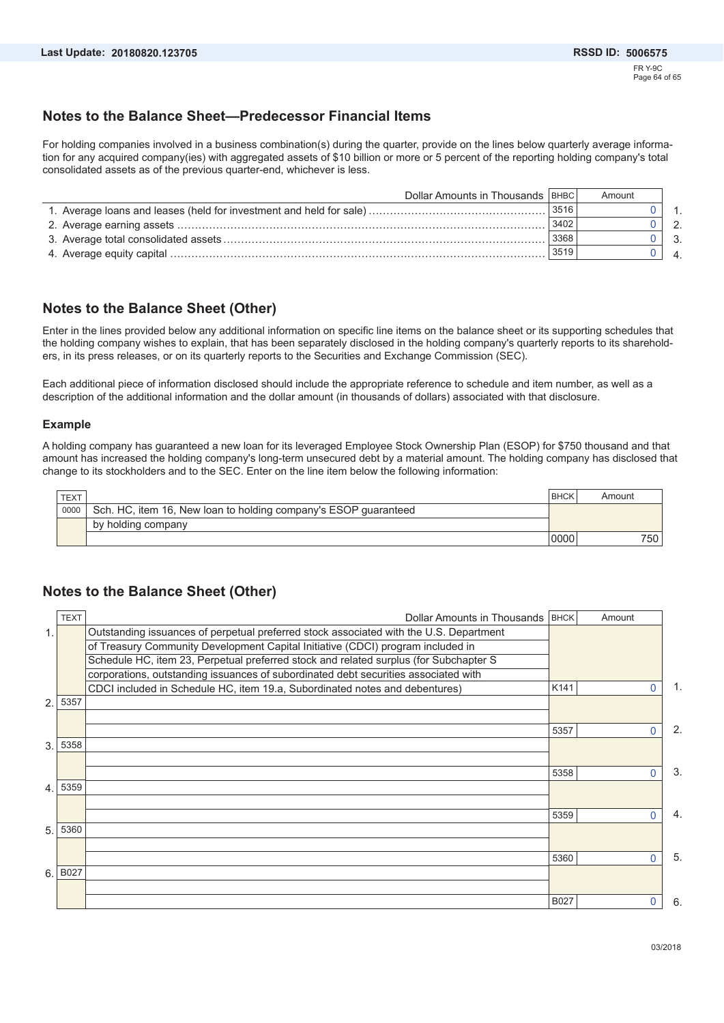### **Notes to the Balance Sheet—Predecessor Financial Items**

For holding companies involved in a business combination(s) during the quarter, provide on the lines below quarterly average information for any acquired company(ies) with aggregated assets of \$10 billion or more or 5 percent of the reporting holding company's total consolidated assets as of the previous quarter-end, whichever is less.

| Dollar Amounts in Thousands   BHBC |       | Amount |              |
|------------------------------------|-------|--------|--------------|
|                                    | 13516 |        |              |
|                                    | 3402  |        | 2.           |
|                                    | 3368  |        | $\mathbf{3}$ |
|                                    | 3519  |        |              |

### **Notes to the Balance Sheet (Other)**

Enter in the lines provided below any additional information on specific line items on the balance sheet or its supporting schedules that the holding company wishes to explain, that has been separately disclosed in the holding company's quarterly reports to its shareholders, in its press releases, or on its quarterly reports to the Securities and Exchange Commission (SEC).

Each additional piece of information disclosed should include the appropriate reference to schedule and item number, as well as a description of the additional information and the dollar amount (in thousands of dollars) associated with that disclosure.

#### **Example**

A holding company has guaranteed a new loan for its leveraged Employee Stock Ownership Plan (ESOP) for \$750 thousand and that amount has increased the holding company's long-term unsecured debt by a material amount. The holding company has disclosed that change to its stockholders and to the SEC. Enter on the line item below the following information:

| TEXT |                                                                 | <b>BHCK</b> | Amount |
|------|-----------------------------------------------------------------|-------------|--------|
| 0000 | Sch. HC, item 16, New loan to holding company's ESOP guaranteed |             |        |
|      | by holding company                                              |             |        |
|      |                                                                 | 0000        | 750    |

### **Notes to the Balance Sheet (Other)**

|                | <b>TEXT</b> | Dollar Amounts in Thousands   BHCK                                                     |                  | Amount   |     |
|----------------|-------------|----------------------------------------------------------------------------------------|------------------|----------|-----|
| 1.             |             | Outstanding issuances of perpetual preferred stock associated with the U.S. Department |                  |          |     |
|                |             | of Treasury Community Development Capital Initiative (CDCI) program included in        |                  |          |     |
|                |             | Schedule HC, item 23, Perpetual preferred stock and related surplus (for Subchapter S  |                  |          |     |
|                |             | corporations, outstanding issuances of subordinated debt securities associated with    |                  |          |     |
|                |             | CDCI included in Schedule HC, item 19.a, Subordinated notes and debentures)            | K <sub>141</sub> | 0        | 1.  |
| $\overline{2}$ | 5357        |                                                                                        |                  |          |     |
|                |             |                                                                                        |                  |          |     |
|                |             |                                                                                        | 5357             | O        | 2.  |
| 3.             | 5358        |                                                                                        |                  |          |     |
|                |             |                                                                                        |                  |          |     |
|                |             |                                                                                        | 5358             | O        | 3.  |
| 4              | 5359        |                                                                                        |                  |          |     |
|                |             |                                                                                        |                  |          |     |
|                |             |                                                                                        | 5359             | 0        | 4.  |
| 5.             | 5360        |                                                                                        |                  |          |     |
|                |             |                                                                                        | 5360             | $\Omega$ | -5. |
| 6.             | B027        |                                                                                        |                  |          |     |
|                |             |                                                                                        |                  |          |     |
|                |             |                                                                                        | B027             | 0        | 6.  |
|                |             |                                                                                        |                  |          |     |